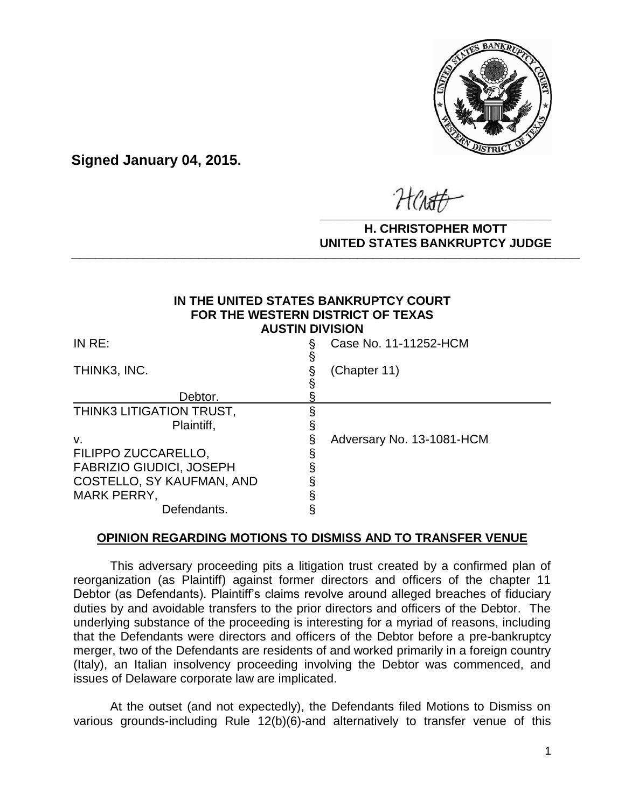

**Signed January 04, 2015.**

**\_\_\_\_\_\_\_\_\_\_\_\_\_\_\_\_\_\_\_\_\_\_\_\_\_\_\_\_\_\_\_\_\_\_**

### **H. CHRISTOPHER MOTT UNITED STATES BANKRUPTCY JUDGE PATTED DRIVING TOT 00DCL**

### **IN THE UNITED STATES BANKRUPTCY COURT FOR THE WESTERN DISTRICT OF TEXAS AUSTIN DIVISION**

| INRE:                                  | § | Case No. 11-11252-HCM     |
|----------------------------------------|---|---------------------------|
| THINK3, INC.                           | S | (Chapter 11)              |
| Debtor.                                |   |                           |
| THINK3 LITIGATION TRUST,<br>Plaintiff, |   |                           |
| v.                                     |   | Adversary No. 13-1081-HCM |
| FILIPPO ZUCCARELLO,                    |   |                           |
| <b>FABRIZIO GIUDICI, JOSEPH</b>        |   |                           |
| COSTELLO, SY KAUFMAN, AND              |   |                           |
| <b>MARK PERRY,</b>                     |   |                           |
| Defendants.                            |   |                           |

# **OPINION REGARDING MOTIONS TO DISMISS AND TO TRANSFER VENUE**

 This adversary proceeding pits a litigation trust created by a confirmed plan of reorganization (as Plaintiff) against former directors and officers of the chapter 11 Debtor (as Defendants). Plaintiff's claims revolve around alleged breaches of fiduciary duties by and avoidable transfers to the prior directors and officers of the Debtor. The underlying substance of the proceeding is interesting for a myriad of reasons, including that the Defendants were directors and officers of the Debtor before a pre-bankruptcy merger, two of the Defendants are residents of and worked primarily in a foreign country (Italy), an Italian insolvency proceeding involving the Debtor was commenced, and issues of Delaware corporate law are implicated.

 At the outset (and not expectedly), the Defendants filed Motions to Dismiss on various grounds-including Rule 12(b)(6)-and alternatively to transfer venue of this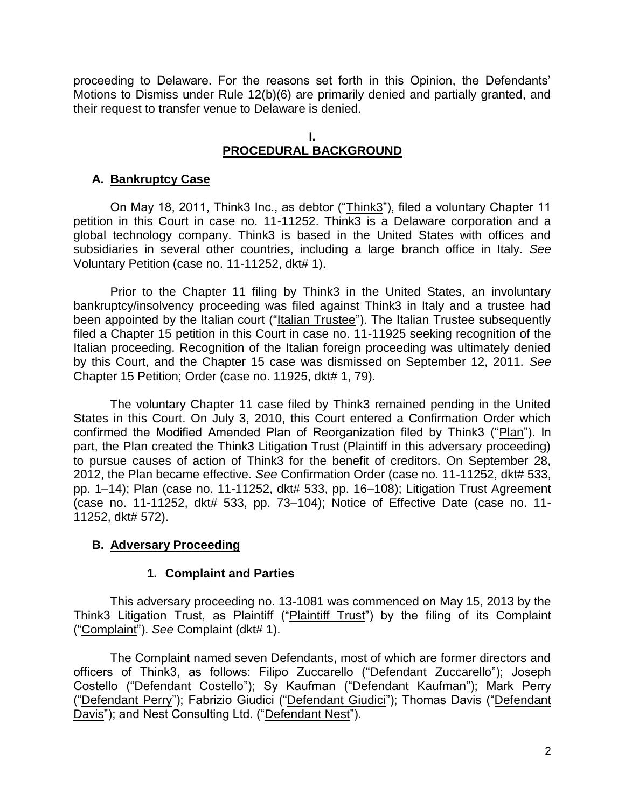proceeding to Delaware. For the reasons set forth in this Opinion, the Defendants' Motions to Dismiss under Rule 12(b)(6) are primarily denied and partially granted, and their request to transfer venue to Delaware is denied.

# **I. PROCEDURAL BACKGROUND**

# **A. Bankruptcy Case**

On May 18, 2011, Think3 Inc., as debtor ("Think3"), filed a voluntary Chapter 11 petition in this Court in case no. 11-11252. Think3 is a Delaware corporation and a global technology company. Think3 is based in the United States with offices and subsidiaries in several other countries, including a large branch office in Italy. *See*  Voluntary Petition (case no. 11-11252, dkt# 1).

Prior to the Chapter 11 filing by Think3 in the United States, an involuntary bankruptcy/insolvency proceeding was filed against Think3 in Italy and a trustee had been appointed by the Italian court ("Italian Trustee"). The Italian Trustee subsequently filed a Chapter 15 petition in this Court in case no. 11-11925 seeking recognition of the Italian proceeding. Recognition of the Italian foreign proceeding was ultimately denied by this Court, and the Chapter 15 case was dismissed on September 12, 2011. *See*  Chapter 15 Petition; Order (case no. 11925, dkt# 1, 79).

The voluntary Chapter 11 case filed by Think3 remained pending in the United States in this Court. On July 3, 2010, this Court entered a Confirmation Order which confirmed the Modified Amended Plan of Reorganization filed by Think3 ("Plan"). In part, the Plan created the Think3 Litigation Trust (Plaintiff in this adversary proceeding) to pursue causes of action of Think3 for the benefit of creditors. On September 28, 2012, the Plan became effective. *See* Confirmation Order (case no. 11-11252, dkt# 533, pp. 1–14); Plan (case no. 11-11252, dkt# 533, pp. 16–108); Litigation Trust Agreement (case no. 11-11252, dkt# 533, pp. 73–104); Notice of Effective Date (case no. 11- 11252, dkt# 572).

# **B. Adversary Proceeding**

## **1. Complaint and Parties**

This adversary proceeding no. 13-1081 was commenced on May 15, 2013 by the Think3 Litigation Trust, as Plaintiff ("Plaintiff Trust") by the filing of its Complaint ("Complaint"). *See* Complaint (dkt# 1).

The Complaint named seven Defendants, most of which are former directors and officers of Think3, as follows: Filipo Zuccarello ("Defendant Zuccarello"); Joseph Costello ("Defendant Costello"); Sy Kaufman ("Defendant Kaufman"); Mark Perry ("Defendant Perry"); Fabrizio Giudici ("Defendant Giudici"); Thomas Davis ("Defendant Davis"); and Nest Consulting Ltd. ("Defendant Nest").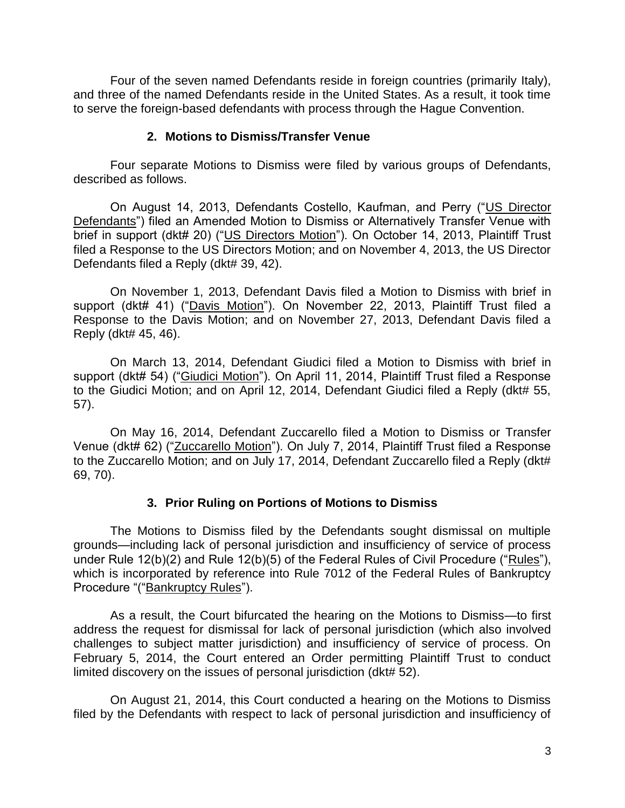Four of the seven named Defendants reside in foreign countries (primarily Italy), and three of the named Defendants reside in the United States. As a result, it took time to serve the foreign-based defendants with process through the Hague Convention.

## **2. Motions to Dismiss/Transfer Venue**

Four separate Motions to Dismiss were filed by various groups of Defendants, described as follows.

On August 14, 2013, Defendants Costello, Kaufman, and Perry ("US Director Defendants") filed an Amended Motion to Dismiss or Alternatively Transfer Venue with brief in support (dkt# 20) ("US Directors Motion"). On October 14, 2013, Plaintiff Trust filed a Response to the US Directors Motion; and on November 4, 2013, the US Director Defendants filed a Reply (dkt# 39, 42).

 On November 1, 2013, Defendant Davis filed a Motion to Dismiss with brief in support (dkt# 41) ("Davis Motion"). On November 22, 2013, Plaintiff Trust filed a Response to the Davis Motion; and on November 27, 2013, Defendant Davis filed a Reply (dkt# 45, 46).

 On March 13, 2014, Defendant Giudici filed a Motion to Dismiss with brief in support (dkt# 54) ("Giudici Motion"). On April 11, 2014, Plaintiff Trust filed a Response to the Giudici Motion; and on April 12, 2014, Defendant Giudici filed a Reply (dkt# 55, 57).

 On May 16, 2014, Defendant Zuccarello filed a Motion to Dismiss or Transfer Venue (dkt# 62) ("Zuccarello Motion"). On July 7, 2014, Plaintiff Trust filed a Response to the Zuccarello Motion; and on July 17, 2014, Defendant Zuccarello filed a Reply (dkt# 69, 70).

# **3. Prior Ruling on Portions of Motions to Dismiss**

The Motions to Dismiss filed by the Defendants sought dismissal on multiple grounds—including lack of personal jurisdiction and insufficiency of service of process under Rule 12(b)(2) and Rule 12(b)(5) of the Federal Rules of Civil Procedure ("Rules"), which is incorporated by reference into Rule 7012 of the Federal Rules of Bankruptcy Procedure "("Bankruptcy Rules").

As a result, the Court bifurcated the hearing on the Motions to Dismiss—to first address the request for dismissal for lack of personal jurisdiction (which also involved challenges to subject matter jurisdiction) and insufficiency of service of process. On February 5, 2014, the Court entered an Order permitting Plaintiff Trust to conduct limited discovery on the issues of personal jurisdiction (dkt# 52).

On August 21, 2014, this Court conducted a hearing on the Motions to Dismiss filed by the Defendants with respect to lack of personal jurisdiction and insufficiency of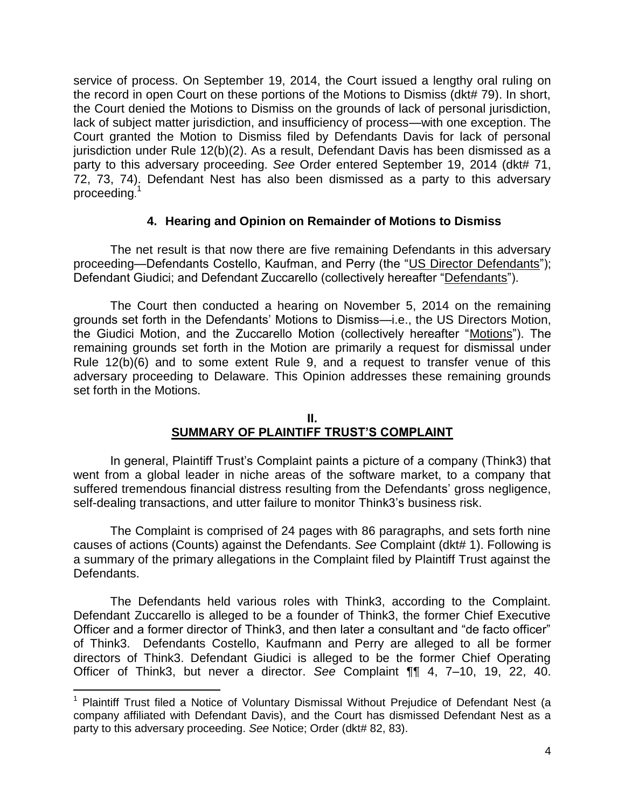service of process. On September 19, 2014, the Court issued a lengthy oral ruling on the record in open Court on these portions of the Motions to Dismiss (dkt# 79). In short, the Court denied the Motions to Dismiss on the grounds of lack of personal jurisdiction, lack of subject matter jurisdiction, and insufficiency of process—with one exception. The Court granted the Motion to Dismiss filed by Defendants Davis for lack of personal jurisdiction under Rule 12(b)(2). As a result, Defendant Davis has been dismissed as a party to this adversary proceeding. *See* Order entered September 19, 2014 (dkt# 71, 72, 73, 74). Defendant Nest has also been dismissed as a party to this adversary proceeding.<sup>1</sup>

## **4. Hearing and Opinion on Remainder of Motions to Dismiss**

The net result is that now there are five remaining Defendants in this adversary proceeding—Defendants Costello, Kaufman, and Perry (the "US Director Defendants"); Defendant Giudici; and Defendant Zuccarello (collectively hereafter "Defendants").

The Court then conducted a hearing on November 5, 2014 on the remaining grounds set forth in the Defendants' Motions to Dismiss—i.e., the US Directors Motion, the Giudici Motion, and the Zuccarello Motion (collectively hereafter "Motions"). The remaining grounds set forth in the Motion are primarily a request for dismissal under Rule 12(b)(6) and to some extent Rule 9, and a request to transfer venue of this adversary proceeding to Delaware. This Opinion addresses these remaining grounds set forth in the Motions.

# **II. SUMMARY OF PLAINTIFF TRUST'S COMPLAINT**

In general, Plaintiff Trust's Complaint paints a picture of a company (Think3) that went from a global leader in niche areas of the software market, to a company that suffered tremendous financial distress resulting from the Defendants' gross negligence, self-dealing transactions, and utter failure to monitor Think3's business risk.

 The Complaint is comprised of 24 pages with 86 paragraphs, and sets forth nine causes of actions (Counts) against the Defendants. *See* Complaint (dkt# 1). Following is a summary of the primary allegations in the Complaint filed by Plaintiff Trust against the Defendants.

 The Defendants held various roles with Think3, according to the Complaint. Defendant Zuccarello is alleged to be a founder of Think3, the former Chief Executive Officer and a former director of Think3, and then later a consultant and "de facto officer" of Think3. Defendants Costello, Kaufmann and Perry are alleged to all be former directors of Think3. Defendant Giudici is alleged to be the former Chief Operating Officer of Think3, but never a director. *See* Complaint ¶¶ 4, 7–10, 19, 22, 40.

 $\overline{a}$ 

<sup>&</sup>lt;sup>1</sup> Plaintiff Trust filed a Notice of Voluntary Dismissal Without Prejudice of Defendant Nest (a company affiliated with Defendant Davis), and the Court has dismissed Defendant Nest as a party to this adversary proceeding. *See* Notice; Order (dkt# 82, 83).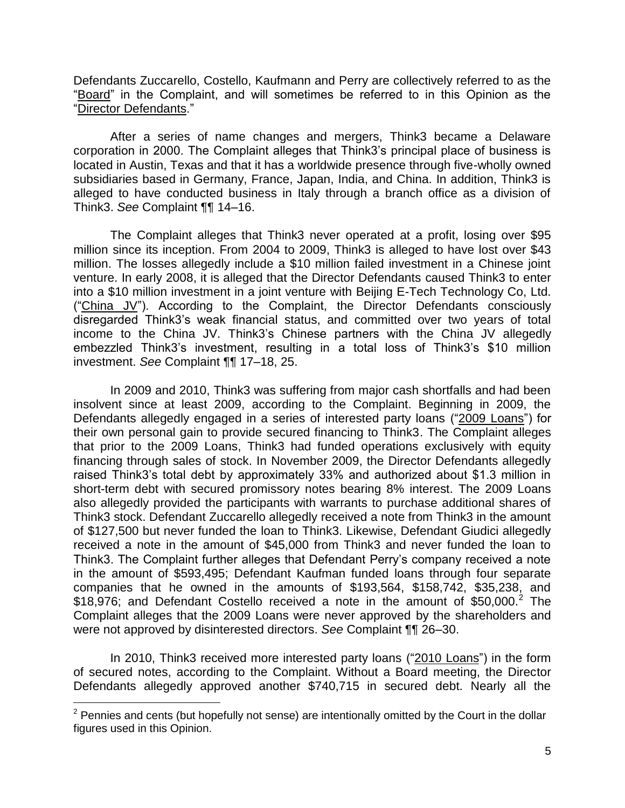Defendants Zuccarello, Costello, Kaufmann and Perry are collectively referred to as the "Board" in the Complaint, and will sometimes be referred to in this Opinion as the "Director Defendants."

 After a series of name changes and mergers, Think3 became a Delaware corporation in 2000. The Complaint alleges that Think3's principal place of business is located in Austin, Texas and that it has a worldwide presence through five-wholly owned subsidiaries based in Germany, France, Japan, India, and China. In addition, Think3 is alleged to have conducted business in Italy through a branch office as a division of Think3. *See* Complaint ¶¶ 14–16.

 The Complaint alleges that Think3 never operated at a profit, losing over \$95 million since its inception. From 2004 to 2009, Think3 is alleged to have lost over \$43 million. The losses allegedly include a \$10 million failed investment in a Chinese joint venture. In early 2008, it is alleged that the Director Defendants caused Think3 to enter into a \$10 million investment in a joint venture with Beijing E-Tech Technology Co, Ltd. ("China JV"). According to the Complaint, the Director Defendants consciously disregarded Think3's weak financial status, and committed over two years of total income to the China JV. Think3's Chinese partners with the China JV allegedly embezzled Think3's investment, resulting in a total loss of Think3's \$10 million investment. *See* Complaint ¶¶ 17–18, 25.

In 2009 and 2010, Think3 was suffering from major cash shortfalls and had been insolvent since at least 2009, according to the Complaint. Beginning in 2009, the Defendants allegedly engaged in a series of interested party loans ("2009 Loans") for their own personal gain to provide secured financing to Think3. The Complaint alleges that prior to the 2009 Loans, Think3 had funded operations exclusively with equity financing through sales of stock. In November 2009, the Director Defendants allegedly raised Think3's total debt by approximately 33% and authorized about \$1.3 million in short-term debt with secured promissory notes bearing 8% interest. The 2009 Loans also allegedly provided the participants with warrants to purchase additional shares of Think3 stock. Defendant Zuccarello allegedly received a note from Think3 in the amount of \$127,500 but never funded the loan to Think3. Likewise, Defendant Giudici allegedly received a note in the amount of \$45,000 from Think3 and never funded the loan to Think3. The Complaint further alleges that Defendant Perry's company received a note in the amount of \$593,495; Defendant Kaufman funded loans through four separate companies that he owned in the amounts of \$193,564, \$158,742, \$35,238, and  $$18,976$ ; and Defendant Costello received a note in the amount of  $$50,000.<sup>2</sup>$  The Complaint alleges that the 2009 Loans were never approved by the shareholders and were not approved by disinterested directors. *See* Complaint ¶¶ 26–30.

In 2010, Think3 received more interested party loans ("2010 Loans") in the form of secured notes, according to the Complaint. Without a Board meeting, the Director Defendants allegedly approved another \$740,715 in secured debt. Nearly all the

 $\overline{a}$ 

 $2$  Pennies and cents (but hopefully not sense) are intentionally omitted by the Court in the dollar figures used in this Opinion.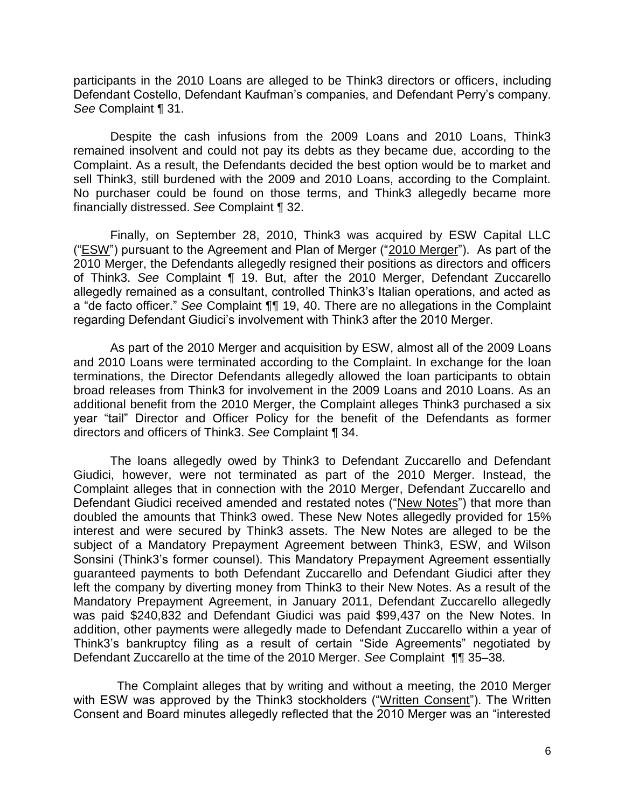participants in the 2010 Loans are alleged to be Think3 directors or officers, including Defendant Costello, Defendant Kaufman's companies, and Defendant Perry's company. *See* Complaint ¶ 31.

Despite the cash infusions from the 2009 Loans and 2010 Loans, Think3 remained insolvent and could not pay its debts as they became due, according to the Complaint. As a result, the Defendants decided the best option would be to market and sell Think3, still burdened with the 2009 and 2010 Loans, according to the Complaint. No purchaser could be found on those terms, and Think3 allegedly became more financially distressed. *See* Complaint ¶ 32.

Finally, on September 28, 2010, Think3 was acquired by ESW Capital LLC ("ESW") pursuant to the Agreement and Plan of Merger ("2010 Merger"). As part of the 2010 Merger, the Defendants allegedly resigned their positions as directors and officers of Think3. *See* Complaint ¶ 19. But, after the 2010 Merger, Defendant Zuccarello allegedly remained as a consultant, controlled Think3's Italian operations, and acted as a "de facto officer." *See* Complaint ¶¶ 19, 40. There are no allegations in the Complaint regarding Defendant Giudici's involvement with Think3 after the 2010 Merger.

As part of the 2010 Merger and acquisition by ESW, almost all of the 2009 Loans and 2010 Loans were terminated according to the Complaint. In exchange for the loan terminations, the Director Defendants allegedly allowed the loan participants to obtain broad releases from Think3 for involvement in the 2009 Loans and 2010 Loans. As an additional benefit from the 2010 Merger, the Complaint alleges Think3 purchased a six year "tail" Director and Officer Policy for the benefit of the Defendants as former directors and officers of Think3. *See* Complaint ¶ 34.

The loans allegedly owed by Think3 to Defendant Zuccarello and Defendant Giudici, however, were not terminated as part of the 2010 Merger. Instead, the Complaint alleges that in connection with the 2010 Merger, Defendant Zuccarello and Defendant Giudici received amended and restated notes ("New Notes") that more than doubled the amounts that Think3 owed. These New Notes allegedly provided for 15% interest and were secured by Think3 assets. The New Notes are alleged to be the subject of a Mandatory Prepayment Agreement between Think3, ESW, and Wilson Sonsini (Think3's former counsel). This Mandatory Prepayment Agreement essentially guaranteed payments to both Defendant Zuccarello and Defendant Giudici after they left the company by diverting money from Think3 to their New Notes. As a result of the Mandatory Prepayment Agreement, in January 2011, Defendant Zuccarello allegedly was paid \$240,832 and Defendant Giudici was paid \$99,437 on the New Notes. In addition, other payments were allegedly made to Defendant Zuccarello within a year of Think3's bankruptcy filing as a result of certain "Side Agreements" negotiated by Defendant Zuccarello at the time of the 2010 Merger. *See* Complaint ¶¶ 35–38.

 The Complaint alleges that by writing and without a meeting, the 2010 Merger with ESW was approved by the Think3 stockholders ("Written Consent"). The Written Consent and Board minutes allegedly reflected that the 2010 Merger was an "interested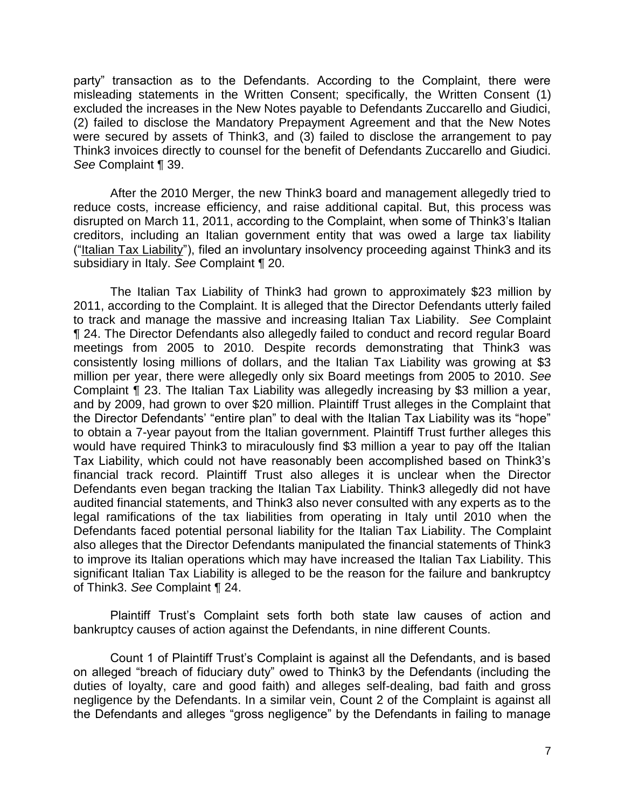party" transaction as to the Defendants. According to the Complaint, there were misleading statements in the Written Consent; specifically, the Written Consent (1) excluded the increases in the New Notes payable to Defendants Zuccarello and Giudici, (2) failed to disclose the Mandatory Prepayment Agreement and that the New Notes were secured by assets of Think3, and (3) failed to disclose the arrangement to pay Think3 invoices directly to counsel for the benefit of Defendants Zuccarello and Giudici. *See* Complaint ¶ 39.

After the 2010 Merger, the new Think3 board and management allegedly tried to reduce costs, increase efficiency, and raise additional capital. But, this process was disrupted on March 11, 2011, according to the Complaint, when some of Think3's Italian creditors, including an Italian government entity that was owed a large tax liability ("Italian Tax Liability"), filed an involuntary insolvency proceeding against Think3 and its subsidiary in Italy. *See* Complaint ¶ 20.

The Italian Tax Liability of Think3 had grown to approximately \$23 million by 2011, according to the Complaint. It is alleged that the Director Defendants utterly failed to track and manage the massive and increasing Italian Tax Liability. *See* Complaint ¶ 24. The Director Defendants also allegedly failed to conduct and record regular Board meetings from 2005 to 2010. Despite records demonstrating that Think3 was consistently losing millions of dollars, and the Italian Tax Liability was growing at \$3 million per year, there were allegedly only six Board meetings from 2005 to 2010. *See* Complaint ¶ 23. The Italian Tax Liability was allegedly increasing by \$3 million a year, and by 2009, had grown to over \$20 million. Plaintiff Trust alleges in the Complaint that the Director Defendants' "entire plan" to deal with the Italian Tax Liability was its "hope" to obtain a 7-year payout from the Italian government. Plaintiff Trust further alleges this would have required Think3 to miraculously find \$3 million a year to pay off the Italian Tax Liability, which could not have reasonably been accomplished based on Think3's financial track record. Plaintiff Trust also alleges it is unclear when the Director Defendants even began tracking the Italian Tax Liability. Think3 allegedly did not have audited financial statements, and Think3 also never consulted with any experts as to the legal ramifications of the tax liabilities from operating in Italy until 2010 when the Defendants faced potential personal liability for the Italian Tax Liability. The Complaint also alleges that the Director Defendants manipulated the financial statements of Think3 to improve its Italian operations which may have increased the Italian Tax Liability. This significant Italian Tax Liability is alleged to be the reason for the failure and bankruptcy of Think3. *See* Complaint ¶ 24.

Plaintiff Trust's Complaint sets forth both state law causes of action and bankruptcy causes of action against the Defendants, in nine different Counts.

Count 1 of Plaintiff Trust's Complaint is against all the Defendants, and is based on alleged "breach of fiduciary duty" owed to Think3 by the Defendants (including the duties of loyalty, care and good faith) and alleges self-dealing, bad faith and gross negligence by the Defendants. In a similar vein, Count 2 of the Complaint is against all the Defendants and alleges "gross negligence" by the Defendants in failing to manage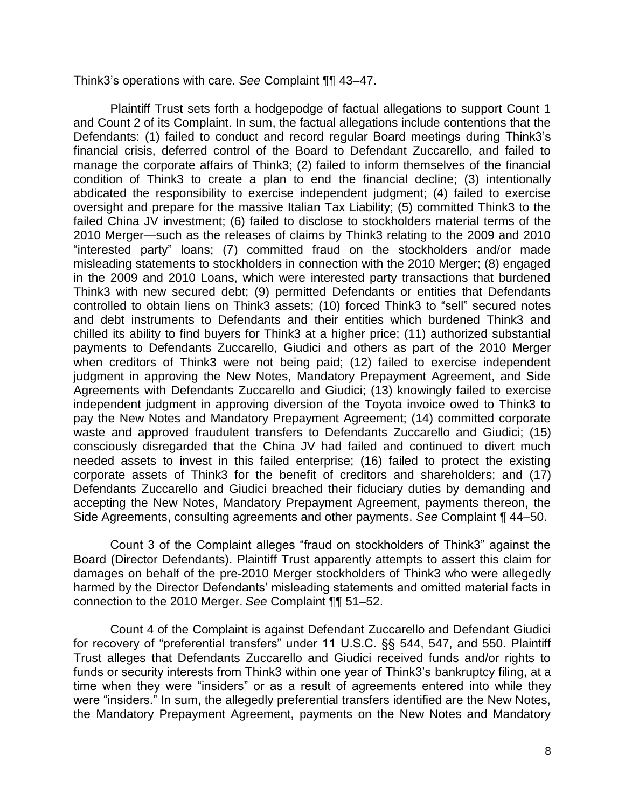Think3's operations with care. *See* Complaint ¶¶ 43–47.

Plaintiff Trust sets forth a hodgepodge of factual allegations to support Count 1 and Count 2 of its Complaint. In sum, the factual allegations include contentions that the Defendants: (1) failed to conduct and record regular Board meetings during Think3's financial crisis, deferred control of the Board to Defendant Zuccarello, and failed to manage the corporate affairs of Think3; (2) failed to inform themselves of the financial condition of Think3 to create a plan to end the financial decline; (3) intentionally abdicated the responsibility to exercise independent judgment; (4) failed to exercise oversight and prepare for the massive Italian Tax Liability; (5) committed Think3 to the failed China JV investment; (6) failed to disclose to stockholders material terms of the 2010 Merger—such as the releases of claims by Think3 relating to the 2009 and 2010 "interested party" loans; (7) committed fraud on the stockholders and/or made misleading statements to stockholders in connection with the 2010 Merger; (8) engaged in the 2009 and 2010 Loans, which were interested party transactions that burdened Think3 with new secured debt; (9) permitted Defendants or entities that Defendants controlled to obtain liens on Think3 assets; (10) forced Think3 to "sell" secured notes and debt instruments to Defendants and their entities which burdened Think3 and chilled its ability to find buyers for Think3 at a higher price; (11) authorized substantial payments to Defendants Zuccarello, Giudici and others as part of the 2010 Merger when creditors of Think3 were not being paid; (12) failed to exercise independent judgment in approving the New Notes, Mandatory Prepayment Agreement, and Side Agreements with Defendants Zuccarello and Giudici; (13) knowingly failed to exercise independent judgment in approving diversion of the Toyota invoice owed to Think3 to pay the New Notes and Mandatory Prepayment Agreement; (14) committed corporate waste and approved fraudulent transfers to Defendants Zuccarello and Giudici; (15) consciously disregarded that the China JV had failed and continued to divert much needed assets to invest in this failed enterprise; (16) failed to protect the existing corporate assets of Think3 for the benefit of creditors and shareholders; and (17) Defendants Zuccarello and Giudici breached their fiduciary duties by demanding and accepting the New Notes, Mandatory Prepayment Agreement, payments thereon, the Side Agreements, consulting agreements and other payments. *See* Complaint ¶ 44–50.

Count 3 of the Complaint alleges "fraud on stockholders of Think3" against the Board (Director Defendants). Plaintiff Trust apparently attempts to assert this claim for damages on behalf of the pre-2010 Merger stockholders of Think3 who were allegedly harmed by the Director Defendants' misleading statements and omitted material facts in connection to the 2010 Merger. *See* Complaint ¶¶ 51–52.

Count 4 of the Complaint is against Defendant Zuccarello and Defendant Giudici for recovery of "preferential transfers" under 11 U.S.C. §§ 544, 547, and 550. Plaintiff Trust alleges that Defendants Zuccarello and Giudici received funds and/or rights to funds or security interests from Think3 within one year of Think3's bankruptcy filing, at a time when they were "insiders" or as a result of agreements entered into while they were "insiders." In sum, the allegedly preferential transfers identified are the New Notes, the Mandatory Prepayment Agreement, payments on the New Notes and Mandatory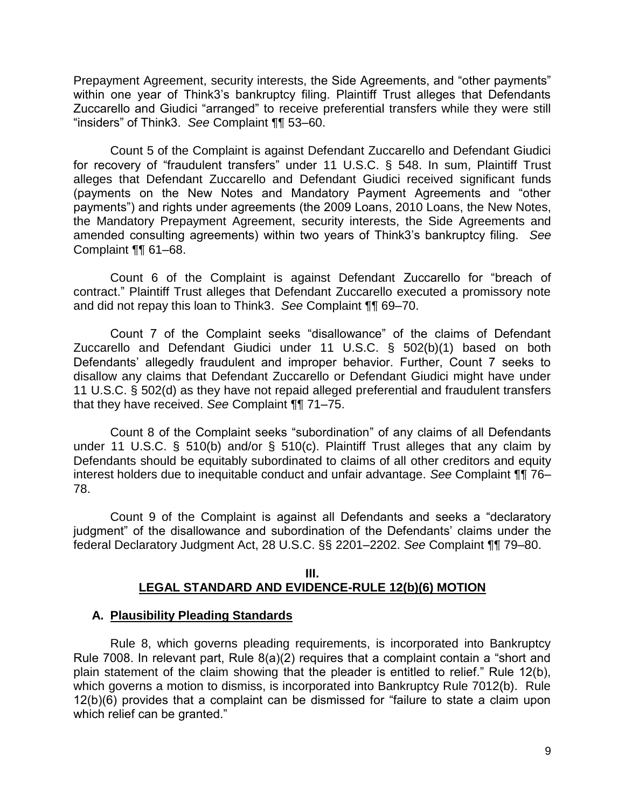Prepayment Agreement, security interests, the Side Agreements, and "other payments" within one year of Think3's bankruptcy filing. Plaintiff Trust alleges that Defendants Zuccarello and Giudici "arranged" to receive preferential transfers while they were still "insiders" of Think3. *See* Complaint ¶¶ 53–60.

Count 5 of the Complaint is against Defendant Zuccarello and Defendant Giudici for recovery of "fraudulent transfers" under 11 U.S.C. § 548. In sum, Plaintiff Trust alleges that Defendant Zuccarello and Defendant Giudici received significant funds (payments on the New Notes and Mandatory Payment Agreements and "other payments") and rights under agreements (the 2009 Loans, 2010 Loans, the New Notes, the Mandatory Prepayment Agreement, security interests, the Side Agreements and amended consulting agreements) within two years of Think3's bankruptcy filing. *See* Complaint ¶¶ 61–68.

 Count 6 of the Complaint is against Defendant Zuccarello for "breach of contract." Plaintiff Trust alleges that Defendant Zuccarello executed a promissory note and did not repay this loan to Think3. *See* Complaint ¶¶ 69–70.

Count 7 of the Complaint seeks "disallowance" of the claims of Defendant Zuccarello and Defendant Giudici under 11 U.S.C. § 502(b)(1) based on both Defendants' allegedly fraudulent and improper behavior. Further, Count 7 seeks to disallow any claims that Defendant Zuccarello or Defendant Giudici might have under 11 U.S.C. § 502(d) as they have not repaid alleged preferential and fraudulent transfers that they have received. *See* Complaint ¶¶ 71–75.

 Count 8 of the Complaint seeks "subordination" of any claims of all Defendants under 11 U.S.C. § 510(b) and/or § 510(c). Plaintiff Trust alleges that any claim by Defendants should be equitably subordinated to claims of all other creditors and equity interest holders due to inequitable conduct and unfair advantage. *See* Complaint ¶¶ 76– 78.

 Count 9 of the Complaint is against all Defendants and seeks a "declaratory judgment" of the disallowance and subordination of the Defendants' claims under the federal Declaratory Judgment Act, 28 U.S.C. §§ 2201–2202. *See* Complaint ¶¶ 79–80.

### **III. LEGAL STANDARD AND EVIDENCE-RULE 12(b)(6) MOTION**

## **A. Plausibility Pleading Standards**

Rule 8, which governs pleading requirements, is incorporated into Bankruptcy Rule 7008. In relevant part, Rule 8(a)(2) requires that a complaint contain a "short and plain statement of the claim showing that the pleader is entitled to relief." Rule 12(b), which governs a motion to dismiss, is incorporated into Bankruptcy Rule 7012(b). Rule 12(b)(6) provides that a complaint can be dismissed for "failure to state a claim upon which relief can be granted."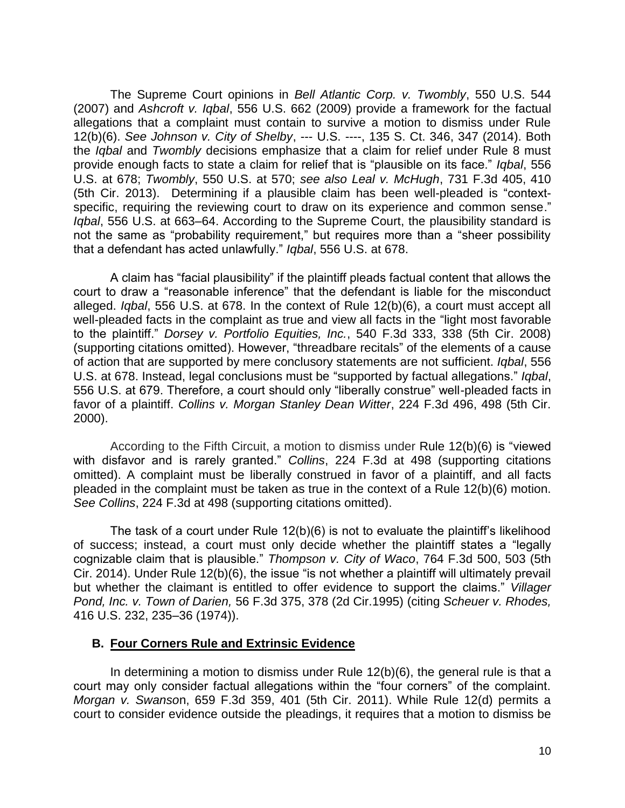The Supreme Court opinions in *Bell Atlantic Corp. v. Twombly*, 550 U.S. 544 (2007) and *Ashcroft v. Iqbal*, 556 U.S. 662 (2009) provide a framework for the factual allegations that a complaint must contain to survive a motion to dismiss under Rule 12(b)(6). *See Johnson v. City of Shelby*, --- U.S. ----, 135 S. Ct. 346, 347 (2014). Both the *Iqbal* and *Twombly* decisions emphasize that a claim for relief under Rule 8 must provide enough facts to state a claim for relief that is "plausible on its face." *Iqbal*, 556 U.S. at 678; *Twombly*, 550 U.S. at 570; *see also Leal v. McHugh*, 731 F.3d 405, 410 (5th Cir. 2013). Determining if a plausible claim has been well-pleaded is "contextspecific, requiring the reviewing court to draw on its experience and common sense." *Iqbal*, 556 U.S. at 663–64. According to the Supreme Court, the plausibility standard is not the same as "probability requirement," but requires more than a "sheer possibility that a defendant has acted unlawfully." *Iqbal*, 556 U.S. at 678.

A claim has "facial plausibility" if the plaintiff pleads factual content that allows the court to draw a "reasonable inference" that the defendant is liable for the misconduct alleged. *Iqbal*, 556 U.S. at 678. In the context of Rule 12(b)(6), a court must accept all well-pleaded facts in the complaint as true and view all facts in the "light most favorable to the plaintiff." *Dorsey v. Portfolio Equities, Inc.*, 540 F.3d 333, 338 (5th Cir. 2008) (supporting citations omitted). However, "threadbare recitals" of the elements of a cause of action that are supported by mere conclusory statements are not sufficient. *Iqbal*, 556 U.S. at 678. Instead, legal conclusions must be "supported by factual allegations." *Iqbal*, 556 U.S. at 679. Therefore, a court should only "liberally construe" well-pleaded facts in favor of a plaintiff. *Collins v. Morgan Stanley Dean Witter*, 224 F.3d 496, 498 (5th Cir. 2000).

 According to the Fifth Circuit, a motion to dismiss under Rule 12(b)(6) is "viewed with disfavor and is rarely granted." *Collins*, 224 F.3d at 498 (supporting citations omitted). A complaint must be liberally construed in favor of a plaintiff, and all facts pleaded in the complaint must be taken as true in the context of a Rule 12(b)(6) motion. *See Collins*, 224 F.3d at 498 (supporting citations omitted).

The task of a court under Rule 12(b)(6) is not to evaluate the plaintiff's likelihood of success; instead, a court must only decide whether the plaintiff states a "legally cognizable claim that is plausible." *Thompson v. City of Waco*, 764 F.3d 500, 503 (5th Cir. 2014). Under Rule 12(b)(6), the issue "is not whether a plaintiff will ultimately prevail but whether the claimant is entitled to offer evidence to support the claims." *Villager Pond, Inc. v. Town of Darien,* 56 F.3d 375, 378 (2d Cir.1995) (citing *Scheuer v. Rhodes,* 416 U.S. 232, 235–36 (1974)).

### **B. Four Corners Rule and Extrinsic Evidence**

In determining a motion to dismiss under Rule 12(b)(6), the general rule is that a court may only consider factual allegations within the "four corners" of the complaint. *Morgan v. Swanso*n, 659 F.3d 359, 401 (5th Cir. 2011). While Rule 12(d) permits a court to consider evidence outside the pleadings, it requires that a motion to dismiss be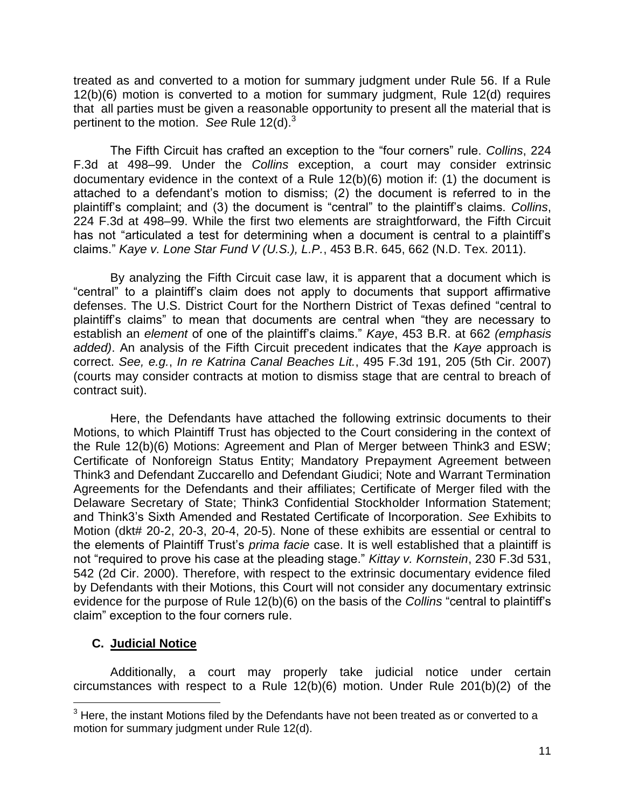treated as and converted to a motion for summary judgment under Rule 56. If a Rule 12(b)(6) motion is converted to a motion for summary judgment, Rule 12(d) requires that all parties must be given a reasonable opportunity to present all the material that is pertinent to the motion. *See* Rule 12(d).<sup>3</sup>

The Fifth Circuit has crafted an exception to the "four corners" rule. *Collins*, 224 F.3d at 498–99. Under the *Collins* exception, a court may consider extrinsic documentary evidence in the context of a Rule 12(b)(6) motion if: (1) the document is attached to a defendant's motion to dismiss; (2) the document is referred to in the plaintiff's complaint; and (3) the document is "central" to the plaintiff's claims. *Collins*, 224 F.3d at 498–99. While the first two elements are straightforward, the Fifth Circuit has not "articulated a test for determining when a document is central to a plaintiff's claims." *Kaye v. Lone Star Fund V (U.S.), L.P.*, 453 B.R. 645, 662 (N.D. Tex. 2011).

By analyzing the Fifth Circuit case law, it is apparent that a document which is "central" to a plaintiff's claim does not apply to documents that support affirmative defenses. The U.S. District Court for the Northern District of Texas defined "central to plaintiff's claims" to mean that documents are central when "they are necessary to establish an *element* of one of the plaintiff's claims." *Kaye*, 453 B.R. at 662 *(emphasis added)*. An analysis of the Fifth Circuit precedent indicates that the *Kaye* approach is correct. *See, e.g.*, *In re Katrina Canal Beaches Lit.*, 495 F.3d 191, 205 (5th Cir. 2007) (courts may consider contracts at motion to dismiss stage that are central to breach of contract suit).

Here, the Defendants have attached the following extrinsic documents to their Motions, to which Plaintiff Trust has objected to the Court considering in the context of the Rule 12(b)(6) Motions: Agreement and Plan of Merger between Think3 and ESW; Certificate of Nonforeign Status Entity; Mandatory Prepayment Agreement between Think3 and Defendant Zuccarello and Defendant Giudici; Note and Warrant Termination Agreements for the Defendants and their affiliates; Certificate of Merger filed with the Delaware Secretary of State; Think3 Confidential Stockholder Information Statement; and Think3's Sixth Amended and Restated Certificate of Incorporation. *See* Exhibits to Motion (dkt# 20-2, 20-3, 20-4, 20-5). None of these exhibits are essential or central to the elements of Plaintiff Trust's *prima facie* case. It is well established that a plaintiff is not "required to prove his case at the pleading stage." *Kittay v. Kornstein*, 230 F.3d 531, 542 (2d Cir. 2000). Therefore, with respect to the extrinsic documentary evidence filed by Defendants with their Motions, this Court will not consider any documentary extrinsic evidence for the purpose of Rule 12(b)(6) on the basis of the *Collins* "central to plaintiff's claim" exception to the four corners rule.

# **C. Judicial Notice**

 $\overline{a}$ 

Additionally, a court may properly take judicial notice under certain circumstances with respect to a Rule 12(b)(6) motion. Under Rule 201(b)(2) of the

 $3$  Here, the instant Motions filed by the Defendants have not been treated as or converted to a motion for summary judgment under Rule 12(d).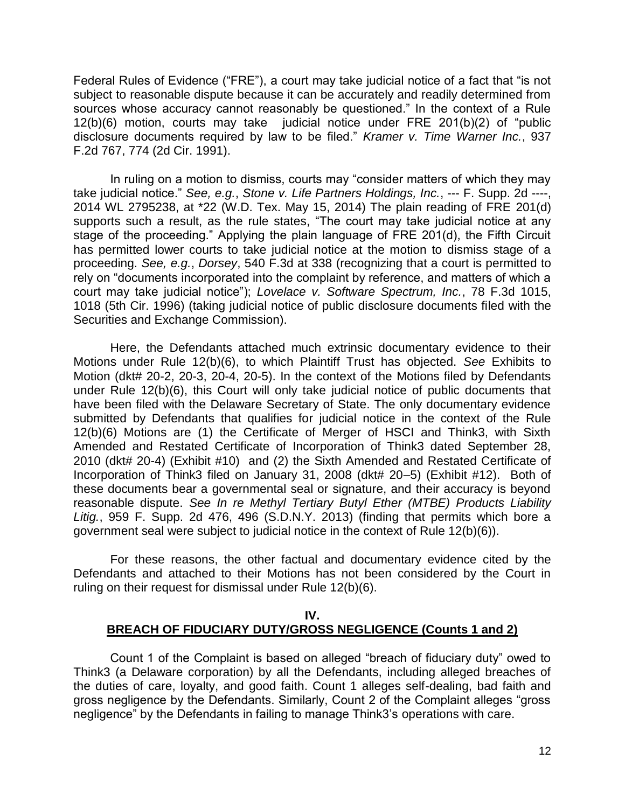Federal Rules of Evidence ("FRE"), a court may take judicial notice of a fact that "is not subject to reasonable dispute because it can be accurately and readily determined from sources whose accuracy cannot reasonably be questioned." In the context of a Rule 12(b)(6) motion, courts may take judicial notice under FRE 201(b)(2) of "public disclosure documents required by law to be filed." *Kramer v. Time Warner Inc.*, 937 F.2d 767, 774 (2d Cir. 1991).

In ruling on a motion to dismiss, courts may "consider matters of which they may take judicial notice." *See, e.g.*, *Stone v. Life Partners Holdings, Inc.*, --- F. Supp. 2d ----, 2014 WL 2795238, at \*22 (W.D. Tex. May 15, 2014) The plain reading of FRE 201(d) supports such a result, as the rule states, "The court may take judicial notice at any stage of the proceeding." Applying the plain language of FRE 201(d), the Fifth Circuit has permitted lower courts to take judicial notice at the motion to dismiss stage of a proceeding. *See, e.g.*, *Dorsey*, 540 F.3d at 338 (recognizing that a court is permitted to rely on "documents incorporated into the complaint by reference, and matters of which a court may take judicial notice"); *Lovelace v. Software Spectrum, Inc.*, 78 F.3d 1015, 1018 (5th Cir. 1996) (taking judicial notice of public disclosure documents filed with the Securities and Exchange Commission).

Here, the Defendants attached much extrinsic documentary evidence to their Motions under Rule 12(b)(6), to which Plaintiff Trust has objected. *See* Exhibits to Motion (dkt# 20-2, 20-3, 20-4, 20-5). In the context of the Motions filed by Defendants under Rule 12(b)(6), this Court will only take judicial notice of public documents that have been filed with the Delaware Secretary of State. The only documentary evidence submitted by Defendants that qualifies for judicial notice in the context of the Rule 12(b)(6) Motions are (1) the Certificate of Merger of HSCI and Think3, with Sixth Amended and Restated Certificate of Incorporation of Think3 dated September 28, 2010 (dkt# 20-4) (Exhibit #10) and (2) the Sixth Amended and Restated Certificate of Incorporation of Think3 filed on January 31, 2008 (dkt# 20–5) (Exhibit #12). Both of these documents bear a governmental seal or signature, and their accuracy is beyond reasonable dispute. *See In re Methyl Tertiary Butyl Ether (MTBE) Products Liability Litig.*, 959 F. Supp. 2d 476, 496 (S.D.N.Y. 2013) (finding that permits which bore a government seal were subject to judicial notice in the context of Rule 12(b)(6)).

For these reasons, the other factual and documentary evidence cited by the Defendants and attached to their Motions has not been considered by the Court in ruling on their request for dismissal under Rule 12(b)(6).

## **IV. BREACH OF FIDUCIARY DUTY/GROSS NEGLIGENCE (Counts 1 and 2)**

Count 1 of the Complaint is based on alleged "breach of fiduciary duty" owed to Think3 (a Delaware corporation) by all the Defendants, including alleged breaches of the duties of care, loyalty, and good faith. Count 1 alleges self-dealing, bad faith and gross negligence by the Defendants. Similarly, Count 2 of the Complaint alleges "gross negligence" by the Defendants in failing to manage Think3's operations with care.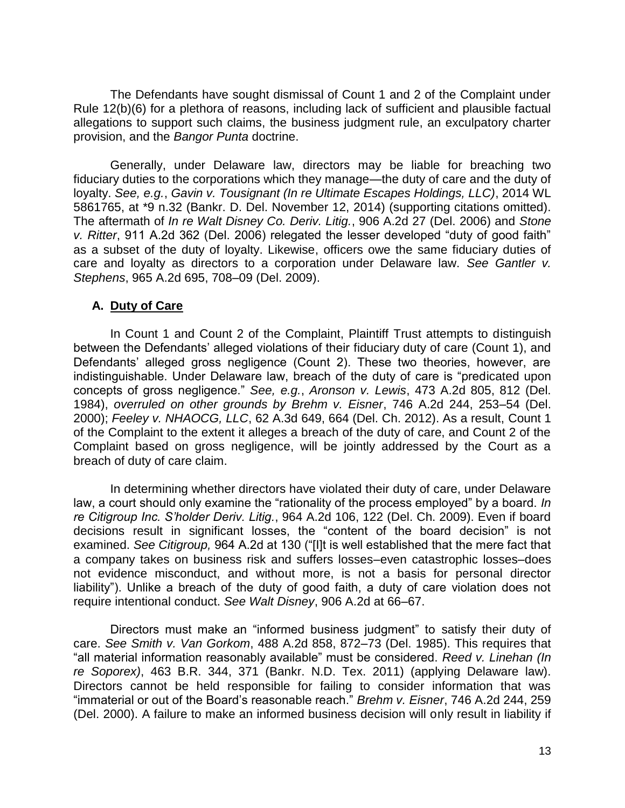The Defendants have sought dismissal of Count 1 and 2 of the Complaint under Rule 12(b)(6) for a plethora of reasons, including lack of sufficient and plausible factual allegations to support such claims, the business judgment rule, an exculpatory charter provision, and the *Bangor Punta* doctrine.

Generally, under Delaware law, directors may be liable for breaching two fiduciary duties to the corporations which they manage—the duty of care and the duty of loyalty. *See, e.g.*, *Gavin v. Tousignant (In re Ultimate Escapes Holdings, LLC)*, 2014 WL 5861765, at \*9 n.32 (Bankr. D. Del. November 12, 2014) (supporting citations omitted). The aftermath of *In re Walt Disney Co. Deriv. Litig.*, 906 A.2d 27 (Del. 2006) and *Stone v. Ritter*, 911 A.2d 362 (Del. 2006) relegated the lesser developed "duty of good faith" as a subset of the duty of loyalty. Likewise, officers owe the same fiduciary duties of care and loyalty as directors to a corporation under Delaware law. *See Gantler v. Stephens*, 965 A.2d 695, 708–09 (Del. 2009).

## **A. Duty of Care**

In Count 1 and Count 2 of the Complaint, Plaintiff Trust attempts to distinguish between the Defendants' alleged violations of their fiduciary duty of care (Count 1), and Defendants' alleged gross negligence (Count 2). These two theories, however, are indistinguishable. Under Delaware law, breach of the duty of care is "predicated upon concepts of gross negligence." *See, e.g.*, *Aronson v. Lewis*, 473 A.2d 805, 812 (Del. 1984), *overruled on other grounds by Brehm v. Eisner*, 746 A.2d 244, 253–54 (Del. 2000); *Feeley v. NHAOCG, LLC*, 62 A.3d 649, 664 (Del. Ch. 2012). As a result, Count 1 of the Complaint to the extent it alleges a breach of the duty of care, and Count 2 of the Complaint based on gross negligence, will be jointly addressed by the Court as a breach of duty of care claim.

In determining whether directors have violated their duty of care, under Delaware law, a court should only examine the "rationality of the process employed" by a board. *In re Citigroup Inc. S'holder Deriv. Litig.*, 964 A.2d 106, 122 (Del. Ch. 2009). Even if board decisions result in significant losses, the "content of the board decision" is not examined. *See Citigroup,* 964 A.2d at 130 ("[I]t is well established that the mere fact that a company takes on business risk and suffers losses–even catastrophic losses–does not evidence misconduct, and without more, is not a basis for personal director liability"). Unlike a breach of the duty of good faith, a duty of care violation does not require intentional conduct. *See Walt Disney*, 906 A.2d at 66–67.

Directors must make an "informed business judgment" to satisfy their duty of care. *See Smith v. Van Gorkom*, 488 A.2d 858, 872–73 (Del. 1985). This requires that "all material information reasonably available" must be considered. *Reed v. Linehan (In re Soporex)*, 463 B.R. 344, 371 (Bankr. N.D. Tex. 2011) (applying Delaware law). Directors cannot be held responsible for failing to consider information that was "immaterial or out of the Board's reasonable reach." *Brehm v. Eisner*, 746 A.2d 244, 259 (Del. 2000). A failure to make an informed business decision will only result in liability if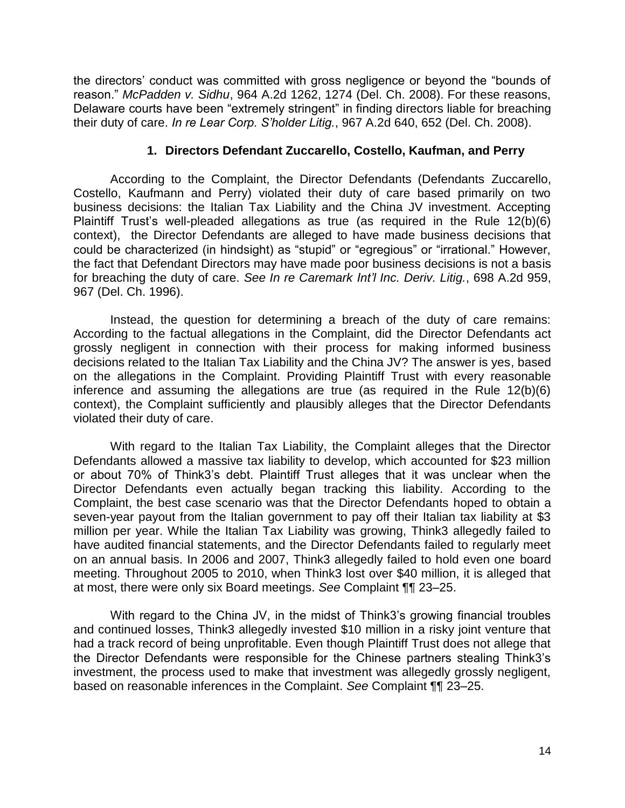the directors' conduct was committed with gross negligence or beyond the "bounds of reason." *McPadden v. Sidhu*, 964 A.2d 1262, 1274 (Del. Ch. 2008). For these reasons, Delaware courts have been "extremely stringent" in finding directors liable for breaching their duty of care. *In re Lear Corp. S'holder Litig.*, 967 A.2d 640, 652 (Del. Ch. 2008).

## **1. Directors Defendant Zuccarello, Costello, Kaufman, and Perry**

According to the Complaint, the Director Defendants (Defendants Zuccarello, Costello, Kaufmann and Perry) violated their duty of care based primarily on two business decisions: the Italian Tax Liability and the China JV investment. Accepting Plaintiff Trust's well-pleaded allegations as true (as required in the Rule 12(b)(6) context), the Director Defendants are alleged to have made business decisions that could be characterized (in hindsight) as "stupid" or "egregious" or "irrational." However, the fact that Defendant Directors may have made poor business decisions is not a basis for breaching the duty of care. *See In re Caremark Int'l Inc. Deriv. Litig.*, 698 A.2d 959, 967 (Del. Ch. 1996).

Instead, the question for determining a breach of the duty of care remains: According to the factual allegations in the Complaint, did the Director Defendants act grossly negligent in connection with their process for making informed business decisions related to the Italian Tax Liability and the China JV? The answer is yes, based on the allegations in the Complaint. Providing Plaintiff Trust with every reasonable inference and assuming the allegations are true (as required in the Rule 12(b)(6) context), the Complaint sufficiently and plausibly alleges that the Director Defendants violated their duty of care.

With regard to the Italian Tax Liability, the Complaint alleges that the Director Defendants allowed a massive tax liability to develop, which accounted for \$23 million or about 70% of Think3's debt. Plaintiff Trust alleges that it was unclear when the Director Defendants even actually began tracking this liability. According to the Complaint, the best case scenario was that the Director Defendants hoped to obtain a seven-year payout from the Italian government to pay off their Italian tax liability at \$3 million per year. While the Italian Tax Liability was growing, Think3 allegedly failed to have audited financial statements, and the Director Defendants failed to regularly meet on an annual basis. In 2006 and 2007, Think3 allegedly failed to hold even one board meeting. Throughout 2005 to 2010, when Think3 lost over \$40 million, it is alleged that at most, there were only six Board meetings. *See* Complaint ¶¶ 23–25.

With regard to the China JV, in the midst of Think3's growing financial troubles and continued losses, Think3 allegedly invested \$10 million in a risky joint venture that had a track record of being unprofitable. Even though Plaintiff Trust does not allege that the Director Defendants were responsible for the Chinese partners stealing Think3's investment, the process used to make that investment was allegedly grossly negligent, based on reasonable inferences in the Complaint. *See* Complaint ¶¶ 23–25.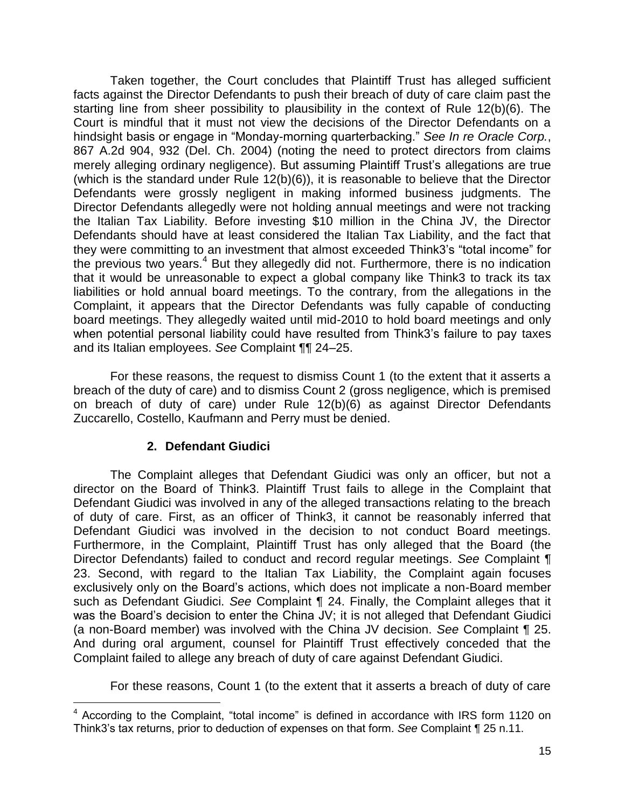Taken together, the Court concludes that Plaintiff Trust has alleged sufficient facts against the Director Defendants to push their breach of duty of care claim past the starting line from sheer possibility to plausibility in the context of Rule 12(b)(6). The Court is mindful that it must not view the decisions of the Director Defendants on a hindsight basis or engage in "Monday-morning quarterbacking." *See In re Oracle Corp.*, 867 A.2d 904, 932 (Del. Ch. 2004) (noting the need to protect directors from claims merely alleging ordinary negligence). But assuming Plaintiff Trust's allegations are true (which is the standard under Rule 12(b)(6)), it is reasonable to believe that the Director Defendants were grossly negligent in making informed business judgments. The Director Defendants allegedly were not holding annual meetings and were not tracking the Italian Tax Liability. Before investing \$10 million in the China JV, the Director Defendants should have at least considered the Italian Tax Liability, and the fact that they were committing to an investment that almost exceeded Think3's "total income" for the previous two years.<sup>4</sup> But they allegedly did not. Furthermore, there is no indication that it would be unreasonable to expect a global company like Think3 to track its tax liabilities or hold annual board meetings. To the contrary, from the allegations in the Complaint, it appears that the Director Defendants was fully capable of conducting board meetings. They allegedly waited until mid-2010 to hold board meetings and only when potential personal liability could have resulted from Think3's failure to pay taxes and its Italian employees. *See* Complaint ¶¶ 24–25.

For these reasons, the request to dismiss Count 1 (to the extent that it asserts a breach of the duty of care) and to dismiss Count 2 (gross negligence, which is premised on breach of duty of care) under Rule 12(b)(6) as against Director Defendants Zuccarello, Costello, Kaufmann and Perry must be denied.

# **2. Defendant Giudici**

 $\overline{a}$ 

The Complaint alleges that Defendant Giudici was only an officer, but not a director on the Board of Think3. Plaintiff Trust fails to allege in the Complaint that Defendant Giudici was involved in any of the alleged transactions relating to the breach of duty of care. First, as an officer of Think3, it cannot be reasonably inferred that Defendant Giudici was involved in the decision to not conduct Board meetings. Furthermore, in the Complaint, Plaintiff Trust has only alleged that the Board (the Director Defendants) failed to conduct and record regular meetings. *See* Complaint ¶ 23. Second, with regard to the Italian Tax Liability, the Complaint again focuses exclusively only on the Board's actions, which does not implicate a non-Board member such as Defendant Giudici. *See* Complaint ¶ 24. Finally, the Complaint alleges that it was the Board's decision to enter the China JV; it is not alleged that Defendant Giudici (a non-Board member) was involved with the China JV decision. *See* Complaint ¶ 25. And during oral argument, counsel for Plaintiff Trust effectively conceded that the Complaint failed to allege any breach of duty of care against Defendant Giudici.

For these reasons, Count 1 (to the extent that it asserts a breach of duty of care

<sup>&</sup>lt;sup>4</sup> According to the Complaint, "total income" is defined in accordance with IRS form 1120 on Think3's tax returns, prior to deduction of expenses on that form. *See* Complaint ¶ 25 n.11.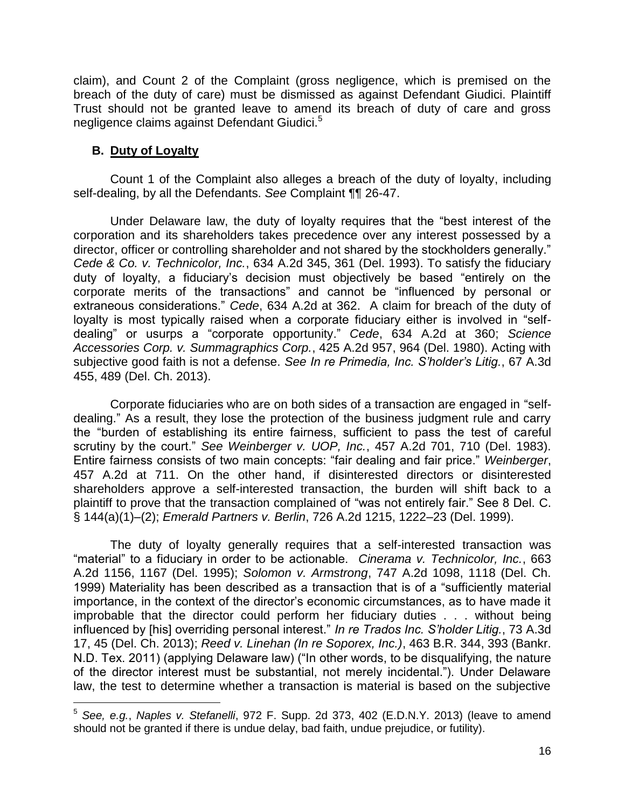claim), and Count 2 of the Complaint (gross negligence, which is premised on the breach of the duty of care) must be dismissed as against Defendant Giudici. Plaintiff Trust should not be granted leave to amend its breach of duty of care and gross negligence claims against Defendant Giudici.<sup>5</sup>

## **B. Duty of Loyalty**

 $\overline{a}$ 

Count 1 of the Complaint also alleges a breach of the duty of loyalty, including self-dealing, by all the Defendants. *See* Complaint ¶¶ 26-47.

Under Delaware law, the duty of loyalty requires that the "best interest of the corporation and its shareholders takes precedence over any interest possessed by a director, officer or controlling shareholder and not shared by the stockholders generally." *Cede & Co. v. Technicolor, Inc.*, 634 A.2d 345, 361 (Del. 1993). To satisfy the fiduciary duty of loyalty, a fiduciary's decision must objectively be based "entirely on the corporate merits of the transactions" and cannot be "influenced by personal or extraneous considerations." *Cede*, 634 A.2d at 362. A claim for breach of the duty of loyalty is most typically raised when a corporate fiduciary either is involved in "selfdealing" or usurps a "corporate opportunity." *Cede*, 634 A.2d at 360; *Science Accessories Corp. v. Summagraphics Corp.*, 425 A.2d 957, 964 (Del. 1980). Acting with subjective good faith is not a defense. *See In re Primedia, Inc. S'holder's Litig.*, 67 A.3d 455, 489 (Del. Ch. 2013).

Corporate fiduciaries who are on both sides of a transaction are engaged in "selfdealing." As a result, they lose the protection of the business judgment rule and carry the "burden of establishing its entire fairness, sufficient to pass the test of careful scrutiny by the court." *See Weinberger v. UOP, Inc.*, 457 A.2d 701, 710 (Del. 1983). Entire fairness consists of two main concepts: "fair dealing and fair price." *Weinberger*, 457 A.2d at 711. On the other hand, if disinterested directors or disinterested shareholders approve a self-interested transaction, the burden will shift back to a plaintiff to prove that the transaction complained of "was not entirely fair." See 8 Del. C. § 144(a)(1)–(2); *Emerald Partners v. Berlin*, 726 A.2d 1215, 1222–23 (Del. 1999).

The duty of loyalty generally requires that a self-interested transaction was "material" to a fiduciary in order to be actionable. *Cinerama v. Technicolor, Inc.*, 663 A.2d 1156, 1167 (Del. 1995); *Solomon v. Armstrong*, 747 A.2d 1098, 1118 (Del. Ch. 1999) Materiality has been described as a transaction that is of a "sufficiently material importance, in the context of the director's economic circumstances, as to have made it improbable that the director could perform her fiduciary duties . . . without being influenced by [his] overriding personal interest." *In re Trados Inc. S'holder Litig.*, 73 A.3d 17, 45 (Del. Ch. 2013); *Reed v. Linehan (In re Soporex, Inc.)*, 463 B.R. 344, 393 (Bankr. N.D. Tex. 2011) (applying Delaware law) ("In other words, to be disqualifying, the nature of the director interest must be substantial, not merely incidental."). Under Delaware law, the test to determine whether a transaction is material is based on the subjective

<sup>5</sup> *See, e.g.*, *Naples v. Stefanelli*, 972 F. Supp. 2d 373, 402 (E.D.N.Y. 2013) (leave to amend should not be granted if there is undue delay, bad faith, undue prejudice, or futility).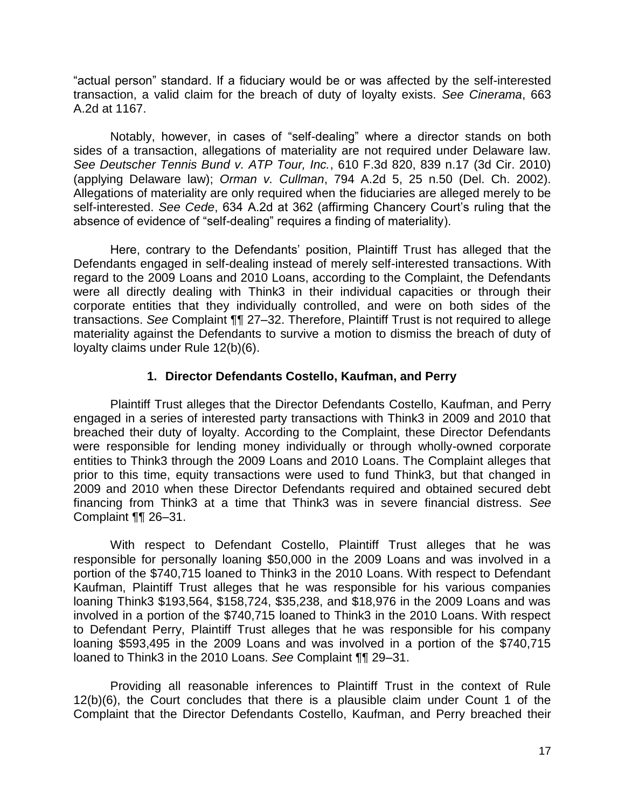"actual person" standard. If a fiduciary would be or was affected by the self-interested transaction, a valid claim for the breach of duty of loyalty exists. *See Cinerama*, 663 A.2d at 1167.

Notably, however, in cases of "self-dealing" where a director stands on both sides of a transaction, allegations of materiality are not required under Delaware law. *See Deutscher Tennis Bund v. ATP Tour, Inc.*, 610 F.3d 820, 839 n.17 (3d Cir. 2010) (applying Delaware law); *Orman v. Cullman*, 794 A.2d 5, 25 n.50 (Del. Ch. 2002). Allegations of materiality are only required when the fiduciaries are alleged merely to be self-interested. *See Cede*, 634 A.2d at 362 (affirming Chancery Court's ruling that the absence of evidence of "self-dealing" requires a finding of materiality).

Here, contrary to the Defendants' position, Plaintiff Trust has alleged that the Defendants engaged in self-dealing instead of merely self-interested transactions. With regard to the 2009 Loans and 2010 Loans, according to the Complaint, the Defendants were all directly dealing with Think3 in their individual capacities or through their corporate entities that they individually controlled, and were on both sides of the transactions. *See* Complaint ¶¶ 27–32. Therefore, Plaintiff Trust is not required to allege materiality against the Defendants to survive a motion to dismiss the breach of duty of loyalty claims under Rule 12(b)(6).

# **1. Director Defendants Costello, Kaufman, and Perry**

Plaintiff Trust alleges that the Director Defendants Costello, Kaufman, and Perry engaged in a series of interested party transactions with Think3 in 2009 and 2010 that breached their duty of loyalty. According to the Complaint, these Director Defendants were responsible for lending money individually or through wholly-owned corporate entities to Think3 through the 2009 Loans and 2010 Loans. The Complaint alleges that prior to this time, equity transactions were used to fund Think3, but that changed in 2009 and 2010 when these Director Defendants required and obtained secured debt financing from Think3 at a time that Think3 was in severe financial distress. *See*  Complaint ¶¶ 26–31.

With respect to Defendant Costello, Plaintiff Trust alleges that he was responsible for personally loaning \$50,000 in the 2009 Loans and was involved in a portion of the \$740,715 loaned to Think3 in the 2010 Loans. With respect to Defendant Kaufman, Plaintiff Trust alleges that he was responsible for his various companies loaning Think3 \$193,564, \$158,724, \$35,238, and \$18,976 in the 2009 Loans and was involved in a portion of the \$740,715 loaned to Think3 in the 2010 Loans. With respect to Defendant Perry, Plaintiff Trust alleges that he was responsible for his company loaning \$593,495 in the 2009 Loans and was involved in a portion of the \$740,715 loaned to Think3 in the 2010 Loans. *See* Complaint ¶¶ 29–31.

Providing all reasonable inferences to Plaintiff Trust in the context of Rule 12(b)(6), the Court concludes that there is a plausible claim under Count 1 of the Complaint that the Director Defendants Costello, Kaufman, and Perry breached their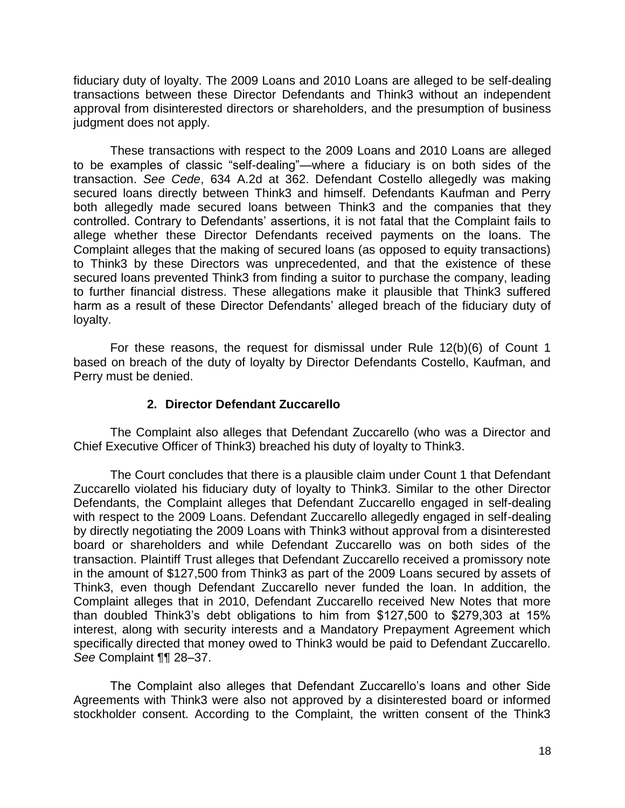fiduciary duty of loyalty. The 2009 Loans and 2010 Loans are alleged to be self-dealing transactions between these Director Defendants and Think3 without an independent approval from disinterested directors or shareholders, and the presumption of business judgment does not apply.

These transactions with respect to the 2009 Loans and 2010 Loans are alleged to be examples of classic "self-dealing"—where a fiduciary is on both sides of the transaction. *See Cede*, 634 A.2d at 362. Defendant Costello allegedly was making secured loans directly between Think3 and himself. Defendants Kaufman and Perry both allegedly made secured loans between Think3 and the companies that they controlled. Contrary to Defendants' assertions, it is not fatal that the Complaint fails to allege whether these Director Defendants received payments on the loans. The Complaint alleges that the making of secured loans (as opposed to equity transactions) to Think3 by these Directors was unprecedented, and that the existence of these secured loans prevented Think3 from finding a suitor to purchase the company, leading to further financial distress. These allegations make it plausible that Think3 suffered harm as a result of these Director Defendants' alleged breach of the fiduciary duty of loyalty.

For these reasons, the request for dismissal under Rule 12(b)(6) of Count 1 based on breach of the duty of loyalty by Director Defendants Costello, Kaufman, and Perry must be denied.

## **2. Director Defendant Zuccarello**

The Complaint also alleges that Defendant Zuccarello (who was a Director and Chief Executive Officer of Think3) breached his duty of loyalty to Think3.

 The Court concludes that there is a plausible claim under Count 1 that Defendant Zuccarello violated his fiduciary duty of loyalty to Think3. Similar to the other Director Defendants, the Complaint alleges that Defendant Zuccarello engaged in self-dealing with respect to the 2009 Loans. Defendant Zuccarello allegedly engaged in self-dealing by directly negotiating the 2009 Loans with Think3 without approval from a disinterested board or shareholders and while Defendant Zuccarello was on both sides of the transaction. Plaintiff Trust alleges that Defendant Zuccarello received a promissory note in the amount of \$127,500 from Think3 as part of the 2009 Loans secured by assets of Think3, even though Defendant Zuccarello never funded the loan. In addition, the Complaint alleges that in 2010, Defendant Zuccarello received New Notes that more than doubled Think3's debt obligations to him from \$127,500 to \$279,303 at 15% interest, along with security interests and a Mandatory Prepayment Agreement which specifically directed that money owed to Think3 would be paid to Defendant Zuccarello. *See* Complaint ¶¶ 28–37.

The Complaint also alleges that Defendant Zuccarello's loans and other Side Agreements with Think3 were also not approved by a disinterested board or informed stockholder consent. According to the Complaint, the written consent of the Think3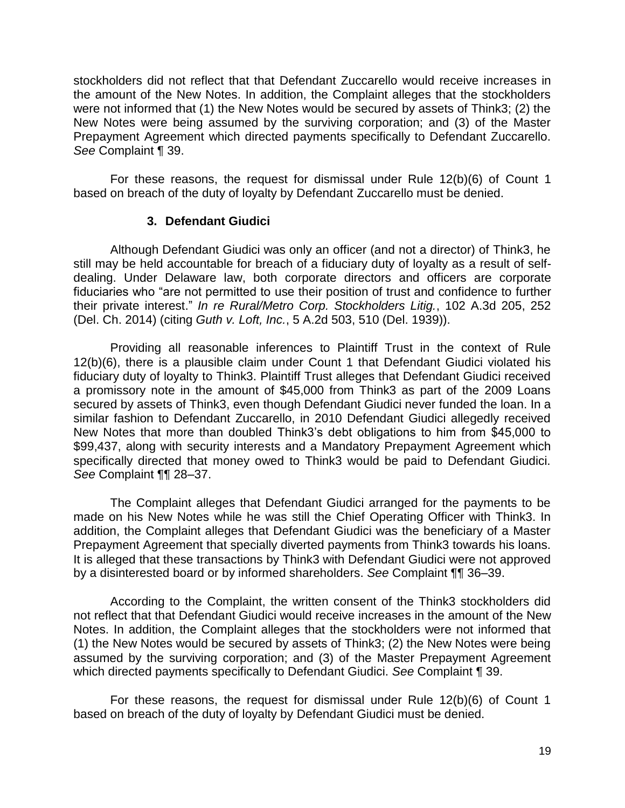stockholders did not reflect that that Defendant Zuccarello would receive increases in the amount of the New Notes. In addition, the Complaint alleges that the stockholders were not informed that (1) the New Notes would be secured by assets of Think3; (2) the New Notes were being assumed by the surviving corporation; and (3) of the Master Prepayment Agreement which directed payments specifically to Defendant Zuccarello. *See* Complaint ¶ 39.

For these reasons, the request for dismissal under Rule 12(b)(6) of Count 1 based on breach of the duty of loyalty by Defendant Zuccarello must be denied.

### **3. Defendant Giudici**

Although Defendant Giudici was only an officer (and not a director) of Think3, he still may be held accountable for breach of a fiduciary duty of loyalty as a result of selfdealing. Under Delaware law, both corporate directors and officers are corporate fiduciaries who "are not permitted to use their position of trust and confidence to further their private interest." *In re Rural/Metro Corp. Stockholders Litig.*, 102 A.3d 205, 252 (Del. Ch. 2014) (citing *Guth v. Loft, Inc.*, 5 A.2d 503, 510 (Del. 1939)).

 Providing all reasonable inferences to Plaintiff Trust in the context of Rule 12(b)(6), there is a plausible claim under Count 1 that Defendant Giudici violated his fiduciary duty of loyalty to Think3. Plaintiff Trust alleges that Defendant Giudici received a promissory note in the amount of \$45,000 from Think3 as part of the 2009 Loans secured by assets of Think3, even though Defendant Giudici never funded the loan. In a similar fashion to Defendant Zuccarello, in 2010 Defendant Giudici allegedly received New Notes that more than doubled Think3's debt obligations to him from \$45,000 to \$99,437, along with security interests and a Mandatory Prepayment Agreement which specifically directed that money owed to Think3 would be paid to Defendant Giudici. *See* Complaint ¶¶ 28–37.

 The Complaint alleges that Defendant Giudici arranged for the payments to be made on his New Notes while he was still the Chief Operating Officer with Think3. In addition, the Complaint alleges that Defendant Giudici was the beneficiary of a Master Prepayment Agreement that specially diverted payments from Think3 towards his loans. It is alleged that these transactions by Think3 with Defendant Giudici were not approved by a disinterested board or by informed shareholders. *See* Complaint ¶¶ 36–39.

 According to the Complaint, the written consent of the Think3 stockholders did not reflect that that Defendant Giudici would receive increases in the amount of the New Notes. In addition, the Complaint alleges that the stockholders were not informed that (1) the New Notes would be secured by assets of Think3; (2) the New Notes were being assumed by the surviving corporation; and (3) of the Master Prepayment Agreement which directed payments specifically to Defendant Giudici. *See* Complaint ¶ 39.

 For these reasons, the request for dismissal under Rule 12(b)(6) of Count 1 based on breach of the duty of loyalty by Defendant Giudici must be denied.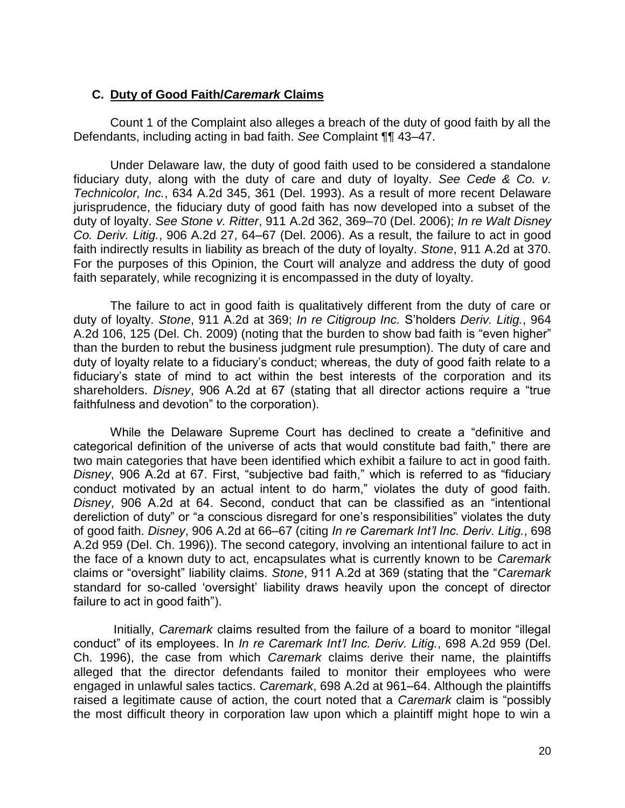## **C. Duty of Good Faith/***Caremark* **Claims**

Count 1 of the Complaint also alleges a breach of the duty of good faith by all the Defendants, including acting in bad faith. *See* Complaint ¶¶ 43–47.

Under Delaware law, the duty of good faith used to be considered a standalone fiduciary duty, along with the duty of care and duty of loyalty. *See Cede & Co. v. Technicolor, Inc.*, 634 A.2d 345, 361 (Del. 1993). As a result of more recent Delaware jurisprudence, the fiduciary duty of good faith has now developed into a subset of the duty of loyalty. *See Stone v. Ritter*, 911 A.2d 362, 369–70 (Del. 2006); *In re Walt Disney Co. Deriv. Litig.*, 906 A.2d 27, 64–67 (Del. 2006). As a result, the failure to act in good faith indirectly results in liability as breach of the duty of loyalty. *Stone*, 911 A.2d at 370. For the purposes of this Opinion, the Court will analyze and address the duty of good faith separately, while recognizing it is encompassed in the duty of loyalty.

The failure to act in good faith is qualitatively different from the duty of care or duty of loyalty. *Stone*, 911 A.2d at 369; *In re Citigroup Inc.* S'holders *Deriv. Litig.*, 964 A.2d 106, 125 (Del. Ch. 2009) (noting that the burden to show bad faith is "even higher" than the burden to rebut the business judgment rule presumption). The duty of care and duty of loyalty relate to a fiduciary's conduct; whereas, the duty of good faith relate to a fiduciary's state of mind to act within the best interests of the corporation and its shareholders. *Disney*, 906 A.2d at 67 (stating that all director actions require a "true faithfulness and devotion" to the corporation).

While the Delaware Supreme Court has declined to create a "definitive and categorical definition of the universe of acts that would constitute bad faith," there are two main categories that have been identified which exhibit a failure to act in good faith. *Disney*, 906 A.2d at 67. First, "subjective bad faith," which is referred to as "fiduciary conduct motivated by an actual intent to do harm," violates the duty of good faith. *Disney*, 906 A.2d at 64. Second, conduct that can be classified as an "intentional dereliction of duty" or "a conscious disregard for one's responsibilities" violates the duty of good faith. *Disney*, 906 A.2d at 66–67 (citing *In re Caremark Int'l Inc. Deriv. Litig.*, 698 A.2d 959 (Del. Ch. 1996)). The second category, involving an intentional failure to act in the face of a known duty to act, encapsulates what is currently known to be *Caremark* claims or "oversight" liability claims. *Stone*, 911 A.2d at 369 (stating that the "*Caremark*  standard for so-called 'oversight' liability draws heavily upon the concept of director failure to act in good faith").

 Initially, *Caremark* claims resulted from the failure of a board to monitor "illegal conduct" of its employees. In *In re Caremark Int'l Inc. Deriv. Litig.*, 698 A.2d 959 (Del. Ch. 1996), the case from which *Caremark* claims derive their name, the plaintiffs alleged that the director defendants failed to monitor their employees who were engaged in unlawful sales tactics. *Caremark*, 698 A.2d at 961–64. Although the plaintiffs raised a legitimate cause of action, the court noted that a *Caremark* claim is "possibly the most difficult theory in corporation law upon which a plaintiff might hope to win a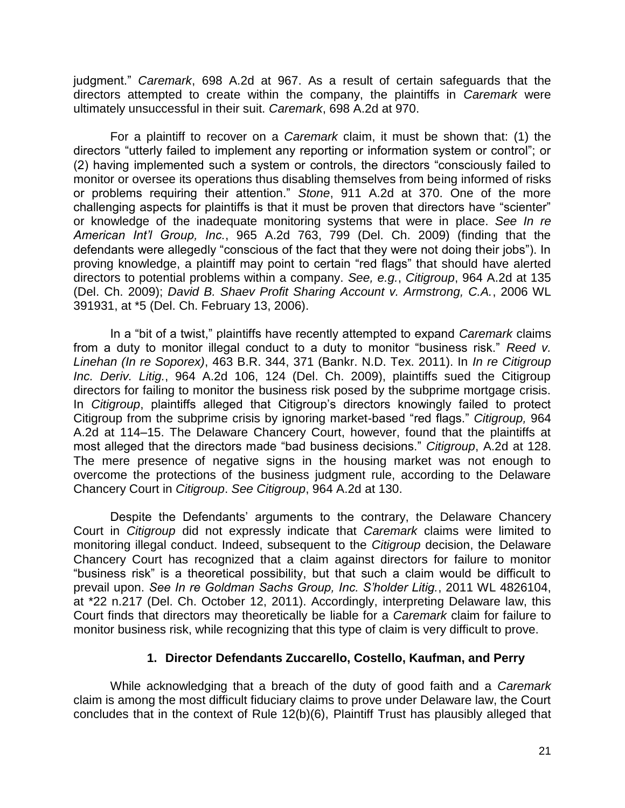judgment." *Caremark*, 698 A.2d at 967. As a result of certain safeguards that the directors attempted to create within the company, the plaintiffs in *Caremark* were ultimately unsuccessful in their suit. *Caremark*, 698 A.2d at 970.

For a plaintiff to recover on a *Caremark* claim, it must be shown that: (1) the directors "utterly failed to implement any reporting or information system or control"; or (2) having implemented such a system or controls, the directors "consciously failed to monitor or oversee its operations thus disabling themselves from being informed of risks or problems requiring their attention." *Stone*, 911 A.2d at 370. One of the more challenging aspects for plaintiffs is that it must be proven that directors have "scienter" or knowledge of the inadequate monitoring systems that were in place. *See In re American Int'l Group, Inc.*, 965 A.2d 763, 799 (Del. Ch. 2009) (finding that the defendants were allegedly "conscious of the fact that they were not doing their jobs"). In proving knowledge, a plaintiff may point to certain "red flags" that should have alerted directors to potential problems within a company. *See, e.g.*, *Citigroup*, 964 A.2d at 135 (Del. Ch. 2009); *David B. Shaev Profit Sharing Account v. Armstrong, C.A.*, 2006 WL 391931, at \*5 (Del. Ch. February 13, 2006).

In a "bit of a twist," plaintiffs have recently attempted to expand *Caremark* claims from a duty to monitor illegal conduct to a duty to monitor "business risk." *Reed v. Linehan (In re Soporex)*, 463 B.R. 344, 371 (Bankr. N.D. Tex. 2011). In *In re Citigroup Inc. Deriv. Litig.*, 964 A.2d 106, 124 (Del. Ch. 2009), plaintiffs sued the Citigroup directors for failing to monitor the business risk posed by the subprime mortgage crisis. In *Citigroup*, plaintiffs alleged that Citigroup's directors knowingly failed to protect Citigroup from the subprime crisis by ignoring market-based "red flags." *Citigroup,* 964 A.2d at 114–15. The Delaware Chancery Court, however, found that the plaintiffs at most alleged that the directors made "bad business decisions." *Citigroup*, A.2d at 128. The mere presence of negative signs in the housing market was not enough to overcome the protections of the business judgment rule, according to the Delaware Chancery Court in *Citigroup*. *See Citigroup*, 964 A.2d at 130.

Despite the Defendants' arguments to the contrary, the Delaware Chancery Court in *Citigroup* did not expressly indicate that *Caremark* claims were limited to monitoring illegal conduct. Indeed, subsequent to the *Citigroup* decision, the Delaware Chancery Court has recognized that a claim against directors for failure to monitor "business risk" is a theoretical possibility, but that such a claim would be difficult to prevail upon. *See In re Goldman Sachs Group, Inc. S'holder Litig.*, 2011 WL 4826104, at \*22 n.217 (Del. Ch. October 12, 2011). Accordingly, interpreting Delaware law, this Court finds that directors may theoretically be liable for a *Caremark* claim for failure to monitor business risk, while recognizing that this type of claim is very difficult to prove.

## **1. Director Defendants Zuccarello, Costello, Kaufman, and Perry**

While acknowledging that a breach of the duty of good faith and a *Caremark*  claim is among the most difficult fiduciary claims to prove under Delaware law, the Court concludes that in the context of Rule 12(b)(6), Plaintiff Trust has plausibly alleged that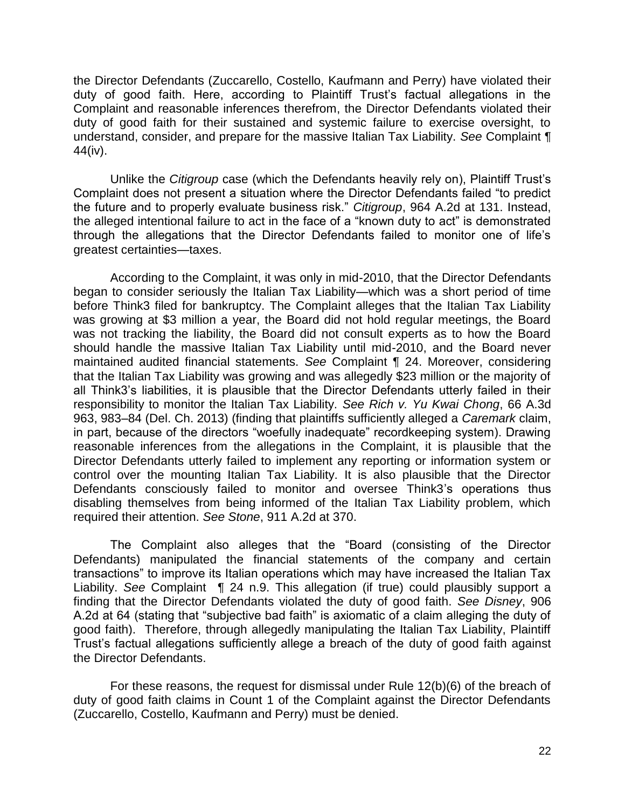the Director Defendants (Zuccarello, Costello, Kaufmann and Perry) have violated their duty of good faith. Here, according to Plaintiff Trust's factual allegations in the Complaint and reasonable inferences therefrom, the Director Defendants violated their duty of good faith for their sustained and systemic failure to exercise oversight, to understand, consider, and prepare for the massive Italian Tax Liability. *See* Complaint ¶ 44(iv).

Unlike the *Citigroup* case (which the Defendants heavily rely on), Plaintiff Trust's Complaint does not present a situation where the Director Defendants failed "to predict the future and to properly evaluate business risk." *Citigroup*, 964 A.2d at 131. Instead, the alleged intentional failure to act in the face of a "known duty to act" is demonstrated through the allegations that the Director Defendants failed to monitor one of life's greatest certainties—taxes.

According to the Complaint, it was only in mid-2010, that the Director Defendants began to consider seriously the Italian Tax Liability—which was a short period of time before Think3 filed for bankruptcy. The Complaint alleges that the Italian Tax Liability was growing at \$3 million a year, the Board did not hold regular meetings, the Board was not tracking the liability, the Board did not consult experts as to how the Board should handle the massive Italian Tax Liability until mid-2010, and the Board never maintained audited financial statements. *See* Complaint ¶ 24. Moreover, considering that the Italian Tax Liability was growing and was allegedly \$23 million or the majority of all Think3's liabilities, it is plausible that the Director Defendants utterly failed in their responsibility to monitor the Italian Tax Liability. *See Rich v. Yu Kwai Chong*, 66 A.3d 963, 983–84 (Del. Ch. 2013) (finding that plaintiffs sufficiently alleged a *Caremark* claim, in part, because of the directors "woefully inadequate" recordkeeping system). Drawing reasonable inferences from the allegations in the Complaint, it is plausible that the Director Defendants utterly failed to implement any reporting or information system or control over the mounting Italian Tax Liability. It is also plausible that the Director Defendants consciously failed to monitor and oversee Think3's operations thus disabling themselves from being informed of the Italian Tax Liability problem, which required their attention. *See Stone*, 911 A.2d at 370.

The Complaint also alleges that the "Board (consisting of the Director Defendants) manipulated the financial statements of the company and certain transactions" to improve its Italian operations which may have increased the Italian Tax Liability. *See* Complaint ¶ 24 n.9. This allegation (if true) could plausibly support a finding that the Director Defendants violated the duty of good faith. *See Disney*, 906 A.2d at 64 (stating that "subjective bad faith" is axiomatic of a claim alleging the duty of good faith). Therefore, through allegedly manipulating the Italian Tax Liability, Plaintiff Trust's factual allegations sufficiently allege a breach of the duty of good faith against the Director Defendants.

For these reasons, the request for dismissal under Rule 12(b)(6) of the breach of duty of good faith claims in Count 1 of the Complaint against the Director Defendants (Zuccarello, Costello, Kaufmann and Perry) must be denied.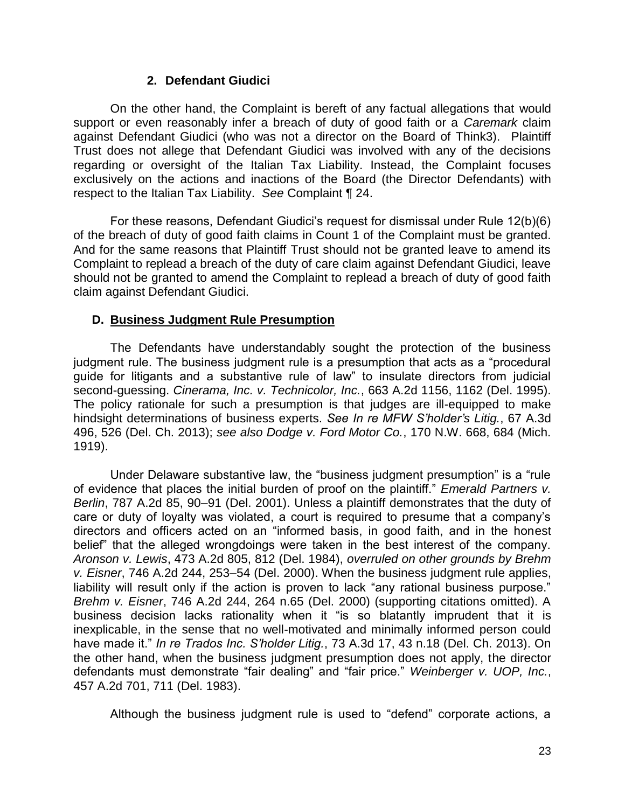# **2. Defendant Giudici**

On the other hand, the Complaint is bereft of any factual allegations that would support or even reasonably infer a breach of duty of good faith or a *Caremark* claim against Defendant Giudici (who was not a director on the Board of Think3). Plaintiff Trust does not allege that Defendant Giudici was involved with any of the decisions regarding or oversight of the Italian Tax Liability. Instead, the Complaint focuses exclusively on the actions and inactions of the Board (the Director Defendants) with respect to the Italian Tax Liability. *See* Complaint ¶ 24.

For these reasons, Defendant Giudici's request for dismissal under Rule 12(b)(6) of the breach of duty of good faith claims in Count 1 of the Complaint must be granted. And for the same reasons that Plaintiff Trust should not be granted leave to amend its Complaint to replead a breach of the duty of care claim against Defendant Giudici, leave should not be granted to amend the Complaint to replead a breach of duty of good faith claim against Defendant Giudici.

## **D. Business Judgment Rule Presumption**

The Defendants have understandably sought the protection of the business judgment rule. The business judgment rule is a presumption that acts as a "procedural guide for litigants and a substantive rule of law" to insulate directors from judicial second-guessing. *Cinerama, Inc. v. Technicolor, Inc.*, 663 A.2d 1156, 1162 (Del. 1995). The policy rationale for such a presumption is that judges are ill-equipped to make hindsight determinations of business experts. *See In re MFW S'holder's Litig.*, 67 A.3d 496, 526 (Del. Ch. 2013); *see also Dodge v. Ford Motor Co.*, 170 N.W. 668, 684 (Mich. 1919).

Under Delaware substantive law, the "business judgment presumption" is a "rule of evidence that places the initial burden of proof on the plaintiff." *Emerald Partners v. Berlin*, 787 A.2d 85, 90–91 (Del. 2001). Unless a plaintiff demonstrates that the duty of care or duty of loyalty was violated, a court is required to presume that a company's directors and officers acted on an "informed basis, in good faith, and in the honest belief" that the alleged wrongdoings were taken in the best interest of the company. *Aronson v. Lewis*, 473 A.2d 805, 812 (Del. 1984), *overruled on other grounds by Brehm v. Eisner*, 746 A.2d 244, 253–54 (Del. 2000). When the business judgment rule applies, liability will result only if the action is proven to lack "any rational business purpose." *Brehm v. Eisner*, 746 A.2d 244, 264 n.65 (Del. 2000) (supporting citations omitted). A business decision lacks rationality when it "is so blatantly imprudent that it is inexplicable, in the sense that no well-motivated and minimally informed person could have made it." *In re Trados Inc. S'holder Litig.*, 73 A.3d 17, 43 n.18 (Del. Ch. 2013). On the other hand, when the business judgment presumption does not apply, the director defendants must demonstrate "fair dealing" and "fair price." *Weinberger v. UOP, Inc.*, 457 A.2d 701, 711 (Del. 1983).

Although the business judgment rule is used to "defend" corporate actions, a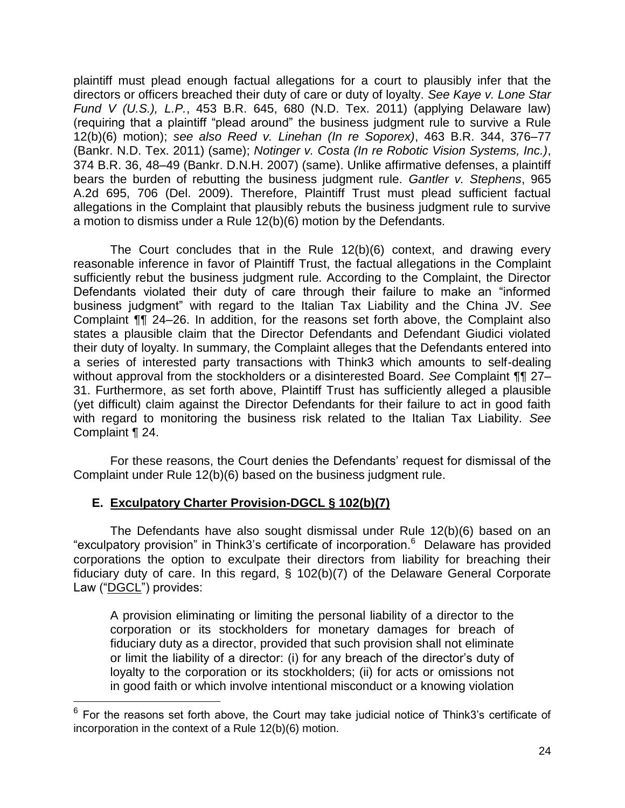plaintiff must plead enough factual allegations for a court to plausibly infer that the directors or officers breached their duty of care or duty of loyalty. *See Kaye v. Lone Star Fund V (U.S.), L.P.*, 453 B.R. 645, 680 (N.D. Tex. 2011) (applying Delaware law) (requiring that a plaintiff "plead around" the business judgment rule to survive a Rule 12(b)(6) motion); *see also Reed v. Linehan (In re Soporex)*, 463 B.R. 344, 376–77 (Bankr. N.D. Tex. 2011) (same); *Notinger v. Costa (In re Robotic Vision Systems, Inc.)*, 374 B.R. 36, 48–49 (Bankr. D.N.H. 2007) (same). Unlike affirmative defenses, a plaintiff bears the burden of rebutting the business judgment rule. *Gantler v. Stephens*, 965 A.2d 695, 706 (Del. 2009). Therefore, Plaintiff Trust must plead sufficient factual allegations in the Complaint that plausibly rebuts the business judgment rule to survive a motion to dismiss under a Rule 12(b)(6) motion by the Defendants.

 The Court concludes that in the Rule 12(b)(6) context, and drawing every reasonable inference in favor of Plaintiff Trust, the factual allegations in the Complaint sufficiently rebut the business judgment rule. According to the Complaint, the Director Defendants violated their duty of care through their failure to make an "informed business judgment" with regard to the Italian Tax Liability and the China JV. *See*  Complaint ¶¶ 24–26. In addition, for the reasons set forth above, the Complaint also states a plausible claim that the Director Defendants and Defendant Giudici violated their duty of loyalty. In summary, the Complaint alleges that the Defendants entered into a series of interested party transactions with Think3 which amounts to self-dealing without approval from the stockholders or a disinterested Board. *See* Complaint ¶¶ 27– 31. Furthermore, as set forth above, Plaintiff Trust has sufficiently alleged a plausible (yet difficult) claim against the Director Defendants for their failure to act in good faith with regard to monitoring the business risk related to the Italian Tax Liability. *See*  Complaint ¶ 24.

For these reasons, the Court denies the Defendants' request for dismissal of the Complaint under Rule 12(b)(6) based on the business judgment rule.

# **E. Exculpatory Charter Provision-DGCL § 102(b)(7)**

The Defendants have also sought dismissal under Rule 12(b)(6) based on an "exculpatory provision" in Think3's certificate of incorporation.<sup>6</sup> Delaware has provided corporations the option to exculpate their directors from liability for breaching their fiduciary duty of care. In this regard, § 102(b)(7) of the Delaware General Corporate Law ("DGCL") provides:

A provision eliminating or limiting the personal liability of a director to the corporation or its stockholders for monetary damages for breach of fiduciary duty as a director, provided that such provision shall not eliminate or limit the liability of a director: (i) for any breach of the director's duty of loyalty to the corporation or its stockholders; (ii) for acts or omissions not in good faith or which involve intentional misconduct or a knowing violation

<sup>————————————————————&</sup>lt;br><sup>6</sup> For the reasons set forth above, the Court may take judicial notice of Think3's certificate of incorporation in the context of a Rule 12(b)(6) motion.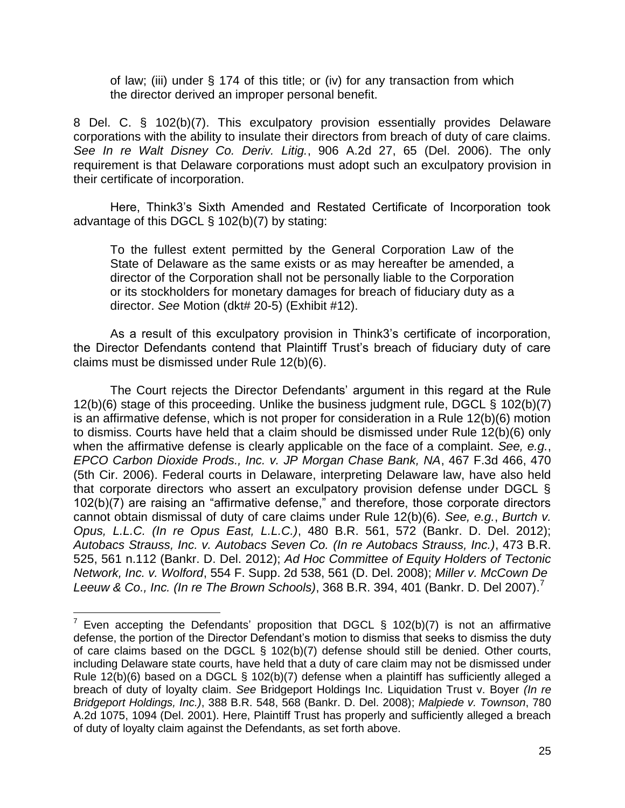of law; (iii) under § 174 of this title; or (iv) for any transaction from which the director derived an improper personal benefit.

8 Del. C. § 102(b)(7). This exculpatory provision essentially provides Delaware corporations with the ability to insulate their directors from breach of duty of care claims. *See In re Walt Disney Co. Deriv. Litig.*, 906 A.2d 27, 65 (Del. 2006). The only requirement is that Delaware corporations must adopt such an exculpatory provision in their certificate of incorporation.

Here, Think3's Sixth Amended and Restated Certificate of Incorporation took advantage of this DGCL § 102(b)(7) by stating:

To the fullest extent permitted by the General Corporation Law of the State of Delaware as the same exists or as may hereafter be amended, a director of the Corporation shall not be personally liable to the Corporation or its stockholders for monetary damages for breach of fiduciary duty as a director. *See* Motion (dkt# 20-5) (Exhibit #12).

As a result of this exculpatory provision in Think3's certificate of incorporation, the Director Defendants contend that Plaintiff Trust's breach of fiduciary duty of care claims must be dismissed under Rule 12(b)(6).

 The Court rejects the Director Defendants' argument in this regard at the Rule 12(b)(6) stage of this proceeding. Unlike the business judgment rule, DGCL § 102(b)(7) is an affirmative defense, which is not proper for consideration in a Rule 12(b)(6) motion to dismiss. Courts have held that a claim should be dismissed under Rule 12(b)(6) only when the affirmative defense is clearly applicable on the face of a complaint. *See, e.g.*, *EPCO Carbon Dioxide Prods., Inc. v. JP Morgan Chase Bank, NA*, 467 F.3d 466, 470 (5th Cir. 2006). Federal courts in Delaware, interpreting Delaware law, have also held that corporate directors who assert an exculpatory provision defense under DGCL § 102(b)(7) are raising an "affirmative defense," and therefore, those corporate directors cannot obtain dismissal of duty of care claims under Rule 12(b)(6). *See, e.g.*, *Burtch v. Opus, L.L.C. (In re Opus East, L.L.C.)*, 480 B.R. 561, 572 (Bankr. D. Del. 2012); *Autobacs Strauss, Inc. v. Autobacs Seven Co. (In re Autobacs Strauss, Inc.)*, 473 B.R. 525, 561 n.112 (Bankr. D. Del. 2012); *Ad Hoc Committee of Equity Holders of Tectonic Network, Inc. v. Wolford*, 554 F. Supp. 2d 538, 561 (D. Del. 2008); *Miller v. McCown De Leeuw & Co., Inc. (In re The Brown Schools)*, 368 B.R. 394, 401 (Bankr. D. Del 2007).<sup>7</sup>

TO THE TREAD TREAD TREAD TREAD TREAD TREAD TREAD TREAD TREAD TREAD TREAD TREAD TREAD TREAD TREAD TREAD TREAD T<br>To Even accepting the Defendants' proposition that DGCL § 102(b)(7) is not an affirmative defense, the portion of the Director Defendant's motion to dismiss that seeks to dismiss the duty of care claims based on the DGCL § 102(b)(7) defense should still be denied. Other courts, including Delaware state courts, have held that a duty of care claim may not be dismissed under Rule  $12(b)(6)$  based on a DGCL §  $102(b)(7)$  defense when a plaintiff has sufficiently alleged a breach of duty of loyalty claim. *See* Bridgeport Holdings Inc. Liquidation Trust v. Boyer *(In re Bridgeport Holdings, Inc.)*, 388 B.R. 548, 568 (Bankr. D. Del. 2008); *Malpiede v. Townson*, 780 A.2d 1075, 1094 (Del. 2001). Here, Plaintiff Trust has properly and sufficiently alleged a breach of duty of loyalty claim against the Defendants, as set forth above.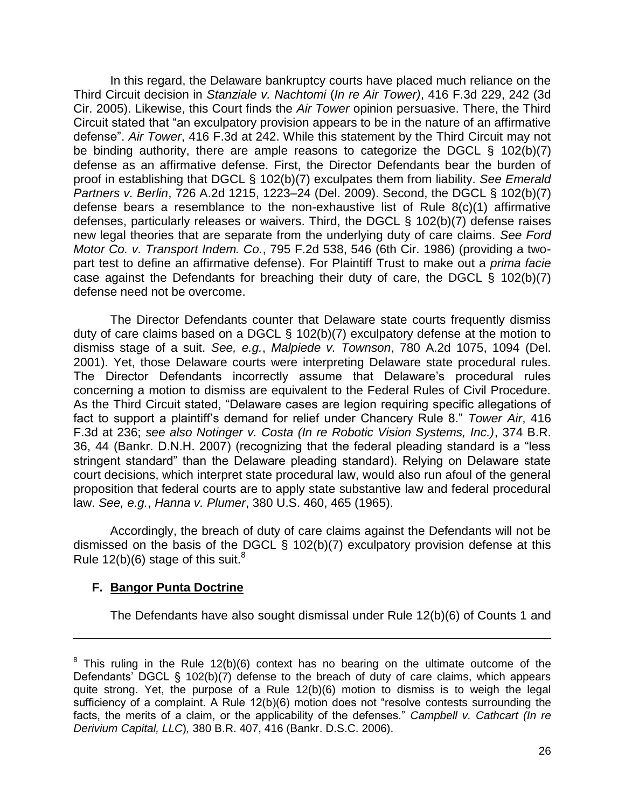In this regard, the Delaware bankruptcy courts have placed much reliance on the Third Circuit decision in *Stanziale v. Nachtomi* (*In re Air Tower)*, 416 F.3d 229, 242 (3d Cir. 2005). Likewise, this Court finds the *Air Tower* opinion persuasive. There, the Third Circuit stated that "an exculpatory provision appears to be in the nature of an affirmative defense". *Air Tower*, 416 F.3d at 242. While this statement by the Third Circuit may not be binding authority, there are ample reasons to categorize the DGCL § 102(b)(7) defense as an affirmative defense. First, the Director Defendants bear the burden of proof in establishing that DGCL § 102(b)(7) exculpates them from liability. *See Emerald Partners v. Berlin*, 726 A.2d 1215, 1223–24 (Del. 2009). Second, the DGCL § 102(b)(7) defense bears a resemblance to the non-exhaustive list of Rule 8(c)(1) affirmative defenses, particularly releases or waivers. Third, the DGCL § 102(b)(7) defense raises new legal theories that are separate from the underlying duty of care claims. *See Ford Motor Co. v. Transport Indem. Co.*, 795 F.2d 538, 546 (6th Cir. 1986) (providing a twopart test to define an affirmative defense). For Plaintiff Trust to make out a *prima facie* case against the Defendants for breaching their duty of care, the DGCL § 102(b)(7) defense need not be overcome.

The Director Defendants counter that Delaware state courts frequently dismiss duty of care claims based on a DGCL § 102(b)(7) exculpatory defense at the motion to dismiss stage of a suit. *See, e.g.*, *Malpiede v. Townson*, 780 A.2d 1075, 1094 (Del. 2001). Yet, those Delaware courts were interpreting Delaware state procedural rules. The Director Defendants incorrectly assume that Delaware's procedural rules concerning a motion to dismiss are equivalent to the Federal Rules of Civil Procedure. As the Third Circuit stated, "Delaware cases are legion requiring specific allegations of fact to support a plaintiff's demand for relief under Chancery Rule 8." *Tower Air*, 416 F.3d at 236; *see also Notinger v. Costa (In re Robotic Vision Systems, Inc.)*, 374 B.R. 36, 44 (Bankr. D.N.H. 2007) (recognizing that the federal pleading standard is a "less stringent standard" than the Delaware pleading standard). Relying on Delaware state court decisions, which interpret state procedural law, would also run afoul of the general proposition that federal courts are to apply state substantive law and federal procedural law. *See, e.g.*, *Hanna v. Plumer*, 380 U.S. 460, 465 (1965).

 Accordingly, the breach of duty of care claims against the Defendants will not be dismissed on the basis of the DGCL § 102(b)(7) exculpatory provision defense at this Rule  $12(b)(6)$  stage of this suit.<sup>8</sup>

## **F. Bangor Punta Doctrine**

 $\overline{a}$ 

The Defendants have also sought dismissal under Rule 12(b)(6) of Counts 1 and

 $8$  This ruling in the Rule 12(b)(6) context has no bearing on the ultimate outcome of the Defendants' DGCL § 102(b)(7) defense to the breach of duty of care claims, which appears quite strong. Yet, the purpose of a Rule 12(b)(6) motion to dismiss is to weigh the legal sufficiency of a complaint. A Rule 12(b)(6) motion does not "resolve contests surrounding the facts, the merits of a claim, or the applicability of the defenses." *Campbell v. Cathcart (In re Derivium Capital, LLC*)*,* 380 B.R. 407, 416 (Bankr. D.S.C. 2006).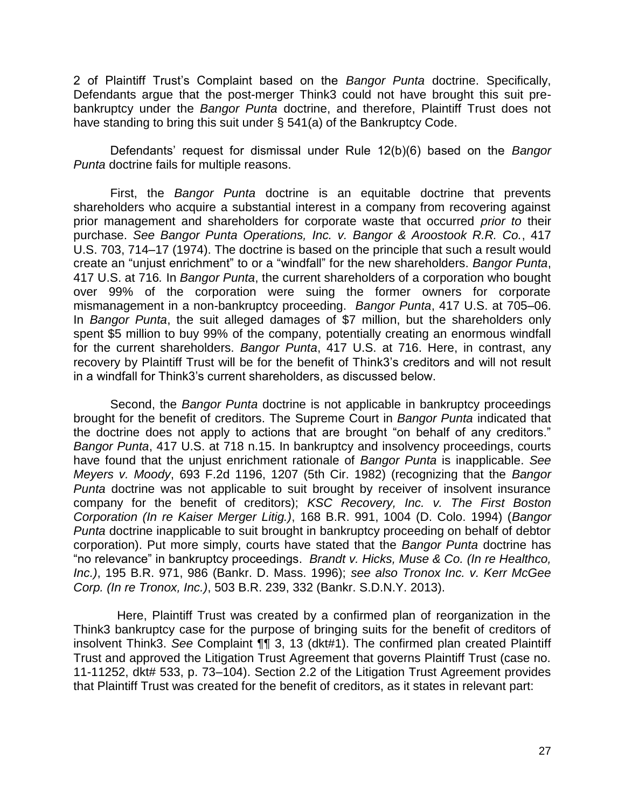2 of Plaintiff Trust's Complaint based on the *Bangor Punta* doctrine. Specifically, Defendants argue that the post-merger Think3 could not have brought this suit prebankruptcy under the *Bangor Punta* doctrine, and therefore, Plaintiff Trust does not have standing to bring this suit under § 541(a) of the Bankruptcy Code.

Defendants' request for dismissal under Rule 12(b)(6) based on the *Bangor Punta* doctrine fails for multiple reasons.

First, the *Bangor Punta* doctrine is an equitable doctrine that prevents shareholders who acquire a substantial interest in a company from recovering against prior management and shareholders for corporate waste that occurred *prior to* their purchase. *See Bangor Punta Operations, Inc. v. Bangor & Aroostook R.R. Co.*, 417 U.S. 703, 714–17 (1974). The doctrine is based on the principle that such a result would create an "unjust enrichment" to or a "windfall" for the new shareholders. *Bangor Punta*, 417 U.S. at 716*.* In *Bangor Punta*, the current shareholders of a corporation who bought over 99% of the corporation were suing the former owners for corporate mismanagement in a non-bankruptcy proceeding. *Bangor Punta*, 417 U.S. at 705–06. In *Bangor Punta*, the suit alleged damages of \$7 million, but the shareholders only spent \$5 million to buy 99% of the company, potentially creating an enormous windfall for the current shareholders. *Bangor Punta*, 417 U.S. at 716. Here, in contrast, any recovery by Plaintiff Trust will be for the benefit of Think3's creditors and will not result in a windfall for Think3's current shareholders, as discussed below.

Second, the *Bangor Punta* doctrine is not applicable in bankruptcy proceedings brought for the benefit of creditors. The Supreme Court in *Bangor Punta* indicated that the doctrine does not apply to actions that are brought "on behalf of any creditors." *Bangor Punta*, 417 U.S. at 718 n.15. In bankruptcy and insolvency proceedings, courts have found that the unjust enrichment rationale of *Bangor Punta* is inapplicable. *See Meyers v. Moody*, 693 F.2d 1196, 1207 (5th Cir. 1982) (recognizing that the *Bangor Punta* doctrine was not applicable to suit brought by receiver of insolvent insurance company for the benefit of creditors); *KSC Recovery, Inc. v. The First Boston Corporation (In re Kaiser Merger Litig.)*, 168 B.R. 991, 1004 (D. Colo. 1994) (*Bangor Punta* doctrine inapplicable to suit brought in bankruptcy proceeding on behalf of debtor corporation). Put more simply, courts have stated that the *Bangor Punta* doctrine has "no relevance" in bankruptcy proceedings. *Brandt v. Hicks, Muse & Co. (In re Healthco, Inc.)*, 195 B.R. 971, 986 (Bankr. D. Mass. 1996); *see also Tronox Inc. v. Kerr McGee Corp. (In re Tronox, Inc.)*, 503 B.R. 239, 332 (Bankr. S.D.N.Y. 2013).

 Here, Plaintiff Trust was created by a confirmed plan of reorganization in the Think3 bankruptcy case for the purpose of bringing suits for the benefit of creditors of insolvent Think3. *See* Complaint ¶¶ 3, 13 (dkt#1). The confirmed plan created Plaintiff Trust and approved the Litigation Trust Agreement that governs Plaintiff Trust (case no. 11-11252, dkt# 533, p. 73–104). Section 2.2 of the Litigation Trust Agreement provides that Plaintiff Trust was created for the benefit of creditors, as it states in relevant part: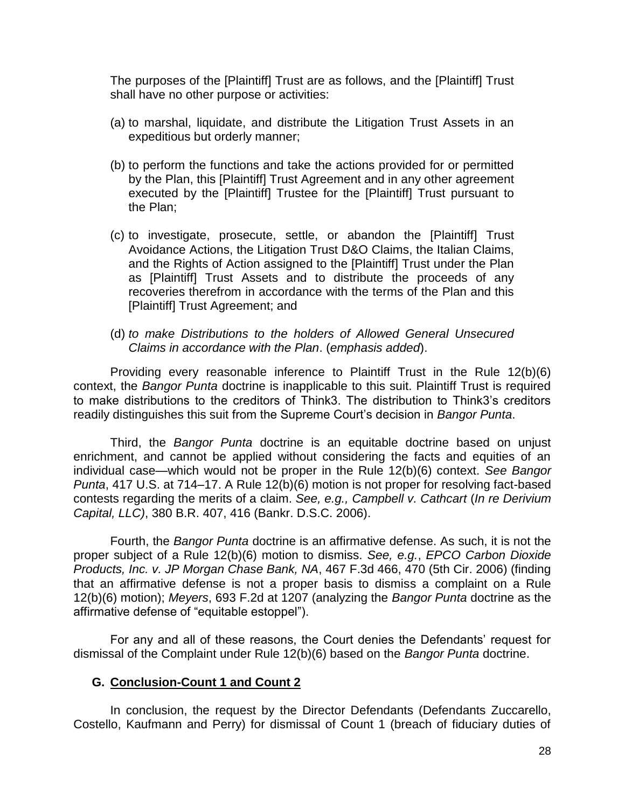The purposes of the [Plaintiff] Trust are as follows, and the [Plaintiff] Trust shall have no other purpose or activities:

- (a) to marshal, liquidate, and distribute the Litigation Trust Assets in an expeditious but orderly manner;
- (b) to perform the functions and take the actions provided for or permitted by the Plan, this [Plaintiff] Trust Agreement and in any other agreement executed by the [Plaintiff] Trustee for the [Plaintiff] Trust pursuant to the Plan;
- (c) to investigate, prosecute, settle, or abandon the [Plaintiff] Trust Avoidance Actions, the Litigation Trust D&O Claims, the Italian Claims, and the Rights of Action assigned to the [Plaintiff] Trust under the Plan as [Plaintiff] Trust Assets and to distribute the proceeds of any recoveries therefrom in accordance with the terms of the Plan and this [Plaintiff] Trust Agreement; and
- (d) *to make Distributions to the holders of Allowed General Unsecured Claims in accordance with the Plan*. (*emphasis added*).

Providing every reasonable inference to Plaintiff Trust in the Rule 12(b)(6) context, the *Bangor Punta* doctrine is inapplicable to this suit. Plaintiff Trust is required to make distributions to the creditors of Think3. The distribution to Think3's creditors readily distinguishes this suit from the Supreme Court's decision in *Bangor Punta*.

Third, the *Bangor Punta* doctrine is an equitable doctrine based on unjust enrichment, and cannot be applied without considering the facts and equities of an individual case—which would not be proper in the Rule 12(b)(6) context. *See Bangor Punta*, 417 U.S. at 714–17. A Rule 12(b)(6) motion is not proper for resolving fact-based contests regarding the merits of a claim. *See, e.g., Campbell v. Cathcart* (*In re Derivium Capital, LLC)*, 380 B.R. 407, 416 (Bankr. D.S.C. 2006).

Fourth, the *Bangor Punta* doctrine is an affirmative defense. As such, it is not the proper subject of a Rule 12(b)(6) motion to dismiss. *See, e.g.*, *EPCO Carbon Dioxide Products, Inc. v. JP Morgan Chase Bank, NA*, 467 F.3d 466, 470 (5th Cir. 2006) (finding that an affirmative defense is not a proper basis to dismiss a complaint on a Rule 12(b)(6) motion); *Meyers*, 693 F.2d at 1207 (analyzing the *Bangor Punta* doctrine as the affirmative defense of "equitable estoppel").

For any and all of these reasons, the Court denies the Defendants' request for dismissal of the Complaint under Rule 12(b)(6) based on the *Bangor Punta* doctrine.

## **G. Conclusion-Count 1 and Count 2**

 In conclusion, the request by the Director Defendants (Defendants Zuccarello, Costello, Kaufmann and Perry) for dismissal of Count 1 (breach of fiduciary duties of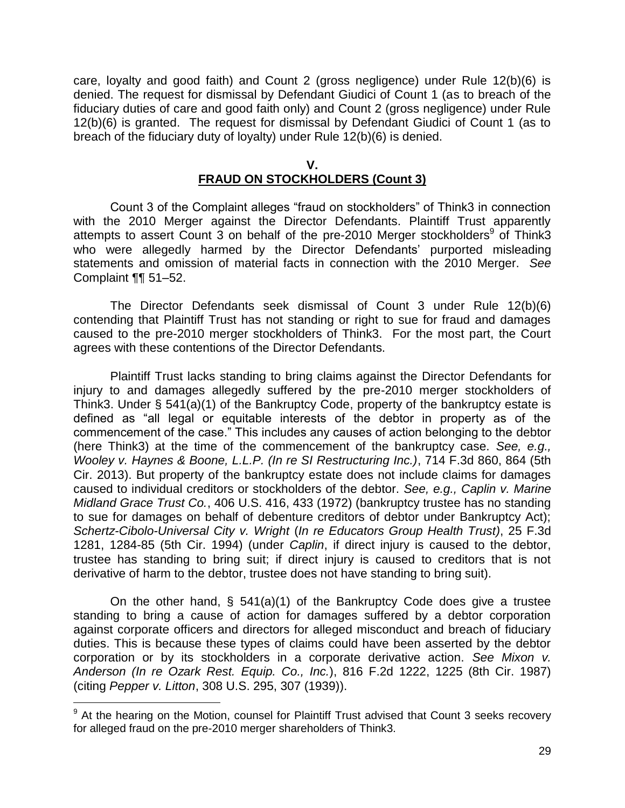care, loyalty and good faith) and Count 2 (gross negligence) under Rule 12(b)(6) is denied. The request for dismissal by Defendant Giudici of Count 1 (as to breach of the fiduciary duties of care and good faith only) and Count 2 (gross negligence) under Rule 12(b)(6) is granted. The request for dismissal by Defendant Giudici of Count 1 (as to breach of the fiduciary duty of loyalty) under Rule 12(b)(6) is denied.

#### **V.**

# **FRAUD ON STOCKHOLDERS (Count 3)**

Count 3 of the Complaint alleges "fraud on stockholders" of Think3 in connection with the 2010 Merger against the Director Defendants. Plaintiff Trust apparently attempts to assert Count 3 on behalf of the pre-2010 Merger stockholders<sup>9</sup> of Think3 who were allegedly harmed by the Director Defendants' purported misleading statements and omission of material facts in connection with the 2010 Merger. *See* Complaint ¶¶ 51–52.

The Director Defendants seek dismissal of Count 3 under Rule 12(b)(6) contending that Plaintiff Trust has not standing or right to sue for fraud and damages caused to the pre-2010 merger stockholders of Think3. For the most part, the Court agrees with these contentions of the Director Defendants.

 Plaintiff Trust lacks standing to bring claims against the Director Defendants for injury to and damages allegedly suffered by the pre-2010 merger stockholders of Think3. Under § 541(a)(1) of the Bankruptcy Code, property of the bankruptcy estate is defined as "all legal or equitable interests of the debtor in property as of the commencement of the case." This includes any causes of action belonging to the debtor (here Think3) at the time of the commencement of the bankruptcy case. *See, e.g., Wooley v. Haynes & Boone, L.L.P. (In re SI Restructuring Inc.)*, 714 F.3d 860, 864 (5th Cir. 2013). But property of the bankruptcy estate does not include claims for damages caused to individual creditors or stockholders of the debtor. *See, e.g., Caplin v. Marine Midland Grace Trust Co.*, 406 U.S. 416, 433 (1972) (bankruptcy trustee has no standing to sue for damages on behalf of debenture creditors of debtor under Bankruptcy Act); *Schertz-Cibolo-Universal City v. Wright* (*In re Educators Group Health Trust)*, 25 F.3d 1281, 1284-85 (5th Cir. 1994) (under *Caplin*, if direct injury is caused to the debtor, trustee has standing to bring suit; if direct injury is caused to creditors that is not derivative of harm to the debtor, trustee does not have standing to bring suit).

On the other hand,  $\S$  541(a)(1) of the Bankruptcy Code does give a trustee standing to bring a cause of action for damages suffered by a debtor corporation against corporate officers and directors for alleged misconduct and breach of fiduciary duties. This is because these types of claims could have been asserted by the debtor corporation or by its stockholders in a corporate derivative action. *See Mixon v. Anderson (In re Ozark Rest. Equip. Co., Inc.*), 816 F.2d 1222, 1225 (8th Cir. 1987) (citing *Pepper v. Litton*, 308 U.S. 295, 307 (1939)).

 $\overline{a}$ 

<sup>&</sup>lt;sup>9</sup> At the hearing on the Motion, counsel for Plaintiff Trust advised that Count 3 seeks recovery for alleged fraud on the pre-2010 merger shareholders of Think3.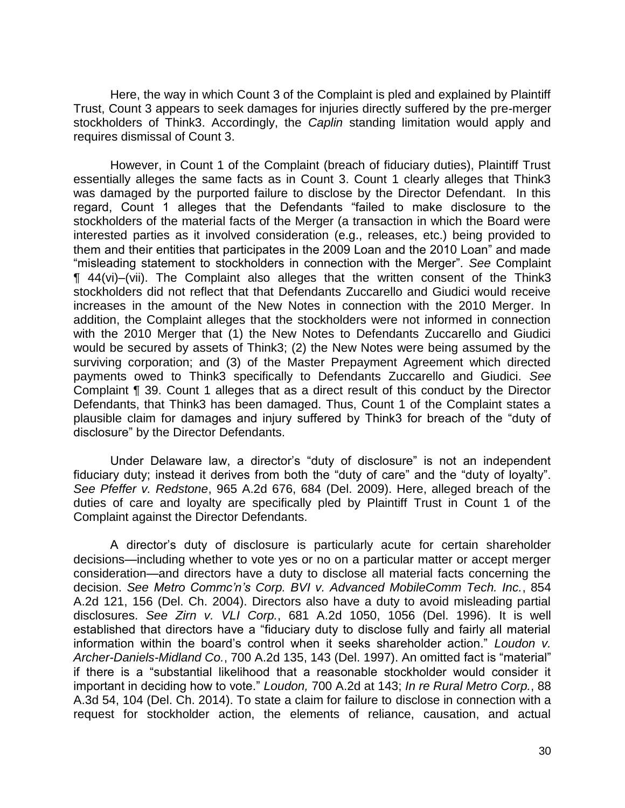Here, the way in which Count 3 of the Complaint is pled and explained by Plaintiff Trust, Count 3 appears to seek damages for injuries directly suffered by the pre-merger stockholders of Think3. Accordingly, the *Caplin* standing limitation would apply and requires dismissal of Count 3.

 However, in Count 1 of the Complaint (breach of fiduciary duties), Plaintiff Trust essentially alleges the same facts as in Count 3. Count 1 clearly alleges that Think3 was damaged by the purported failure to disclose by the Director Defendant. In this regard, Count 1 alleges that the Defendants "failed to make disclosure to the stockholders of the material facts of the Merger (a transaction in which the Board were interested parties as it involved consideration (e.g., releases, etc.) being provided to them and their entities that participates in the 2009 Loan and the 2010 Loan" and made "misleading statement to stockholders in connection with the Merger". *See* Complaint ¶ 44(vi)–(vii). The Complaint also alleges that the written consent of the Think3 stockholders did not reflect that that Defendants Zuccarello and Giudici would receive increases in the amount of the New Notes in connection with the 2010 Merger. In addition, the Complaint alleges that the stockholders were not informed in connection with the 2010 Merger that (1) the New Notes to Defendants Zuccarello and Giudici would be secured by assets of Think3; (2) the New Notes were being assumed by the surviving corporation; and (3) of the Master Prepayment Agreement which directed payments owed to Think3 specifically to Defendants Zuccarello and Giudici. *See*  Complaint ¶ 39. Count 1 alleges that as a direct result of this conduct by the Director Defendants, that Think3 has been damaged. Thus, Count 1 of the Complaint states a plausible claim for damages and injury suffered by Think3 for breach of the "duty of disclosure" by the Director Defendants.

Under Delaware law, a director's "duty of disclosure" is not an independent fiduciary duty; instead it derives from both the "duty of care" and the "duty of loyalty". *See Pfeffer v. Redstone*, 965 A.2d 676, 684 (Del. 2009). Here, alleged breach of the duties of care and loyalty are specifically pled by Plaintiff Trust in Count 1 of the Complaint against the Director Defendants.

A director's duty of disclosure is particularly acute for certain shareholder decisions—including whether to vote yes or no on a particular matter or accept merger consideration—and directors have a duty to disclose all material facts concerning the decision. *See Metro Commc'n's Corp. BVI v. Advanced MobileComm Tech. Inc.*, 854 A.2d 121, 156 (Del. Ch. 2004). Directors also have a duty to avoid misleading partial disclosures. *See Zirn v. VLI Corp.*, 681 A.2d 1050, 1056 (Del. 1996). It is well established that directors have a "fiduciary duty to disclose fully and fairly all material information within the board's control when it seeks shareholder action." *Loudon v. Archer-Daniels-Midland Co.*, 700 A.2d 135, 143 (Del. 1997). An omitted fact is "material" if there is a "substantial likelihood that a reasonable stockholder would consider it important in deciding how to vote." *Loudon,* 700 A.2d at 143; *In re Rural Metro Corp.*, 88 A.3d 54, 104 (Del. Ch. 2014). To state a claim for failure to disclose in connection with a request for stockholder action, the elements of reliance, causation, and actual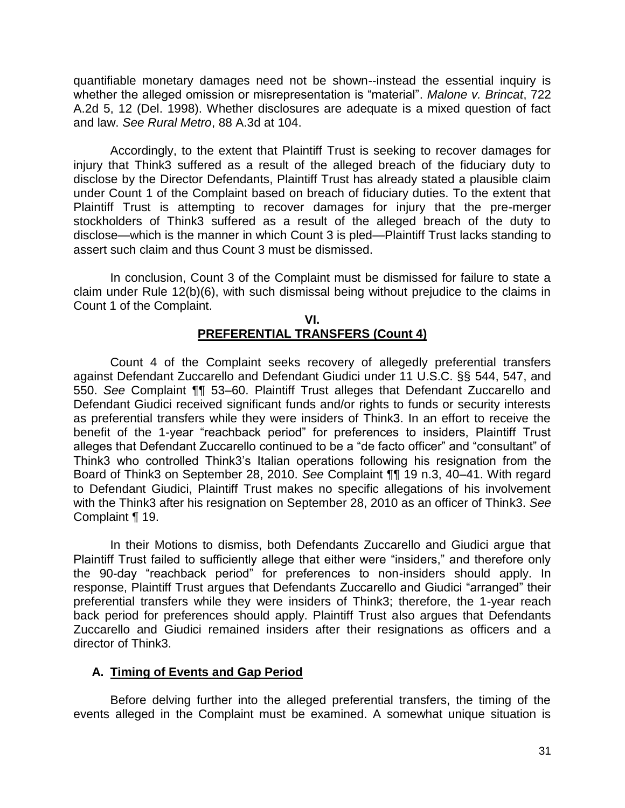quantifiable monetary damages need not be shown--instead the essential inquiry is whether the alleged omission or misrepresentation is "material". *Malone v. Brincat*, 722 A.2d 5, 12 (Del. 1998). Whether disclosures are adequate is a mixed question of fact and law. *See Rural Metro*, 88 A.3d at 104.

 Accordingly, to the extent that Plaintiff Trust is seeking to recover damages for injury that Think3 suffered as a result of the alleged breach of the fiduciary duty to disclose by the Director Defendants, Plaintiff Trust has already stated a plausible claim under Count 1 of the Complaint based on breach of fiduciary duties. To the extent that Plaintiff Trust is attempting to recover damages for injury that the pre-merger stockholders of Think3 suffered as a result of the alleged breach of the duty to disclose—which is the manner in which Count 3 is pled—Plaintiff Trust lacks standing to assert such claim and thus Count 3 must be dismissed.

 In conclusion, Count 3 of the Complaint must be dismissed for failure to state a claim under Rule 12(b)(6), with such dismissal being without prejudice to the claims in Count 1 of the Complaint.

### **VI. PREFERENTIAL TRANSFERS (Count 4)**

Count 4 of the Complaint seeks recovery of allegedly preferential transfers against Defendant Zuccarello and Defendant Giudici under 11 U.S.C. §§ 544, 547, and 550. *See* Complaint ¶¶ 53–60. Plaintiff Trust alleges that Defendant Zuccarello and Defendant Giudici received significant funds and/or rights to funds or security interests as preferential transfers while they were insiders of Think3. In an effort to receive the benefit of the 1-year "reachback period" for preferences to insiders, Plaintiff Trust alleges that Defendant Zuccarello continued to be a "de facto officer" and "consultant" of Think3 who controlled Think3's Italian operations following his resignation from the Board of Think3 on September 28, 2010. *See* Complaint ¶¶ 19 n.3, 40–41. With regard to Defendant Giudici, Plaintiff Trust makes no specific allegations of his involvement with the Think3 after his resignation on September 28, 2010 as an officer of Think3. *See* Complaint ¶ 19.

In their Motions to dismiss, both Defendants Zuccarello and Giudici argue that Plaintiff Trust failed to sufficiently allege that either were "insiders," and therefore only the 90-day "reachback period" for preferences to non-insiders should apply. In response, Plaintiff Trust argues that Defendants Zuccarello and Giudici "arranged" their preferential transfers while they were insiders of Think3; therefore, the 1-year reach back period for preferences should apply. Plaintiff Trust also argues that Defendants Zuccarello and Giudici remained insiders after their resignations as officers and a director of Think3.

## **A. Timing of Events and Gap Period**

Before delving further into the alleged preferential transfers, the timing of the events alleged in the Complaint must be examined. A somewhat unique situation is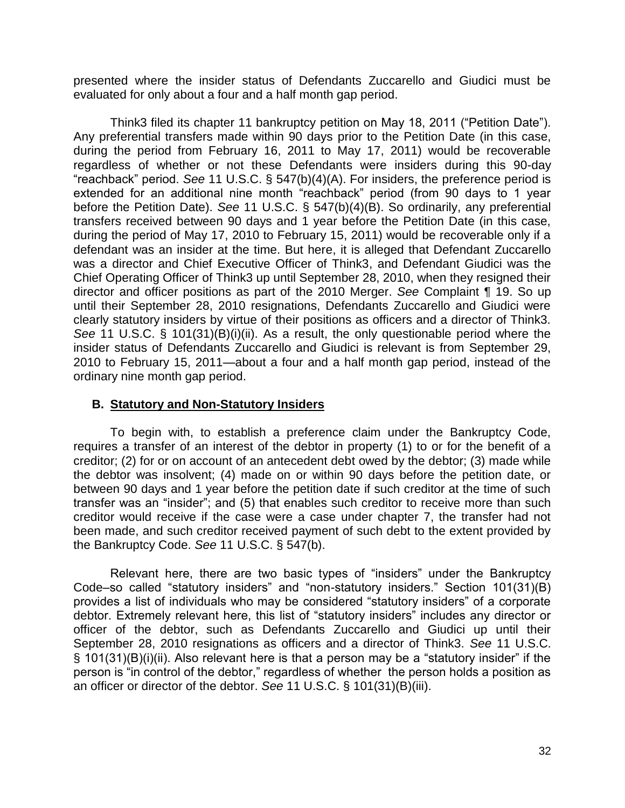presented where the insider status of Defendants Zuccarello and Giudici must be evaluated for only about a four and a half month gap period.

Think3 filed its chapter 11 bankruptcy petition on May 18, 2011 ("Petition Date"). Any preferential transfers made within 90 days prior to the Petition Date (in this case, during the period from February 16, 2011 to May 17, 2011) would be recoverable regardless of whether or not these Defendants were insiders during this 90-day "reachback" period. *See* 11 U.S.C. § 547(b)(4)(A). For insiders, the preference period is extended for an additional nine month "reachback" period (from 90 days to 1 year before the Petition Date). *See* 11 U.S.C. § 547(b)(4)(B). So ordinarily, any preferential transfers received between 90 days and 1 year before the Petition Date (in this case, during the period of May 17, 2010 to February 15, 2011) would be recoverable only if a defendant was an insider at the time. But here, it is alleged that Defendant Zuccarello was a director and Chief Executive Officer of Think3, and Defendant Giudici was the Chief Operating Officer of Think3 up until September 28, 2010, when they resigned their director and officer positions as part of the 2010 Merger. *See* Complaint ¶ 19. So up until their September 28, 2010 resignations, Defendants Zuccarello and Giudici were clearly statutory insiders by virtue of their positions as officers and a director of Think3. *See* 11 U.S.C. § 101(31)(B)(i)(ii). As a result, the only questionable period where the insider status of Defendants Zuccarello and Giudici is relevant is from September 29, 2010 to February 15, 2011—about a four and a half month gap period, instead of the ordinary nine month gap period.

### **B. Statutory and Non-Statutory Insiders**

To begin with, to establish a preference claim under the Bankruptcy Code, requires a transfer of an interest of the debtor in property (1) to or for the benefit of a creditor; (2) for or on account of an antecedent debt owed by the debtor; (3) made while the debtor was insolvent; (4) made on or within 90 days before the petition date, or between 90 days and 1 year before the petition date if such creditor at the time of such transfer was an "insider"; and (5) that enables such creditor to receive more than such creditor would receive if the case were a case under chapter 7, the transfer had not been made, and such creditor received payment of such debt to the extent provided by the Bankruptcy Code. *See* 11 U.S.C. § 547(b).

Relevant here, there are two basic types of "insiders" under the Bankruptcy Code–so called "statutory insiders" and "non-statutory insiders." Section 101(31)(B) provides a list of individuals who may be considered "statutory insiders" of a corporate debtor. Extremely relevant here, this list of "statutory insiders" includes any director or officer of the debtor, such as Defendants Zuccarello and Giudici up until their September 28, 2010 resignations as officers and a director of Think3. *See* 11 U.S.C. § 101(31)(B)(i)(ii). Also relevant here is that a person may be a "statutory insider" if the person is "in control of the debtor," regardless of whether the person holds a position as an officer or director of the debtor. *See* 11 U.S.C. § 101(31)(B)(iii).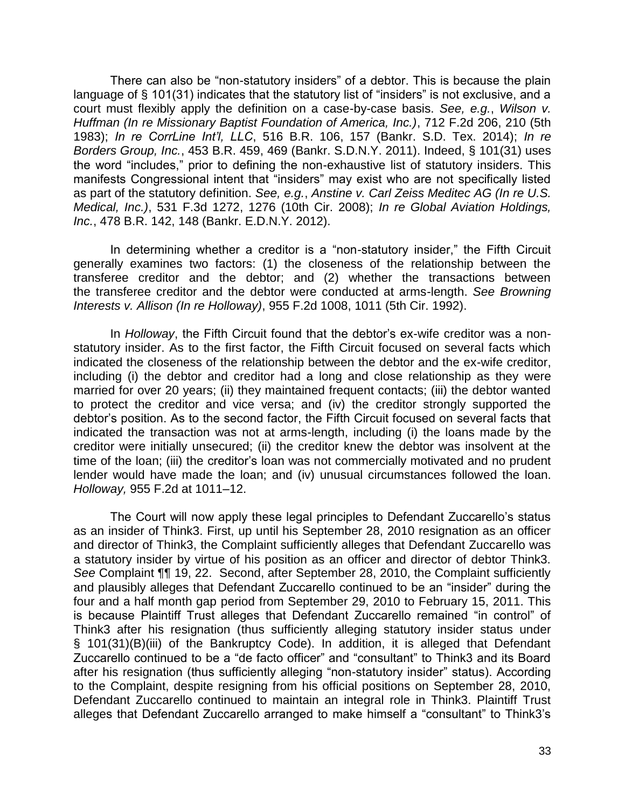There can also be "non-statutory insiders" of a debtor. This is because the plain language of § 101(31) indicates that the statutory list of "insiders" is not exclusive, and a court must flexibly apply the definition on a case-by-case basis. *See, e.g.*, *Wilson v. Huffman (In re Missionary Baptist Foundation of America, Inc.)*, 712 F.2d 206, 210 (5th 1983); *In re CorrLine Int'l, LLC*, 516 B.R. 106, 157 (Bankr. S.D. Tex. 2014); *In re Borders Group, Inc.*, 453 B.R. 459, 469 (Bankr. S.D.N.Y. 2011). Indeed, § 101(31) uses the word "includes," prior to defining the non-exhaustive list of statutory insiders. This manifests Congressional intent that "insiders" may exist who are not specifically listed as part of the statutory definition. *See, e.g.*, *Anstine v. Carl Zeiss Meditec AG (In re U.S. Medical, Inc.)*, 531 F.3d 1272, 1276 (10th Cir. 2008); *In re Global Aviation Holdings, Inc.*, 478 B.R. 142, 148 (Bankr. E.D.N.Y. 2012).

In determining whether a creditor is a "non-statutory insider," the Fifth Circuit generally examines two factors: (1) the closeness of the relationship between the transferee creditor and the debtor; and (2) whether the transactions between the transferee creditor and the debtor were conducted at arms-length. *See Browning Interests v. Allison (In re Holloway)*, 955 F.2d 1008, 1011 (5th Cir. 1992).

In *Holloway*, the Fifth Circuit found that the debtor's ex-wife creditor was a nonstatutory insider. As to the first factor, the Fifth Circuit focused on several facts which indicated the closeness of the relationship between the debtor and the ex-wife creditor, including (i) the debtor and creditor had a long and close relationship as they were married for over 20 years; (ii) they maintained frequent contacts; (iii) the debtor wanted to protect the creditor and vice versa; and (iv) the creditor strongly supported the debtor's position. As to the second factor, the Fifth Circuit focused on several facts that indicated the transaction was not at arms-length, including (i) the loans made by the creditor were initially unsecured; (ii) the creditor knew the debtor was insolvent at the time of the loan; (iii) the creditor's loan was not commercially motivated and no prudent lender would have made the loan; and (iv) unusual circumstances followed the loan. *Holloway,* 955 F.2d at 1011–12.

The Court will now apply these legal principles to Defendant Zuccarello's status as an insider of Think3. First, up until his September 28, 2010 resignation as an officer and director of Think3, the Complaint sufficiently alleges that Defendant Zuccarello was a statutory insider by virtue of his position as an officer and director of debtor Think3. *See* Complaint ¶¶ 19, 22. Second, after September 28, 2010, the Complaint sufficiently and plausibly alleges that Defendant Zuccarello continued to be an "insider" during the four and a half month gap period from September 29, 2010 to February 15, 2011. This is because Plaintiff Trust alleges that Defendant Zuccarello remained "in control" of Think3 after his resignation (thus sufficiently alleging statutory insider status under § 101(31)(B)(iii) of the Bankruptcy Code). In addition, it is alleged that Defendant Zuccarello continued to be a "de facto officer" and "consultant" to Think3 and its Board after his resignation (thus sufficiently alleging "non-statutory insider" status). According to the Complaint, despite resigning from his official positions on September 28, 2010, Defendant Zuccarello continued to maintain an integral role in Think3. Plaintiff Trust alleges that Defendant Zuccarello arranged to make himself a "consultant" to Think3's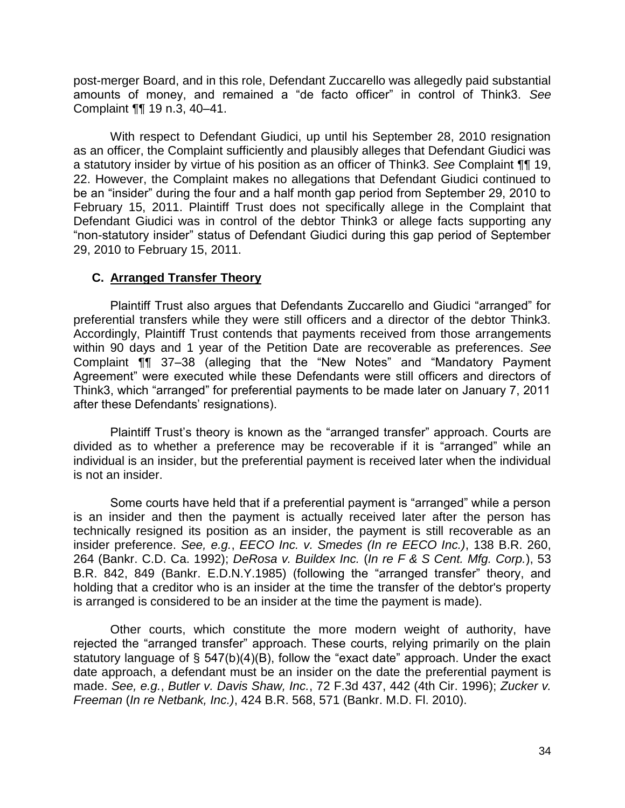post-merger Board, and in this role, Defendant Zuccarello was allegedly paid substantial amounts of money, and remained a "de facto officer" in control of Think3. *See*  Complaint ¶¶ 19 n.3, 40–41.

With respect to Defendant Giudici, up until his September 28, 2010 resignation as an officer, the Complaint sufficiently and plausibly alleges that Defendant Giudici was a statutory insider by virtue of his position as an officer of Think3. *See* Complaint ¶¶ 19, 22. However, the Complaint makes no allegations that Defendant Giudici continued to be an "insider" during the four and a half month gap period from September 29, 2010 to February 15, 2011. Plaintiff Trust does not specifically allege in the Complaint that Defendant Giudici was in control of the debtor Think3 or allege facts supporting any "non-statutory insider" status of Defendant Giudici during this gap period of September 29, 2010 to February 15, 2011.

# **C. Arranged Transfer Theory**

Plaintiff Trust also argues that Defendants Zuccarello and Giudici "arranged" for preferential transfers while they were still officers and a director of the debtor Think3. Accordingly, Plaintiff Trust contends that payments received from those arrangements within 90 days and 1 year of the Petition Date are recoverable as preferences. *See* Complaint ¶¶ 37–38 (alleging that the "New Notes" and "Mandatory Payment Agreement" were executed while these Defendants were still officers and directors of Think3, which "arranged" for preferential payments to be made later on January 7, 2011 after these Defendants' resignations).

Plaintiff Trust's theory is known as the "arranged transfer" approach. Courts are divided as to whether a preference may be recoverable if it is "arranged" while an individual is an insider, but the preferential payment is received later when the individual is not an insider.

Some courts have held that if a preferential payment is "arranged" while a person is an insider and then the payment is actually received later after the person has technically resigned its position as an insider, the payment is still recoverable as an insider preference. *See, e.g.*, *EECO Inc. v. Smedes (In re EECO Inc.)*, 138 B.R. 260, 264 (Bankr. C.D. Ca. 1992); *DeRosa v. Buildex Inc.* (*In re F & S Cent. Mfg. Corp.*), 53 B.R. 842, 849 (Bankr. E.D.N.Y.1985) (following the "arranged transfer" theory, and holding that a creditor who is an insider at the time the transfer of the debtor's property is arranged is considered to be an insider at the time the payment is made).

Other courts, which constitute the more modern weight of authority, have rejected the "arranged transfer" approach. These courts, relying primarily on the plain statutory language of § 547(b)(4)(B), follow the "exact date" approach. Under the exact date approach, a defendant must be an insider on the date the preferential payment is made. *See, e.g.*, *Butler v. Davis Shaw, Inc.*, 72 F.3d 437, 442 (4th Cir. 1996); *Zucker v. Freeman* (*In re Netbank, Inc.)*, 424 B.R. 568, 571 (Bankr. M.D. Fl. 2010).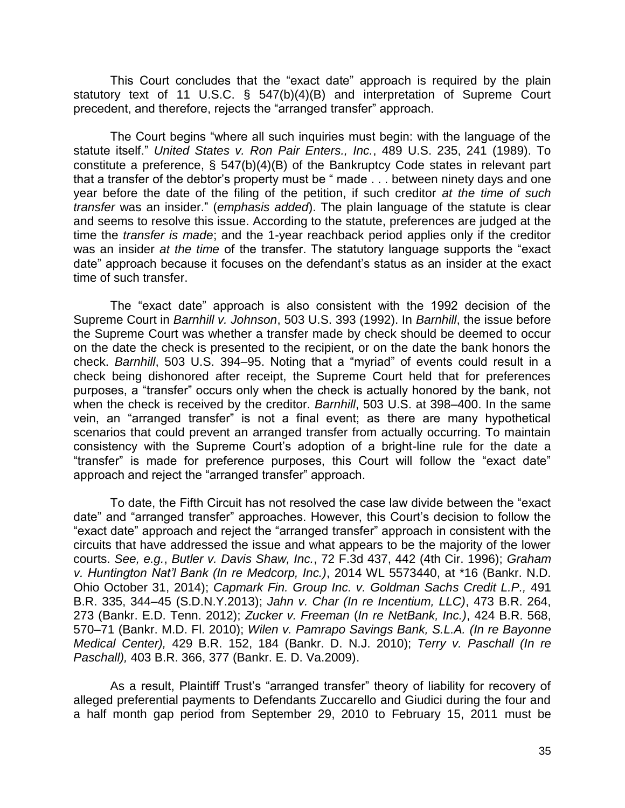This Court concludes that the "exact date" approach is required by the plain statutory text of 11 U.S.C. § 547(b)(4)(B) and interpretation of Supreme Court precedent, and therefore, rejects the "arranged transfer" approach.

The Court begins "where all such inquiries must begin: with the language of the statute itself." *United States v. Ron Pair Enters., Inc.*, 489 U.S. 235, 241 (1989). To constitute a preference, § 547(b)(4)(B) of the Bankruptcy Code states in relevant part that a transfer of the debtor's property must be " made . . . between ninety days and one year before the date of the filing of the petition, if such creditor *at the time of such transfer* was an insider." (*emphasis added*). The plain language of the statute is clear and seems to resolve this issue. According to the statute, preferences are judged at the time the *transfer is made*; and the 1-year reachback period applies only if the creditor was an insider *at the time* of the transfer. The statutory language supports the "exact date" approach because it focuses on the defendant's status as an insider at the exact time of such transfer.

The "exact date" approach is also consistent with the 1992 decision of the Supreme Court in *Barnhill v. Johnson*, 503 U.S. 393 (1992). In *Barnhill*, the issue before the Supreme Court was whether a transfer made by check should be deemed to occur on the date the check is presented to the recipient, or on the date the bank honors the check. *Barnhill*, 503 U.S. 394–95. Noting that a "myriad" of events could result in a check being dishonored after receipt, the Supreme Court held that for preferences purposes, a "transfer" occurs only when the check is actually honored by the bank, not when the check is received by the creditor. *Barnhill*, 503 U.S. at 398–400. In the same vein, an "arranged transfer" is not a final event; as there are many hypothetical scenarios that could prevent an arranged transfer from actually occurring. To maintain consistency with the Supreme Court's adoption of a bright-line rule for the date a "transfer" is made for preference purposes, this Court will follow the "exact date" approach and reject the "arranged transfer" approach.

To date, the Fifth Circuit has not resolved the case law divide between the "exact date" and "arranged transfer" approaches. However, this Court's decision to follow the "exact date" approach and reject the "arranged transfer" approach in consistent with the circuits that have addressed the issue and what appears to be the majority of the lower courts. *See, e.g.*, *Butler v. Davis Shaw, Inc.*, 72 F.3d 437, 442 (4th Cir. 1996); *Graham v. Huntington Nat'l Bank (In re Medcorp, Inc.)*, 2014 WL 5573440, at \*16 (Bankr. N.D. Ohio October 31, 2014); *Capmark Fin. Group Inc. v. Goldman Sachs Credit L.P.,* 491 B.R. 335, 344–45 (S.D.N.Y.2013); *Jahn v. Char (In re Incentium, LLC)*, 473 B.R. 264, 273 (Bankr. E.D. Tenn. 2012); *Zucker v. Freeman* (*In re NetBank, Inc.)*, 424 B.R. 568, 570–71 (Bankr. M.D. Fl. 2010); *Wilen v. Pamrapo Savings Bank, S.L.A. (In re Bayonne Medical Center),* 429 B.R. 152, 184 (Bankr. D. N.J. 2010); *Terry v. Paschall (In re Paschall),* 403 B.R. 366, 377 (Bankr. E. D. Va.2009).

As a result, Plaintiff Trust's "arranged transfer" theory of liability for recovery of alleged preferential payments to Defendants Zuccarello and Giudici during the four and a half month gap period from September 29, 2010 to February 15, 2011 must be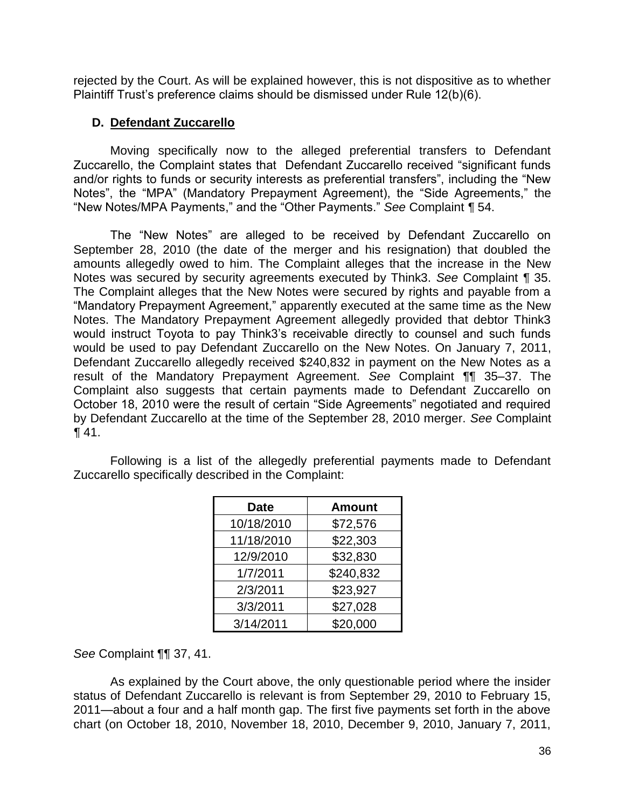rejected by the Court. As will be explained however, this is not dispositive as to whether Plaintiff Trust's preference claims should be dismissed under Rule 12(b)(6).

# **D. Defendant Zuccarello**

Moving specifically now to the alleged preferential transfers to Defendant Zuccarello, the Complaint states that Defendant Zuccarello received "significant funds and/or rights to funds or security interests as preferential transfers", including the "New Notes", the "MPA" (Mandatory Prepayment Agreement), the "Side Agreements," the "New Notes/MPA Payments," and the "Other Payments." *See* Complaint *¶* 54.

The "New Notes" are alleged to be received by Defendant Zuccarello on September 28, 2010 (the date of the merger and his resignation) that doubled the amounts allegedly owed to him. The Complaint alleges that the increase in the New Notes was secured by security agreements executed by Think3. *See* Complaint *¶* 35. The Complaint alleges that the New Notes were secured by rights and payable from a "Mandatory Prepayment Agreement," apparently executed at the same time as the New Notes. The Mandatory Prepayment Agreement allegedly provided that debtor Think3 would instruct Toyota to pay Think3's receivable directly to counsel and such funds would be used to pay Defendant Zuccarello on the New Notes. On January 7, 2011, Defendant Zuccarello allegedly received \$240,832 in payment on the New Notes as a result of the Mandatory Prepayment Agreement. *See* Complaint *¶*¶ 35–37. The Complaint also suggests that certain payments made to Defendant Zuccarello on October 18, 2010 were the result of certain "Side Agreements" negotiated and required by Defendant Zuccarello at the time of the September 28, 2010 merger. *See* Complaint *¶* 41.

Following is a list of the allegedly preferential payments made to Defendant Zuccarello specifically described in the Complaint:

| <b>Date</b> | <b>Amount</b> |
|-------------|---------------|
| 10/18/2010  | \$72,576      |
| 11/18/2010  | \$22,303      |
| 12/9/2010   | \$32,830      |
| 1/7/2011    | \$240,832     |
| 2/3/2011    | \$23,927      |
| 3/3/2011    | \$27,028      |
| 3/14/2011   | \$20,000      |

*See* Complaint ¶¶ 37, 41.

 As explained by the Court above, the only questionable period where the insider status of Defendant Zuccarello is relevant is from September 29, 2010 to February 15, 2011—about a four and a half month gap. The first five payments set forth in the above chart (on October 18, 2010, November 18, 2010, December 9, 2010, January 7, 2011,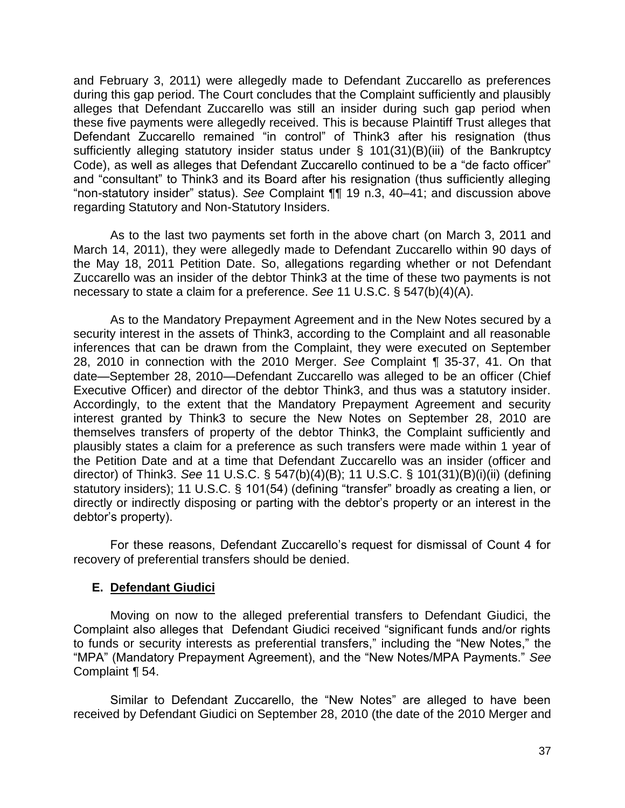and February 3, 2011) were allegedly made to Defendant Zuccarello as preferences during this gap period. The Court concludes that the Complaint sufficiently and plausibly alleges that Defendant Zuccarello was still an insider during such gap period when these five payments were allegedly received. This is because Plaintiff Trust alleges that Defendant Zuccarello remained "in control" of Think3 after his resignation (thus sufficiently alleging statutory insider status under § 101(31)(B)(iii) of the Bankruptcy Code), as well as alleges that Defendant Zuccarello continued to be a "de facto officer" and "consultant" to Think3 and its Board after his resignation (thus sufficiently alleging "non-statutory insider" status). *See* Complaint ¶¶ 19 n.3, 40–41; and discussion above regarding Statutory and Non-Statutory Insiders.

 As to the last two payments set forth in the above chart (on March 3, 2011 and March 14, 2011), they were allegedly made to Defendant Zuccarello within 90 days of the May 18, 2011 Petition Date. So, allegations regarding whether or not Defendant Zuccarello was an insider of the debtor Think3 at the time of these two payments is not necessary to state a claim for a preference. *See* 11 U.S.C. § 547(b)(4)(A).

 As to the Mandatory Prepayment Agreement and in the New Notes secured by a security interest in the assets of Think3, according to the Complaint and all reasonable inferences that can be drawn from the Complaint, they were executed on September 28, 2010 in connection with the 2010 Merger. *See* Complaint *¶* 35-37, 41. On that date—September 28, 2010—Defendant Zuccarello was alleged to be an officer (Chief Executive Officer) and director of the debtor Think3, and thus was a statutory insider. Accordingly, to the extent that the Mandatory Prepayment Agreement and security interest granted by Think3 to secure the New Notes on September 28, 2010 are themselves transfers of property of the debtor Think3, the Complaint sufficiently and plausibly states a claim for a preference as such transfers were made within 1 year of the Petition Date and at a time that Defendant Zuccarello was an insider (officer and director) of Think3. *See* 11 U.S.C. § 547(b)(4)(B); 11 U.S.C. § 101(31)(B)(i)(ii) (defining statutory insiders); 11 U.S.C. § 101(54) (defining "transfer" broadly as creating a lien, or directly or indirectly disposing or parting with the debtor's property or an interest in the debtor's property).

For these reasons, Defendant Zuccarello's request for dismissal of Count 4 for recovery of preferential transfers should be denied.

## **E. Defendant Giudici**

Moving on now to the alleged preferential transfers to Defendant Giudici, the Complaint also alleges that Defendant Giudici received "significant funds and/or rights to funds or security interests as preferential transfers," including the "New Notes," the "MPA" (Mandatory Prepayment Agreement), and the "New Notes/MPA Payments." *See* Complaint *¶* 54.

Similar to Defendant Zuccarello, the "New Notes" are alleged to have been received by Defendant Giudici on September 28, 2010 (the date of the 2010 Merger and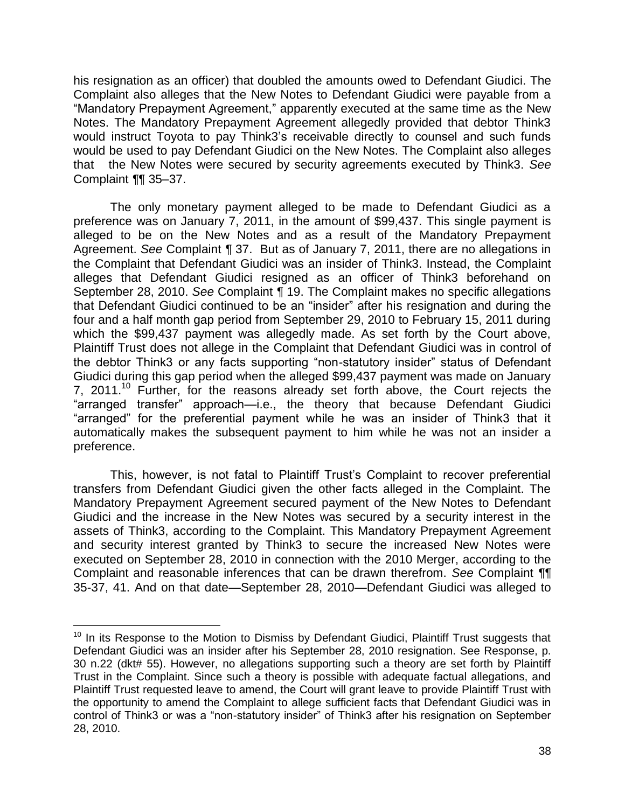his resignation as an officer) that doubled the amounts owed to Defendant Giudici. The Complaint also alleges that the New Notes to Defendant Giudici were payable from a "Mandatory Prepayment Agreement," apparently executed at the same time as the New Notes. The Mandatory Prepayment Agreement allegedly provided that debtor Think3 would instruct Toyota to pay Think3's receivable directly to counsel and such funds would be used to pay Defendant Giudici on the New Notes. The Complaint also alleges that the New Notes were secured by security agreements executed by Think3. *See* Complaint *¶*¶ 35–37.

The only monetary payment alleged to be made to Defendant Giudici as a preference was on January 7, 2011, in the amount of \$99,437. This single payment is alleged to be on the New Notes and as a result of the Mandatory Prepayment Agreement. *See* Complaint *¶* 37. But as of January 7, 2011, there are no allegations in the Complaint that Defendant Giudici was an insider of Think3. Instead, the Complaint alleges that Defendant Giudici resigned as an officer of Think3 beforehand on September 28, 2010. *See* Complaint *¶* 19. The Complaint makes no specific allegations that Defendant Giudici continued to be an "insider" after his resignation and during the four and a half month gap period from September 29, 2010 to February 15, 2011 during which the \$99,437 payment was allegedly made. As set forth by the Court above, Plaintiff Trust does not allege in the Complaint that Defendant Giudici was in control of the debtor Think3 or any facts supporting "non-statutory insider" status of Defendant Giudici during this gap period when the alleged \$99,437 payment was made on January 7, 2011.<sup>10</sup> Further, for the reasons already set forth above, the Court rejects the "arranged transfer" approach—i.e., the theory that because Defendant Giudici "arranged" for the preferential payment while he was an insider of Think3 that it automatically makes the subsequent payment to him while he was not an insider a preference.

This, however, is not fatal to Plaintiff Trust's Complaint to recover preferential transfers from Defendant Giudici given the other facts alleged in the Complaint. The Mandatory Prepayment Agreement secured payment of the New Notes to Defendant Giudici and the increase in the New Notes was secured by a security interest in the assets of Think3, according to the Complaint. This Mandatory Prepayment Agreement and security interest granted by Think3 to secure the increased New Notes were executed on September 28, 2010 in connection with the 2010 Merger, according to the Complaint and reasonable inferences that can be drawn therefrom. *See* Complaint *¶¶*  35-37, 41. And on that date—September 28, 2010—Defendant Giudici was alleged to

 $\overline{a}$ 

 $10$  In its Response to the Motion to Dismiss by Defendant Giudici, Plaintiff Trust suggests that Defendant Giudici was an insider after his September 28, 2010 resignation. See Response, p. 30 n.22 (dkt# 55). However, no allegations supporting such a theory are set forth by Plaintiff Trust in the Complaint. Since such a theory is possible with adequate factual allegations, and Plaintiff Trust requested leave to amend, the Court will grant leave to provide Plaintiff Trust with the opportunity to amend the Complaint to allege sufficient facts that Defendant Giudici was in control of Think3 or was a "non-statutory insider" of Think3 after his resignation on September 28, 2010.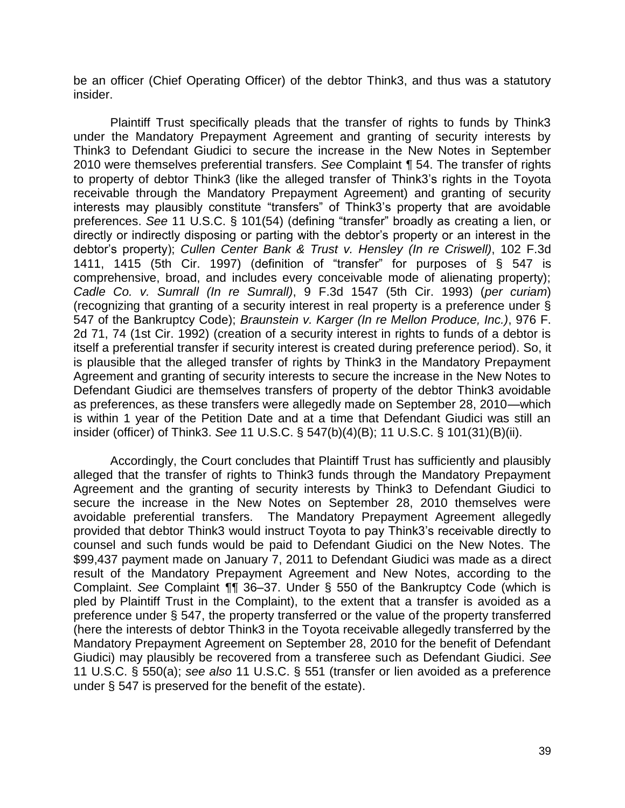be an officer (Chief Operating Officer) of the debtor Think3, and thus was a statutory insider.

Plaintiff Trust specifically pleads that the transfer of rights to funds by Think3 under the Mandatory Prepayment Agreement and granting of security interests by Think3 to Defendant Giudici to secure the increase in the New Notes in September 2010 were themselves preferential transfers. *See* Complaint *¶* 54. The transfer of rights to property of debtor Think3 (like the alleged transfer of Think3's rights in the Toyota receivable through the Mandatory Prepayment Agreement) and granting of security interests may plausibly constitute "transfers" of Think3's property that are avoidable preferences. *See* 11 U.S.C. § 101(54) (defining "transfer" broadly as creating a lien, or directly or indirectly disposing or parting with the debtor's property or an interest in the debtor's property); *Cullen Center Bank & Trust v. Hensley (In re Criswell)*, 102 F.3d 1411, 1415 (5th Cir. 1997) (definition of "transfer" for purposes of § 547 is comprehensive, broad, and includes every conceivable mode of alienating property); *Cadle Co. v. Sumrall (In re Sumrall)*, 9 F.3d 1547 (5th Cir. 1993) (*per curiam*) (recognizing that granting of a security interest in real property is a preference under § 547 of the Bankruptcy Code); *Braunstein v. Karger (In re Mellon Produce, Inc.)*, 976 F. 2d 71, 74 (1st Cir. 1992) (creation of a security interest in rights to funds of a debtor is itself a preferential transfer if security interest is created during preference period). So, it is plausible that the alleged transfer of rights by Think3 in the Mandatory Prepayment Agreement and granting of security interests to secure the increase in the New Notes to Defendant Giudici are themselves transfers of property of the debtor Think3 avoidable as preferences, as these transfers were allegedly made on September 28, 2010—which is within 1 year of the Petition Date and at a time that Defendant Giudici was still an insider (officer) of Think3. *See* 11 U.S.C. § 547(b)(4)(B); 11 U.S.C. § 101(31)(B)(ii).

Accordingly, the Court concludes that Plaintiff Trust has sufficiently and plausibly alleged that the transfer of rights to Think3 funds through the Mandatory Prepayment Agreement and the granting of security interests by Think3 to Defendant Giudici to secure the increase in the New Notes on September 28, 2010 themselves were avoidable preferential transfers. The Mandatory Prepayment Agreement allegedly provided that debtor Think3 would instruct Toyota to pay Think3's receivable directly to counsel and such funds would be paid to Defendant Giudici on the New Notes. The \$99,437 payment made on January 7, 2011 to Defendant Giudici was made as a direct result of the Mandatory Prepayment Agreement and New Notes, according to the Complaint. *See* Complaint *¶¶* 36–37. Under § 550 of the Bankruptcy Code (which is pled by Plaintiff Trust in the Complaint), to the extent that a transfer is avoided as a preference under § 547, the property transferred or the value of the property transferred (here the interests of debtor Think3 in the Toyota receivable allegedly transferred by the Mandatory Prepayment Agreement on September 28, 2010 for the benefit of Defendant Giudici) may plausibly be recovered from a transferee such as Defendant Giudici. *See* 11 U.S.C. § 550(a); *see also* 11 U.S.C. § 551 (transfer or lien avoided as a preference under § 547 is preserved for the benefit of the estate).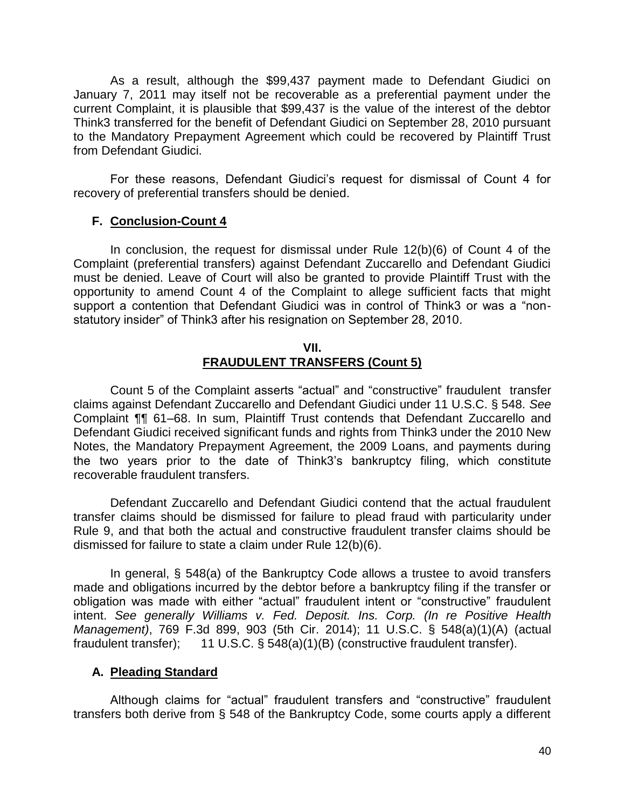As a result, although the \$99,437 payment made to Defendant Giudici on January 7, 2011 may itself not be recoverable as a preferential payment under the current Complaint, it is plausible that \$99,437 is the value of the interest of the debtor Think3 transferred for the benefit of Defendant Giudici on September 28, 2010 pursuant to the Mandatory Prepayment Agreement which could be recovered by Plaintiff Trust from Defendant Giudici.

For these reasons, Defendant Giudici's request for dismissal of Count 4 for recovery of preferential transfers should be denied.

## **F. Conclusion-Count 4**

In conclusion, the request for dismissal under Rule 12(b)(6) of Count 4 of the Complaint (preferential transfers) against Defendant Zuccarello and Defendant Giudici must be denied. Leave of Court will also be granted to provide Plaintiff Trust with the opportunity to amend Count 4 of the Complaint to allege sufficient facts that might support a contention that Defendant Giudici was in control of Think3 or was a "nonstatutory insider" of Think3 after his resignation on September 28, 2010.

### **VII. FRAUDULENT TRANSFERS (Count 5)**

Count 5 of the Complaint asserts "actual" and "constructive" fraudulent transfer claims against Defendant Zuccarello and Defendant Giudici under 11 U.S.C. § 548. *See*  Complaint ¶¶ 61–68. In sum, Plaintiff Trust contends that Defendant Zuccarello and Defendant Giudici received significant funds and rights from Think3 under the 2010 New Notes, the Mandatory Prepayment Agreement, the 2009 Loans, and payments during the two years prior to the date of Think3's bankruptcy filing, which constitute recoverable fraudulent transfers.

Defendant Zuccarello and Defendant Giudici contend that the actual fraudulent transfer claims should be dismissed for failure to plead fraud with particularity under Rule 9, and that both the actual and constructive fraudulent transfer claims should be dismissed for failure to state a claim under Rule 12(b)(6).

In general, § 548(a) of the Bankruptcy Code allows a trustee to avoid transfers made and obligations incurred by the debtor before a bankruptcy filing if the transfer or obligation was made with either "actual" fraudulent intent or "constructive" fraudulent intent. *See generally Williams v. Fed. Deposit. Ins. Corp. (In re Positive Health Management)*, 769 F.3d 899, 903 (5th Cir. 2014); 11 U.S.C. § 548(a)(1)(A) (actual fraudulent transfer); 11 U.S.C. § 548(a)(1)(B) (constructive fraudulent transfer).

## **A. Pleading Standard**

Although claims for "actual" fraudulent transfers and "constructive" fraudulent transfers both derive from § 548 of the Bankruptcy Code, some courts apply a different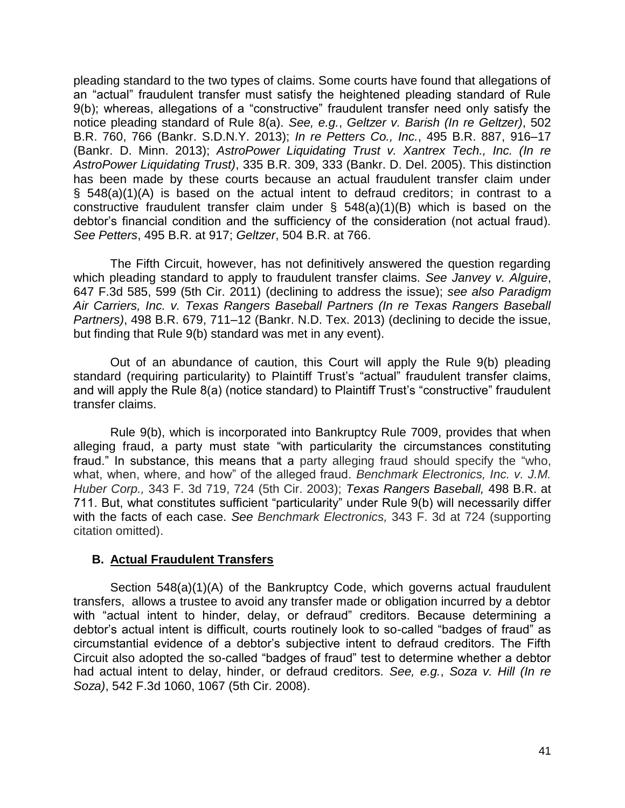pleading standard to the two types of claims. Some courts have found that allegations of an "actual" fraudulent transfer must satisfy the heightened pleading standard of Rule 9(b); whereas, allegations of a "constructive" fraudulent transfer need only satisfy the notice pleading standard of Rule 8(a). *See, e.g.*, *Geltzer v. Barish (In re Geltzer)*, 502 B.R. 760, 766 (Bankr. S.D.N.Y. 2013); *In re Petters Co., Inc.*, 495 B.R. 887, 916–17 (Bankr. D. Minn. 2013); *AstroPower Liquidating Trust v. Xantrex Tech., Inc. (In re AstroPower Liquidating Trust)*, 335 B.R. 309, 333 (Bankr. D. Del. 2005). This distinction has been made by these courts because an actual fraudulent transfer claim under § 548(a)(1)(A) is based on the actual intent to defraud creditors; in contrast to a constructive fraudulent transfer claim under § 548(a)(1)(B) which is based on the debtor's financial condition and the sufficiency of the consideration (not actual fraud). *See Petters*, 495 B.R. at 917; *Geltzer*, 504 B.R. at 766.

The Fifth Circuit, however, has not definitively answered the question regarding which pleading standard to apply to fraudulent transfer claims. *See Janvey v. Alguire*, 647 F.3d 585, 599 (5th Cir. 2011) (declining to address the issue); *see also Paradigm Air Carriers, Inc. v. Texas Rangers Baseball Partners (In re Texas Rangers Baseball Partners)*, 498 B.R. 679, 711–12 (Bankr. N.D. Tex. 2013) (declining to decide the issue, but finding that Rule 9(b) standard was met in any event).

Out of an abundance of caution, this Court will apply the Rule 9(b) pleading standard (requiring particularity) to Plaintiff Trust's "actual" fraudulent transfer claims, and will apply the Rule 8(a) (notice standard) to Plaintiff Trust's "constructive" fraudulent transfer claims.

Rule 9(b), which is incorporated into Bankruptcy Rule 7009, provides that when alleging fraud, a party must state "with particularity the circumstances constituting fraud." In substance, this means that a party alleging fraud should specify the "who, what, when, where, and how" of the alleged fraud. *Benchmark Electronics, Inc. v. J.M. Huber Corp.,* 343 F. 3d 719, 724 (5th Cir. 2003); *Texas Rangers Baseball,* 498 B.R. at 711. But, what constitutes sufficient "particularity" under Rule 9(b) will necessarily differ with the facts of each case. *See Benchmark Electronics,* 343 F. 3d at 724 (supporting citation omitted).

# **B. Actual Fraudulent Transfers**

Section 548(a)(1)(A) of the Bankruptcy Code, which governs actual fraudulent transfers, allows a trustee to avoid any transfer made or obligation incurred by a debtor with "actual intent to hinder, delay, or defraud" creditors. Because determining a debtor's actual intent is difficult, courts routinely look to so-called "badges of fraud" as circumstantial evidence of a debtor's subjective intent to defraud creditors. The Fifth Circuit also adopted the so-called "badges of fraud" test to determine whether a debtor had actual intent to delay, hinder, or defraud creditors. *See, e.g.*, *Soza v. Hill (In re Soza)*, 542 F.3d 1060, 1067 (5th Cir. 2008).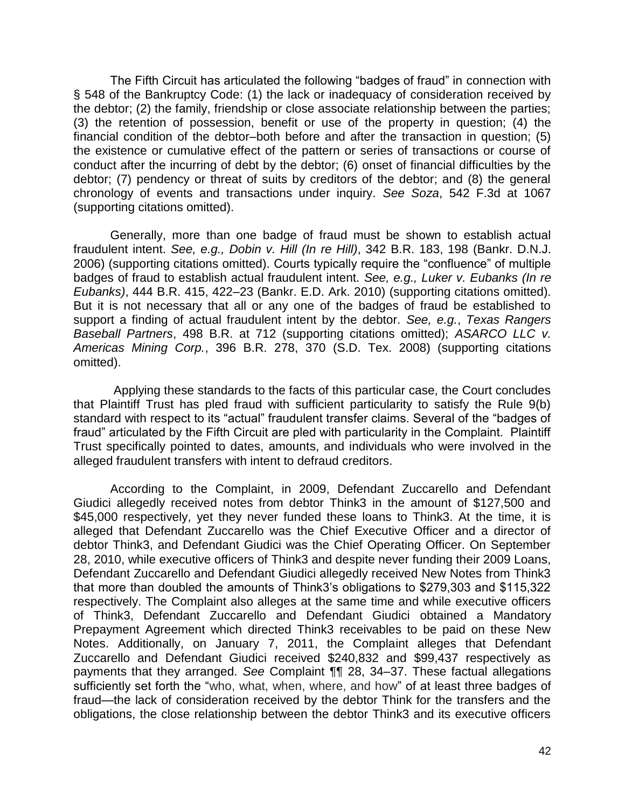The Fifth Circuit has articulated the following "badges of fraud" in connection with § 548 of the Bankruptcy Code: (1) the lack or inadequacy of consideration received by the debtor; (2) the family, friendship or close associate relationship between the parties; (3) the retention of possession, benefit or use of the property in question; (4) the financial condition of the debtor–both before and after the transaction in question; (5) the existence or cumulative effect of the pattern or series of transactions or course of conduct after the incurring of debt by the debtor; (6) onset of financial difficulties by the debtor; (7) pendency or threat of suits by creditors of the debtor; and (8) the general chronology of events and transactions under inquiry. *See Soza*, 542 F.3d at 1067 (supporting citations omitted).

Generally, more than one badge of fraud must be shown to establish actual fraudulent intent. *See, e.g., Dobin v. Hill (In re Hill)*, 342 B.R. 183, 198 (Bankr. D.N.J. 2006) (supporting citations omitted). Courts typically require the "confluence" of multiple badges of fraud to establish actual fraudulent intent. *See, e.g., Luker v. Eubanks (In re Eubanks)*, 444 B.R. 415, 422–23 (Bankr. E.D. Ark. 2010) (supporting citations omitted). But it is not necessary that all or any one of the badges of fraud be established to support a finding of actual fraudulent intent by the debtor. *See, e.g.*, *Texas Rangers Baseball Partners*, 498 B.R. at 712 (supporting citations omitted); *ASARCO LLC v. Americas Mining Corp.*, 396 B.R. 278, 370 (S.D. Tex. 2008) (supporting citations omitted).

 Applying these standards to the facts of this particular case, the Court concludes that Plaintiff Trust has pled fraud with sufficient particularity to satisfy the Rule 9(b) standard with respect to its "actual" fraudulent transfer claims. Several of the "badges of fraud" articulated by the Fifth Circuit are pled with particularity in the Complaint. Plaintiff Trust specifically pointed to dates, amounts, and individuals who were involved in the alleged fraudulent transfers with intent to defraud creditors.

According to the Complaint, in 2009, Defendant Zuccarello and Defendant Giudici allegedly received notes from debtor Think3 in the amount of \$127,500 and \$45,000 respectively, yet they never funded these loans to Think3. At the time, it is alleged that Defendant Zuccarello was the Chief Executive Officer and a director of debtor Think3, and Defendant Giudici was the Chief Operating Officer. On September 28, 2010, while executive officers of Think3 and despite never funding their 2009 Loans, Defendant Zuccarello and Defendant Giudici allegedly received New Notes from Think3 that more than doubled the amounts of Think3's obligations to \$279,303 and \$115,322 respectively. The Complaint also alleges at the same time and while executive officers of Think3, Defendant Zuccarello and Defendant Giudici obtained a Mandatory Prepayment Agreement which directed Think3 receivables to be paid on these New Notes. Additionally, on January 7, 2011, the Complaint alleges that Defendant Zuccarello and Defendant Giudici received \$240,832 and \$99,437 respectively as payments that they arranged. *See* Complaint ¶¶ 28, 34–37. These factual allegations sufficiently set forth the "who, what, when, where, and how" of at least three badges of fraud—the lack of consideration received by the debtor Think for the transfers and the obligations, the close relationship between the debtor Think3 and its executive officers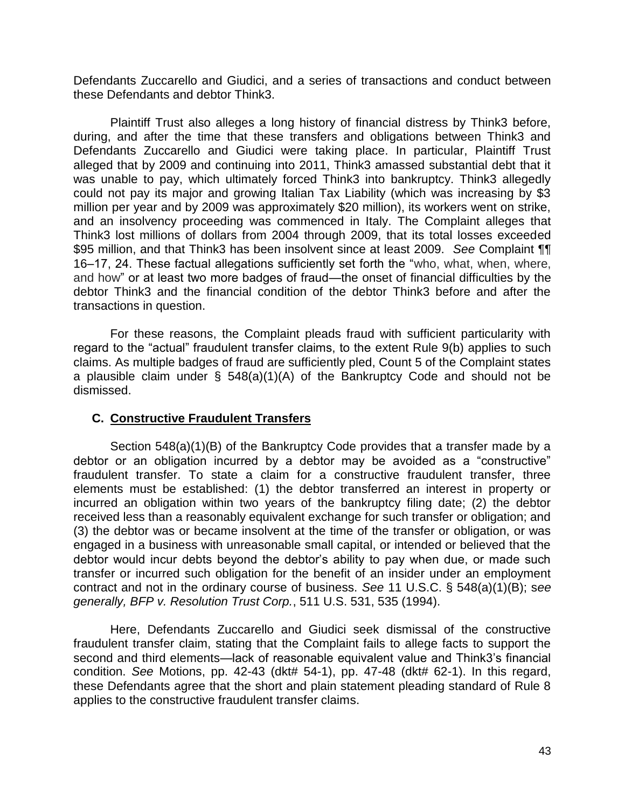Defendants Zuccarello and Giudici, and a series of transactions and conduct between these Defendants and debtor Think3.

Plaintiff Trust also alleges a long history of financial distress by Think3 before, during, and after the time that these transfers and obligations between Think3 and Defendants Zuccarello and Giudici were taking place. In particular, Plaintiff Trust alleged that by 2009 and continuing into 2011, Think3 amassed substantial debt that it was unable to pay, which ultimately forced Think3 into bankruptcy. Think3 allegedly could not pay its major and growing Italian Tax Liability (which was increasing by \$3 million per year and by 2009 was approximately \$20 million), its workers went on strike, and an insolvency proceeding was commenced in Italy. The Complaint alleges that Think3 lost millions of dollars from 2004 through 2009, that its total losses exceeded \$95 million, and that Think3 has been insolvent since at least 2009. *See* Complaint ¶¶ 16–17, 24. These factual allegations sufficiently set forth the "who, what, when, where, and how" or at least two more badges of fraud—the onset of financial difficulties by the debtor Think3 and the financial condition of the debtor Think3 before and after the transactions in question.

For these reasons, the Complaint pleads fraud with sufficient particularity with regard to the "actual" fraudulent transfer claims, to the extent Rule 9(b) applies to such claims. As multiple badges of fraud are sufficiently pled, Count 5 of the Complaint states a plausible claim under § 548(a)(1)(A) of the Bankruptcy Code and should not be dismissed.

## **C. Constructive Fraudulent Transfers**

Section 548(a)(1)(B) of the Bankruptcy Code provides that a transfer made by a debtor or an obligation incurred by a debtor may be avoided as a "constructive" fraudulent transfer. To state a claim for a constructive fraudulent transfer, three elements must be established: (1) the debtor transferred an interest in property or incurred an obligation within two years of the bankruptcy filing date; (2) the debtor received less than a reasonably equivalent exchange for such transfer or obligation; and (3) the debtor was or became insolvent at the time of the transfer or obligation, or was engaged in a business with unreasonable small capital, or intended or believed that the debtor would incur debts beyond the debtor's ability to pay when due, or made such transfer or incurred such obligation for the benefit of an insider under an employment contract and not in the ordinary course of business. *See* 11 U.S.C. § 548(a)(1)(B); s*ee generally, BFP v. Resolution Trust Corp.*, 511 U.S. 531, 535 (1994).

Here, Defendants Zuccarello and Giudici seek dismissal of the constructive fraudulent transfer claim, stating that the Complaint fails to allege facts to support the second and third elements—lack of reasonable equivalent value and Think3's financial condition. *See* Motions, pp. 42-43 (dkt# 54-1), pp. 47-48 (dkt# 62-1). In this regard, these Defendants agree that the short and plain statement pleading standard of Rule 8 applies to the constructive fraudulent transfer claims.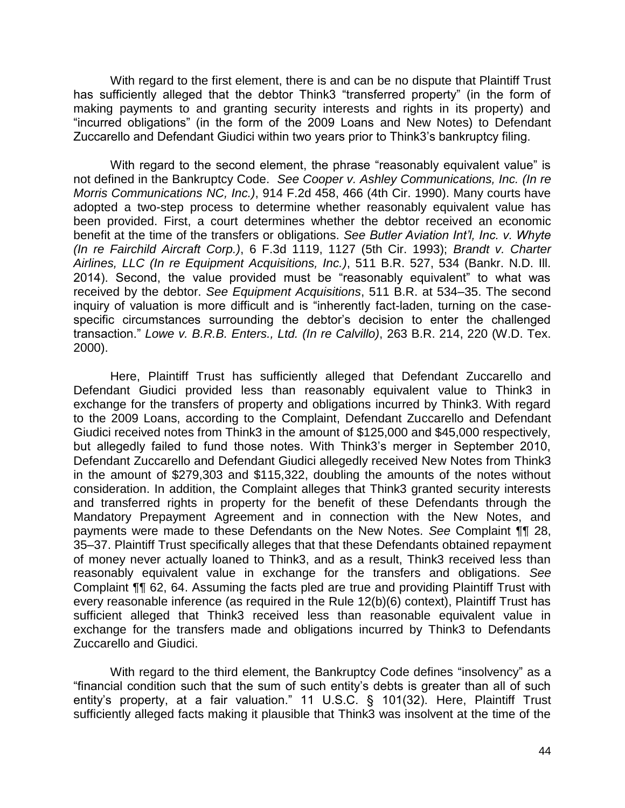With regard to the first element, there is and can be no dispute that Plaintiff Trust has sufficiently alleged that the debtor Think3 "transferred property" (in the form of making payments to and granting security interests and rights in its property) and "incurred obligations" (in the form of the 2009 Loans and New Notes) to Defendant Zuccarello and Defendant Giudici within two years prior to Think3's bankruptcy filing.

With regard to the second element, the phrase "reasonably equivalent value" is not defined in the Bankruptcy Code. *See Cooper v. Ashley Communications, Inc. (In re Morris Communications NC, Inc.)*, 914 F.2d 458, 466 (4th Cir. 1990). Many courts have adopted a two-step process to determine whether reasonably equivalent value has been provided. First, a court determines whether the debtor received an economic benefit at the time of the transfers or obligations. *See Butler Aviation Int'l, Inc. v. Whyte (In re Fairchild Aircraft Corp.)*, 6 F.3d 1119, 1127 (5th Cir. 1993); *Brandt v. Charter Airlines, LLC (In re Equipment Acquisitions, Inc.)*, 511 B.R. 527, 534 (Bankr. N.D. Ill. 2014). Second, the value provided must be "reasonably equivalent" to what was received by the debtor. *See Equipment Acquisitions*, 511 B.R. at 534–35. The second inquiry of valuation is more difficult and is "inherently fact-laden, turning on the casespecific circumstances surrounding the debtor's decision to enter the challenged transaction." *Lowe v. B.R.B. Enters., Ltd. (In re Calvillo)*, 263 B.R. 214, 220 (W.D. Tex. 2000).

Here, Plaintiff Trust has sufficiently alleged that Defendant Zuccarello and Defendant Giudici provided less than reasonably equivalent value to Think3 in exchange for the transfers of property and obligations incurred by Think3. With regard to the 2009 Loans, according to the Complaint, Defendant Zuccarello and Defendant Giudici received notes from Think3 in the amount of \$125,000 and \$45,000 respectively, but allegedly failed to fund those notes. With Think3's merger in September 2010, Defendant Zuccarello and Defendant Giudici allegedly received New Notes from Think3 in the amount of \$279,303 and \$115,322, doubling the amounts of the notes without consideration. In addition, the Complaint alleges that Think3 granted security interests and transferred rights in property for the benefit of these Defendants through the Mandatory Prepayment Agreement and in connection with the New Notes, and payments were made to these Defendants on the New Notes. *See* Complaint ¶¶ 28, 35–37. Plaintiff Trust specifically alleges that that these Defendants obtained repayment of money never actually loaned to Think3, and as a result, Think3 received less than reasonably equivalent value in exchange for the transfers and obligations. *See*  Complaint ¶¶ 62, 64. Assuming the facts pled are true and providing Plaintiff Trust with every reasonable inference (as required in the Rule 12(b)(6) context), Plaintiff Trust has sufficient alleged that Think3 received less than reasonable equivalent value in exchange for the transfers made and obligations incurred by Think3 to Defendants Zuccarello and Giudici.

With regard to the third element, the Bankruptcy Code defines "insolvency" as a "financial condition such that the sum of such entity's debts is greater than all of such entity's property, at a fair valuation." 11 U.S.C. § 101(32). Here, Plaintiff Trust sufficiently alleged facts making it plausible that Think3 was insolvent at the time of the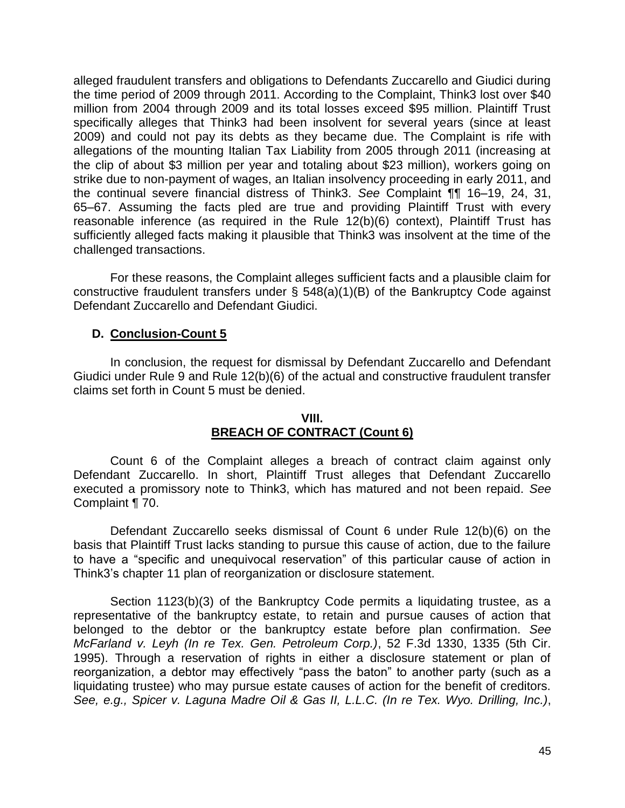alleged fraudulent transfers and obligations to Defendants Zuccarello and Giudici during the time period of 2009 through 2011. According to the Complaint, Think3 lost over \$40 million from 2004 through 2009 and its total losses exceed \$95 million. Plaintiff Trust specifically alleges that Think3 had been insolvent for several years (since at least 2009) and could not pay its debts as they became due. The Complaint is rife with allegations of the mounting Italian Tax Liability from 2005 through 2011 (increasing at the clip of about \$3 million per year and totaling about \$23 million), workers going on strike due to non-payment of wages, an Italian insolvency proceeding in early 2011, and the continual severe financial distress of Think3. *See* Complaint ¶¶ 16–19, 24, 31, 65–67. Assuming the facts pled are true and providing Plaintiff Trust with every reasonable inference (as required in the Rule  $12(b)(6)$  context), Plaintiff Trust has sufficiently alleged facts making it plausible that Think3 was insolvent at the time of the challenged transactions.

For these reasons, the Complaint alleges sufficient facts and a plausible claim for constructive fraudulent transfers under § 548(a)(1)(B) of the Bankruptcy Code against Defendant Zuccarello and Defendant Giudici.

# **D. Conclusion-Count 5**

In conclusion, the request for dismissal by Defendant Zuccarello and Defendant Giudici under Rule 9 and Rule 12(b)(6) of the actual and constructive fraudulent transfer claims set forth in Count 5 must be denied.

# **VIII. BREACH OF CONTRACT (Count 6)**

Count 6 of the Complaint alleges a breach of contract claim against only Defendant Zuccarello. In short, Plaintiff Trust alleges that Defendant Zuccarello executed a promissory note to Think3, which has matured and not been repaid. *See*  Complaint ¶ 70.

Defendant Zuccarello seeks dismissal of Count 6 under Rule 12(b)(6) on the basis that Plaintiff Trust lacks standing to pursue this cause of action, due to the failure to have a "specific and unequivocal reservation" of this particular cause of action in Think3's chapter 11 plan of reorganization or disclosure statement.

Section 1123(b)(3) of the Bankruptcy Code permits a liquidating trustee, as a representative of the bankruptcy estate, to retain and pursue causes of action that belonged to the debtor or the bankruptcy estate before plan confirmation. *See McFarland v. Leyh (In re Tex. Gen. Petroleum Corp.)*, 52 F.3d 1330, 1335 (5th Cir. 1995). Through a reservation of rights in either a disclosure statement or plan of reorganization, a debtor may effectively "pass the baton" to another party (such as a liquidating trustee) who may pursue estate causes of action for the benefit of creditors. *See, e.g., Spicer v. Laguna Madre Oil & Gas II, L.L.C. (In re Tex. Wyo. Drilling, Inc.)*,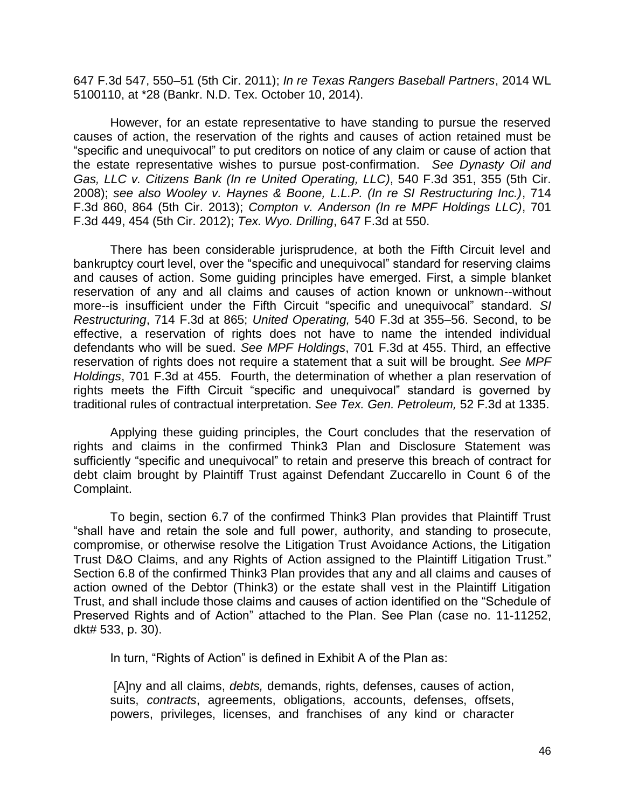647 F.3d 547, 550–51 (5th Cir. 2011); *In re Texas Rangers Baseball Partners*, 2014 WL 5100110, at \*28 (Bankr. N.D. Tex. October 10, 2014).

However, for an estate representative to have standing to pursue the reserved causes of action, the reservation of the rights and causes of action retained must be "specific and unequivocal" to put creditors on notice of any claim or cause of action that the estate representative wishes to pursue post-confirmation. *See Dynasty Oil and Gas, LLC v. Citizens Bank (In re United Operating, LLC)*, 540 F.3d 351, 355 (5th Cir. 2008); *see also Wooley v. Haynes & Boone, L.L.P. (In re SI Restructuring Inc.)*, 714 F.3d 860, 864 (5th Cir. 2013); *Compton v. Anderson (In re MPF Holdings LLC)*, 701 F.3d 449, 454 (5th Cir. 2012); *Tex. Wyo. Drilling*, 647 F.3d at 550.

There has been considerable jurisprudence, at both the Fifth Circuit level and bankruptcy court level, over the "specific and unequivocal" standard for reserving claims and causes of action. Some guiding principles have emerged. First, a simple blanket reservation of any and all claims and causes of action known or unknown--without more--is insufficient under the Fifth Circuit "specific and unequivocal" standard. *SI Restructuring*, 714 F.3d at 865; *United Operating,* 540 F.3d at 355–56. Second, to be effective, a reservation of rights does not have to name the intended individual defendants who will be sued. *See MPF Holdings*, 701 F.3d at 455. Third, an effective reservation of rights does not require a statement that a suit will be brought. *See MPF Holdings*, 701 F.3d at 455*.* Fourth, the determination of whether a plan reservation of rights meets the Fifth Circuit "specific and unequivocal" standard is governed by traditional rules of contractual interpretation. *See Tex. Gen. Petroleum,* 52 F.3d at 1335.

Applying these guiding principles, the Court concludes that the reservation of rights and claims in the confirmed Think3 Plan and Disclosure Statement was sufficiently "specific and unequivocal" to retain and preserve this breach of contract for debt claim brought by Plaintiff Trust against Defendant Zuccarello in Count 6 of the Complaint.

To begin, section 6.7 of the confirmed Think3 Plan provides that Plaintiff Trust "shall have and retain the sole and full power, authority, and standing to prosecute, compromise, or otherwise resolve the Litigation Trust Avoidance Actions, the Litigation Trust D&O Claims, and any Rights of Action assigned to the Plaintiff Litigation Trust." Section 6.8 of the confirmed Think3 Plan provides that any and all claims and causes of action owned of the Debtor (Think3) or the estate shall vest in the Plaintiff Litigation Trust, and shall include those claims and causes of action identified on the "Schedule of Preserved Rights and of Action" attached to the Plan. See Plan (case no. 11-11252, dkt# 533, p. 30).

In turn, "Rights of Action" is defined in Exhibit A of the Plan as:

 [A]ny and all claims, *debts,* demands, rights, defenses, causes of action, suits, *contracts*, agreements, obligations, accounts, defenses, offsets, powers, privileges, licenses, and franchises of any kind or character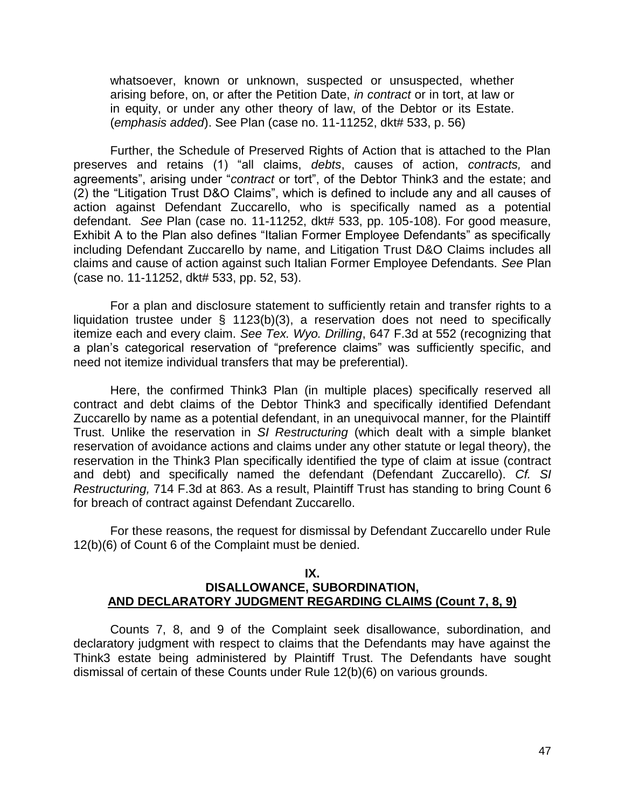whatsoever, known or unknown, suspected or unsuspected, whether arising before, on, or after the Petition Date, *in contract* or in tort, at law or in equity, or under any other theory of law, of the Debtor or its Estate. (*emphasis added*). See Plan (case no. 11-11252, dkt# 533, p. 56)

Further, the Schedule of Preserved Rights of Action that is attached to the Plan preserves and retains (1) "all claims, *debts*, causes of action, *contracts,* and agreements", arising under "*contract* or tort", of the Debtor Think3 and the estate; and (2) the "Litigation Trust D&O Claims", which is defined to include any and all causes of action against Defendant Zuccarello, who is specifically named as a potential defendant. *See* Plan (case no. 11-11252, dkt# 533, pp. 105-108). For good measure, Exhibit A to the Plan also defines "Italian Former Employee Defendants" as specifically including Defendant Zuccarello by name, and Litigation Trust D&O Claims includes all claims and cause of action against such Italian Former Employee Defendants. *See* Plan (case no. 11-11252, dkt# 533, pp. 52, 53).

For a plan and disclosure statement to sufficiently retain and transfer rights to a liquidation trustee under § 1123(b)(3), a reservation does not need to specifically itemize each and every claim. *See Tex. Wyo. Drilling*, 647 F.3d at 552 (recognizing that a plan's categorical reservation of "preference claims" was sufficiently specific, and need not itemize individual transfers that may be preferential).

 Here, the confirmed Think3 Plan (in multiple places) specifically reserved all contract and debt claims of the Debtor Think3 and specifically identified Defendant Zuccarello by name as a potential defendant, in an unequivocal manner, for the Plaintiff Trust. Unlike the reservation in *SI Restructuring* (which dealt with a simple blanket reservation of avoidance actions and claims under any other statute or legal theory), the reservation in the Think3 Plan specifically identified the type of claim at issue (contract and debt) and specifically named the defendant (Defendant Zuccarello). *Cf. SI Restructuring,* 714 F.3d at 863. As a result, Plaintiff Trust has standing to bring Count 6 for breach of contract against Defendant Zuccarello.

 For these reasons, the request for dismissal by Defendant Zuccarello under Rule 12(b)(6) of Count 6 of the Complaint must be denied.

### **IX. DISALLOWANCE, SUBORDINATION, AND DECLARATORY JUDGMENT REGARDING CLAIMS (Count 7, 8, 9)**

 Counts 7, 8, and 9 of the Complaint seek disallowance, subordination, and declaratory judgment with respect to claims that the Defendants may have against the Think3 estate being administered by Plaintiff Trust. The Defendants have sought dismissal of certain of these Counts under Rule 12(b)(6) on various grounds.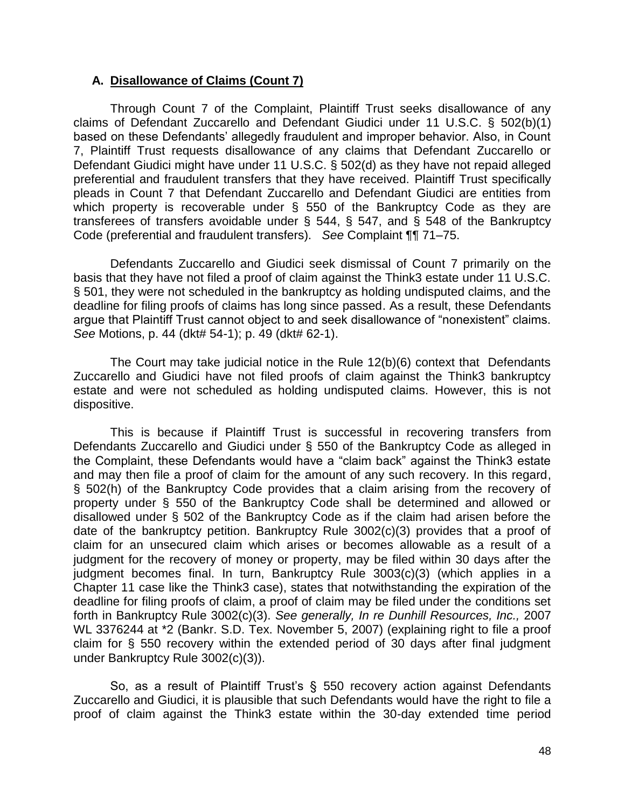### **A. Disallowance of Claims (Count 7)**

Through Count 7 of the Complaint, Plaintiff Trust seeks disallowance of any claims of Defendant Zuccarello and Defendant Giudici under 11 U.S.C. § 502(b)(1) based on these Defendants' allegedly fraudulent and improper behavior. Also, in Count 7, Plaintiff Trust requests disallowance of any claims that Defendant Zuccarello or Defendant Giudici might have under 11 U.S.C. § 502(d) as they have not repaid alleged preferential and fraudulent transfers that they have received. Plaintiff Trust specifically pleads in Count 7 that Defendant Zuccarello and Defendant Giudici are entities from which property is recoverable under § 550 of the Bankruptcy Code as they are transferees of transfers avoidable under § 544, § 547, and § 548 of the Bankruptcy Code (preferential and fraudulent transfers). *See* Complaint ¶¶ 71–75.

 Defendants Zuccarello and Giudici seek dismissal of Count 7 primarily on the basis that they have not filed a proof of claim against the Think3 estate under 11 U.S.C. § 501, they were not scheduled in the bankruptcy as holding undisputed claims, and the deadline for filing proofs of claims has long since passed. As a result, these Defendants argue that Plaintiff Trust cannot object to and seek disallowance of "nonexistent" claims. *See* Motions, p. 44 (dkt# 54-1); p. 49 (dkt# 62-1).

 The Court may take judicial notice in the Rule 12(b)(6) context that Defendants Zuccarello and Giudici have not filed proofs of claim against the Think3 bankruptcy estate and were not scheduled as holding undisputed claims. However, this is not dispositive.

 This is because if Plaintiff Trust is successful in recovering transfers from Defendants Zuccarello and Giudici under § 550 of the Bankruptcy Code as alleged in the Complaint, these Defendants would have a "claim back" against the Think3 estate and may then file a proof of claim for the amount of any such recovery. In this regard, § 502(h) of the Bankruptcy Code provides that a claim arising from the recovery of property under § 550 of the Bankruptcy Code shall be determined and allowed or disallowed under § 502 of the Bankruptcy Code as if the claim had arisen before the date of the bankruptcy petition. Bankruptcy Rule 3002(c)(3) provides that a proof of claim for an unsecured claim which arises or becomes allowable as a result of a judgment for the recovery of money or property, may be filed within 30 days after the iudament becomes final. In turn, Bankruptcy Rule 3003(c)(3) (which applies in a Chapter 11 case like the Think3 case), states that notwithstanding the expiration of the deadline for filing proofs of claim, a proof of claim may be filed under the conditions set forth in Bankruptcy Rule 3002(c)(3). *See generally, In re Dunhill Resources, Inc.,* 2007 WL 3376244 at \*2 (Bankr. S.D. Tex. November 5, 2007) (explaining right to file a proof claim for § 550 recovery within the extended period of 30 days after final judgment under Bankruptcy Rule 3002(c)(3)).

So, as a result of Plaintiff Trust's § 550 recovery action against Defendants Zuccarello and Giudici, it is plausible that such Defendants would have the right to file a proof of claim against the Think3 estate within the 30-day extended time period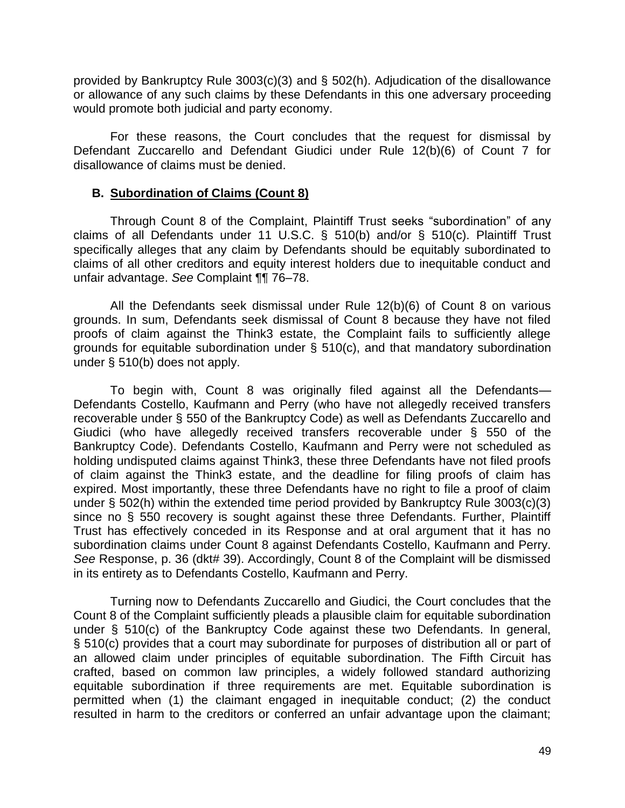provided by Bankruptcy Rule 3003(c)(3) and § 502(h). Adjudication of the disallowance or allowance of any such claims by these Defendants in this one adversary proceeding would promote both judicial and party economy.

 For these reasons, the Court concludes that the request for dismissal by Defendant Zuccarello and Defendant Giudici under Rule 12(b)(6) of Count 7 for disallowance of claims must be denied.

### **B. Subordination of Claims (Count 8)**

Through Count 8 of the Complaint, Plaintiff Trust seeks "subordination" of any claims of all Defendants under 11 U.S.C. § 510(b) and/or § 510(c). Plaintiff Trust specifically alleges that any claim by Defendants should be equitably subordinated to claims of all other creditors and equity interest holders due to inequitable conduct and unfair advantage. *See* Complaint ¶¶ 76–78.

 All the Defendants seek dismissal under Rule 12(b)(6) of Count 8 on various grounds. In sum, Defendants seek dismissal of Count 8 because they have not filed proofs of claim against the Think3 estate, the Complaint fails to sufficiently allege grounds for equitable subordination under § 510(c), and that mandatory subordination under § 510(b) does not apply.

 To begin with, Count 8 was originally filed against all the Defendants— Defendants Costello, Kaufmann and Perry (who have not allegedly received transfers recoverable under § 550 of the Bankruptcy Code) as well as Defendants Zuccarello and Giudici (who have allegedly received transfers recoverable under § 550 of the Bankruptcy Code). Defendants Costello, Kaufmann and Perry were not scheduled as holding undisputed claims against Think3, these three Defendants have not filed proofs of claim against the Think3 estate, and the deadline for filing proofs of claim has expired. Most importantly, these three Defendants have no right to file a proof of claim under § 502(h) within the extended time period provided by Bankruptcy Rule 3003(c)(3) since no § 550 recovery is sought against these three Defendants. Further, Plaintiff Trust has effectively conceded in its Response and at oral argument that it has no subordination claims under Count 8 against Defendants Costello, Kaufmann and Perry. See Response, p. 36 (dkt# 39). Accordingly, Count 8 of the Complaint will be dismissed in its entirety as to Defendants Costello, Kaufmann and Perry.

 Turning now to Defendants Zuccarello and Giudici, the Court concludes that the Count 8 of the Complaint sufficiently pleads a plausible claim for equitable subordination under § 510(c) of the Bankruptcy Code against these two Defendants. In general, § 510(c) provides that a court may subordinate for purposes of distribution all or part of an allowed claim under principles of equitable subordination. The Fifth Circuit has crafted, based on common law principles, a widely followed standard authorizing equitable subordination if three requirements are met. Equitable subordination is permitted when (1) the claimant engaged in inequitable conduct; (2) the conduct resulted in harm to the creditors or conferred an unfair advantage upon the claimant;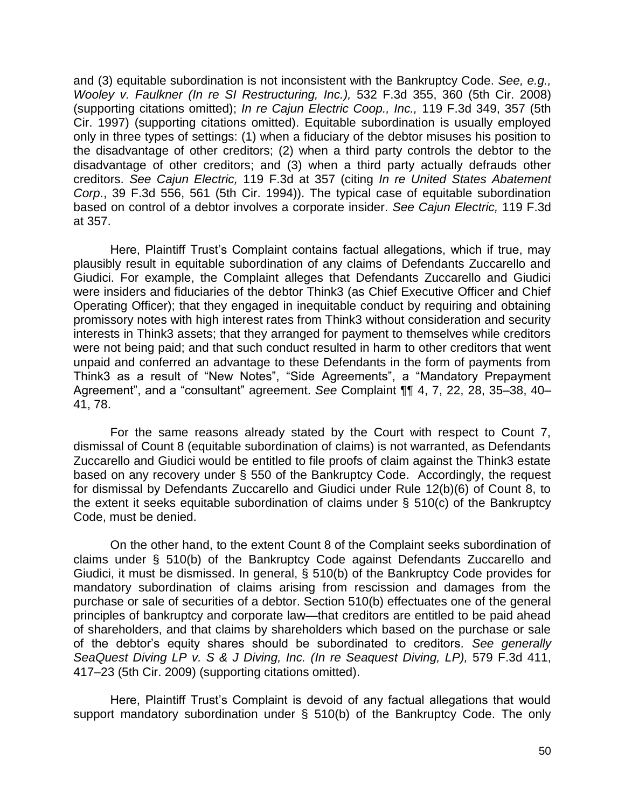and (3) equitable subordination is not inconsistent with the Bankruptcy Code. *See, e.g., Wooley v. Faulkner (In re SI Restructuring, Inc.),* 532 F.3d 355, 360 (5th Cir. 2008) (supporting citations omitted); *In re Cajun Electric Coop., Inc.,* 119 F.3d 349, 357 (5th Cir. 1997) (supporting citations omitted). Equitable subordination is usually employed only in three types of settings: (1) when a fiduciary of the debtor misuses his position to the disadvantage of other creditors; (2) when a third party controls the debtor to the disadvantage of other creditors; and (3) when a third party actually defrauds other creditors. *See Cajun Electric,* 119 F.3d at 357 (citing *In re United States Abatement Corp*., 39 F.3d 556, 561 (5th Cir. 1994)). The typical case of equitable subordination based on control of a debtor involves a corporate insider. *See Cajun Electric,* 119 F.3d at 357.

Here, Plaintiff Trust's Complaint contains factual allegations, which if true, may plausibly result in equitable subordination of any claims of Defendants Zuccarello and Giudici. For example, the Complaint alleges that Defendants Zuccarello and Giudici were insiders and fiduciaries of the debtor Think3 (as Chief Executive Officer and Chief Operating Officer); that they engaged in inequitable conduct by requiring and obtaining promissory notes with high interest rates from Think3 without consideration and security interests in Think3 assets; that they arranged for payment to themselves while creditors were not being paid; and that such conduct resulted in harm to other creditors that went unpaid and conferred an advantage to these Defendants in the form of payments from Think3 as a result of "New Notes", "Side Agreements", a "Mandatory Prepayment Agreement", and a "consultant" agreement. *See* Complaint ¶¶ 4, 7, 22, 28, 35–38, 40– 41, 78.

 For the same reasons already stated by the Court with respect to Count 7, dismissal of Count 8 (equitable subordination of claims) is not warranted, as Defendants Zuccarello and Giudici would be entitled to file proofs of claim against the Think3 estate based on any recovery under § 550 of the Bankruptcy Code. Accordingly, the request for dismissal by Defendants Zuccarello and Giudici under Rule 12(b)(6) of Count 8, to the extent it seeks equitable subordination of claims under § 510(c) of the Bankruptcy Code, must be denied.

 On the other hand, to the extent Count 8 of the Complaint seeks subordination of claims under § 510(b) of the Bankruptcy Code against Defendants Zuccarello and Giudici, it must be dismissed. In general, § 510(b) of the Bankruptcy Code provides for mandatory subordination of claims arising from rescission and damages from the purchase or sale of securities of a debtor. Section 510(b) effectuates one of the general principles of bankruptcy and corporate law—that creditors are entitled to be paid ahead of shareholders, and that claims by shareholders which based on the purchase or sale of the debtor's equity shares should be subordinated to creditors. *See generally SeaQuest Diving LP v. S & J Diving, Inc. (In re Seaquest Diving, LP),* 579 F.3d 411, 417–23 (5th Cir. 2009) (supporting citations omitted).

Here, Plaintiff Trust's Complaint is devoid of any factual allegations that would support mandatory subordination under § 510(b) of the Bankruptcy Code. The only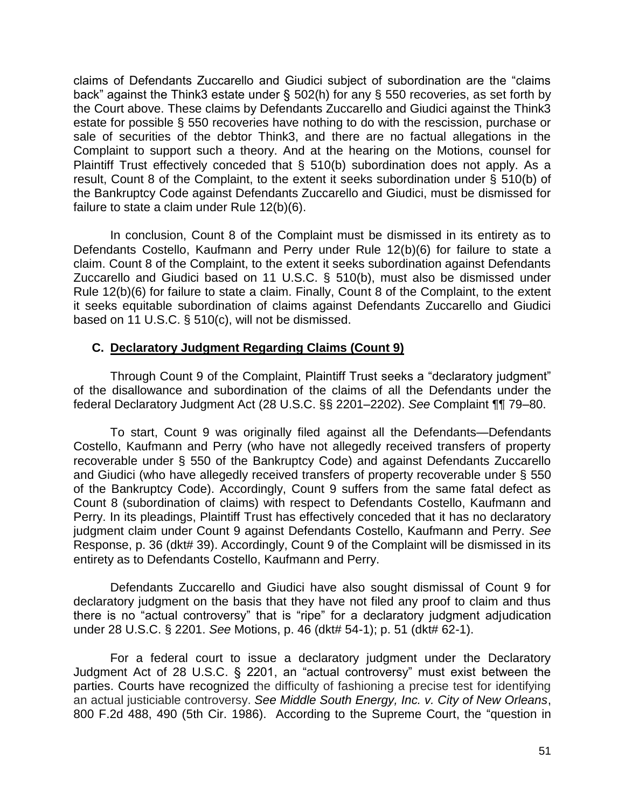claims of Defendants Zuccarello and Giudici subject of subordination are the "claims back" against the Think3 estate under § 502(h) for any § 550 recoveries, as set forth by the Court above. These claims by Defendants Zuccarello and Giudici against the Think3 estate for possible § 550 recoveries have nothing to do with the rescission, purchase or sale of securities of the debtor Think3, and there are no factual allegations in the Complaint to support such a theory. And at the hearing on the Motions, counsel for Plaintiff Trust effectively conceded that § 510(b) subordination does not apply. As a result, Count 8 of the Complaint, to the extent it seeks subordination under § 510(b) of the Bankruptcy Code against Defendants Zuccarello and Giudici, must be dismissed for failure to state a claim under Rule 12(b)(6).

 In conclusion, Count 8 of the Complaint must be dismissed in its entirety as to Defendants Costello, Kaufmann and Perry under Rule 12(b)(6) for failure to state a claim. Count 8 of the Complaint, to the extent it seeks subordination against Defendants Zuccarello and Giudici based on 11 U.S.C. § 510(b), must also be dismissed under Rule 12(b)(6) for failure to state a claim. Finally, Count 8 of the Complaint, to the extent it seeks equitable subordination of claims against Defendants Zuccarello and Giudici based on 11 U.S.C. § 510(c), will not be dismissed.

# **C. Declaratory Judgment Regarding Claims (Count 9)**

Through Count 9 of the Complaint, Plaintiff Trust seeks a "declaratory judgment" of the disallowance and subordination of the claims of all the Defendants under the federal Declaratory Judgment Act (28 U.S.C. §§ 2201–2202). *See* Complaint ¶¶ 79–80.

 To start, Count 9 was originally filed against all the Defendants—Defendants Costello, Kaufmann and Perry (who have not allegedly received transfers of property recoverable under § 550 of the Bankruptcy Code) and against Defendants Zuccarello and Giudici (who have allegedly received transfers of property recoverable under § 550 of the Bankruptcy Code). Accordingly, Count 9 suffers from the same fatal defect as Count 8 (subordination of claims) with respect to Defendants Costello, Kaufmann and Perry. In its pleadings, Plaintiff Trust has effectively conceded that it has no declaratory judgment claim under Count 9 against Defendants Costello, Kaufmann and Perry. *See* Response, p. 36 (dkt# 39). Accordingly, Count 9 of the Complaint will be dismissed in its entirety as to Defendants Costello, Kaufmann and Perry.

 Defendants Zuccarello and Giudici have also sought dismissal of Count 9 for declaratory judgment on the basis that they have not filed any proof to claim and thus there is no "actual controversy" that is "ripe" for a declaratory judgment adjudication under 28 U.S.C. § 2201. *See* Motions, p. 46 (dkt# 54-1); p. 51 (dkt# 62-1).

 For a federal court to issue a declaratory judgment under the Declaratory Judgment Act of 28 U.S.C. § 2201, an "actual controversy" must exist between the parties. Courts have recognized the difficulty of fashioning a precise test for identifying an actual justiciable controversy. *See Middle South Energy, Inc. v. City of New Orleans*, 800 F.2d 488, 490 (5th Cir. 1986). According to the Supreme Court, the "question in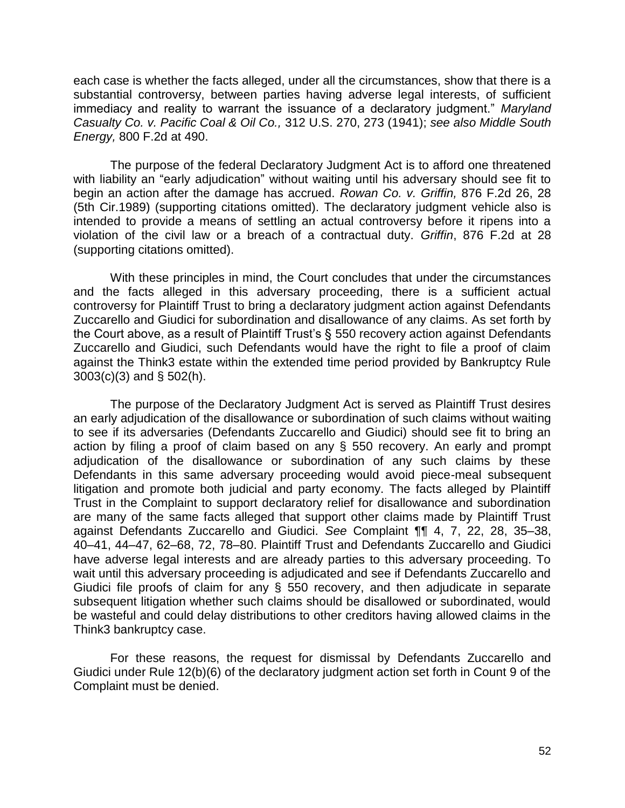each case is whether the facts alleged, under all the circumstances, show that there is a substantial controversy, between parties having adverse legal interests, of sufficient immediacy and reality to warrant the issuance of a declaratory judgment." *Maryland Casualty Co. v. Pacific Coal & Oil Co.,* 312 U.S. 270, 273 (1941); *see also Middle South Energy,* 800 F.2d at 490.

 The purpose of the federal Declaratory Judgment Act is to afford one threatened with liability an "early adjudication" without waiting until his adversary should see fit to begin an action after the damage has accrued. *Rowan Co. v. Griffin,* 876 F.2d 26, 28 (5th Cir.1989) (supporting citations omitted). The declaratory judgment vehicle also is intended to provide a means of settling an actual controversy before it ripens into a violation of the civil law or a breach of a contractual duty. *Griffin*, 876 F.2d at 28 (supporting citations omitted).

 With these principles in mind, the Court concludes that under the circumstances and the facts alleged in this adversary proceeding, there is a sufficient actual controversy for Plaintiff Trust to bring a declaratory judgment action against Defendants Zuccarello and Giudici for subordination and disallowance of any claims. As set forth by the Court above, as a result of Plaintiff Trust's § 550 recovery action against Defendants Zuccarello and Giudici, such Defendants would have the right to file a proof of claim against the Think3 estate within the extended time period provided by Bankruptcy Rule 3003(c)(3) and § 502(h).

 The purpose of the Declaratory Judgment Act is served as Plaintiff Trust desires an early adjudication of the disallowance or subordination of such claims without waiting to see if its adversaries (Defendants Zuccarello and Giudici) should see fit to bring an action by filing a proof of claim based on any § 550 recovery. An early and prompt adjudication of the disallowance or subordination of any such claims by these Defendants in this same adversary proceeding would avoid piece-meal subsequent litigation and promote both judicial and party economy. The facts alleged by Plaintiff Trust in the Complaint to support declaratory relief for disallowance and subordination are many of the same facts alleged that support other claims made by Plaintiff Trust against Defendants Zuccarello and Giudici. *See* Complaint ¶¶ 4, 7, 22, 28, 35–38, 40–41, 44–47, 62–68, 72, 78–80. Plaintiff Trust and Defendants Zuccarello and Giudici have adverse legal interests and are already parties to this adversary proceeding. To wait until this adversary proceeding is adjudicated and see if Defendants Zuccarello and Giudici file proofs of claim for any § 550 recovery, and then adjudicate in separate subsequent litigation whether such claims should be disallowed or subordinated, would be wasteful and could delay distributions to other creditors having allowed claims in the Think3 bankruptcy case.

 For these reasons, the request for dismissal by Defendants Zuccarello and Giudici under Rule 12(b)(6) of the declaratory judgment action set forth in Count 9 of the Complaint must be denied.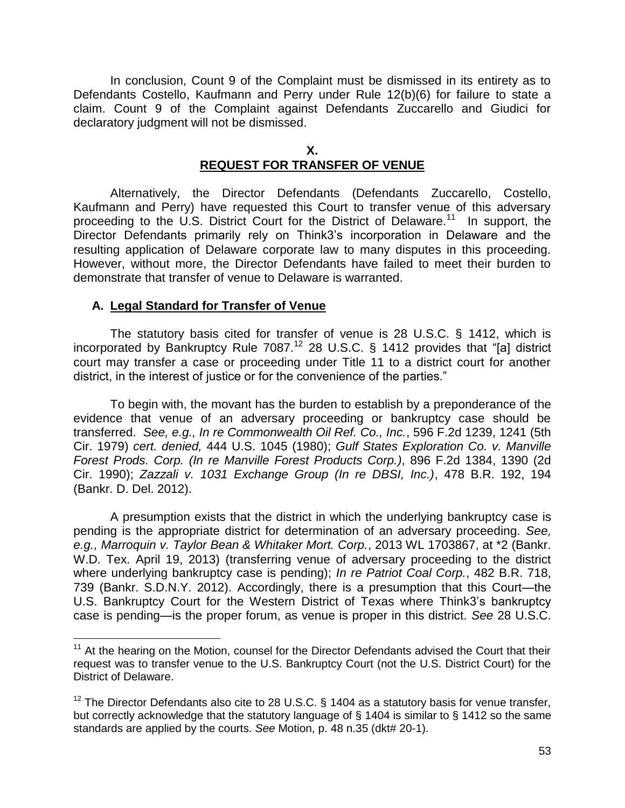In conclusion, Count 9 of the Complaint must be dismissed in its entirety as to Defendants Costello, Kaufmann and Perry under Rule 12(b)(6) for failure to state a claim. Count 9 of the Complaint against Defendants Zuccarello and Giudici for declaratory judgment will not be dismissed.

### **X. REQUEST FOR TRANSFER OF VENUE**

Alternatively, the Director Defendants (Defendants Zuccarello, Costello, Kaufmann and Perry) have requested this Court to transfer venue of this adversary proceeding to the U.S. District Court for the District of Delaware.<sup>11</sup> In support, the Director Defendants primarily rely on Think3's incorporation in Delaware and the resulting application of Delaware corporate law to many disputes in this proceeding. However, without more, the Director Defendants have failed to meet their burden to demonstrate that transfer of venue to Delaware is warranted.

## **A. Legal Standard for Transfer of Venue**

 $\overline{a}$ 

The statutory basis cited for transfer of venue is 28 U.S.C. § 1412, which is incorporated by Bankruptcy Rule 7087.<sup>12</sup> 28 U.S.C. § 1412 provides that "[a] district court may transfer a case or proceeding under Title 11 to a district court for another district, in the interest of justice or for the convenience of the parties."

To begin with, the movant has the burden to establish by a preponderance of the evidence that venue of an adversary proceeding or bankruptcy case should be transferred. *See, e.g., In re Commonwealth Oil Ref. Co., Inc.*, 596 F.2d 1239, 1241 (5th Cir. 1979) *cert. denied,* 444 U.S. 1045 (1980); *Gulf States Exploration Co. v. Manville Forest Prods. Corp. (In re Manville Forest Products Corp.)*, 896 F.2d 1384, 1390 (2d Cir. 1990); *Zazzali v. 1031 Exchange Group (In re DBSI, Inc.)*, 478 B.R. 192, 194 (Bankr. D. Del. 2012).

A presumption exists that the district in which the underlying bankruptcy case is pending is the appropriate district for determination of an adversary proceeding. *See, e.g., Marroquin v. Taylor Bean & Whitaker Mort. Corp.*, 2013 WL 1703867, at \*2 (Bankr. W.D. Tex. April 19, 2013) (transferring venue of adversary proceeding to the district where underlying bankruptcy case is pending); *In re Patriot Coal Corp.*, 482 B.R. 718, 739 (Bankr. S.D.N.Y. 2012). Accordingly, there is a presumption that this Court—the U.S. Bankruptcy Court for the Western District of Texas where Think3's bankruptcy case is pending—is the proper forum, as venue is proper in this district. *See* 28 U.S.C.

 $11$  At the hearing on the Motion, counsel for the Director Defendants advised the Court that their request was to transfer venue to the U.S. Bankruptcy Court (not the U.S. District Court) for the District of Delaware.

 $12$  The Director Defendants also cite to 28 U.S.C. § 1404 as a statutory basis for venue transfer. but correctly acknowledge that the statutory language of § 1404 is similar to § 1412 so the same standards are applied by the courts. *See* Motion, p. 48 n.35 (dkt# 20-1).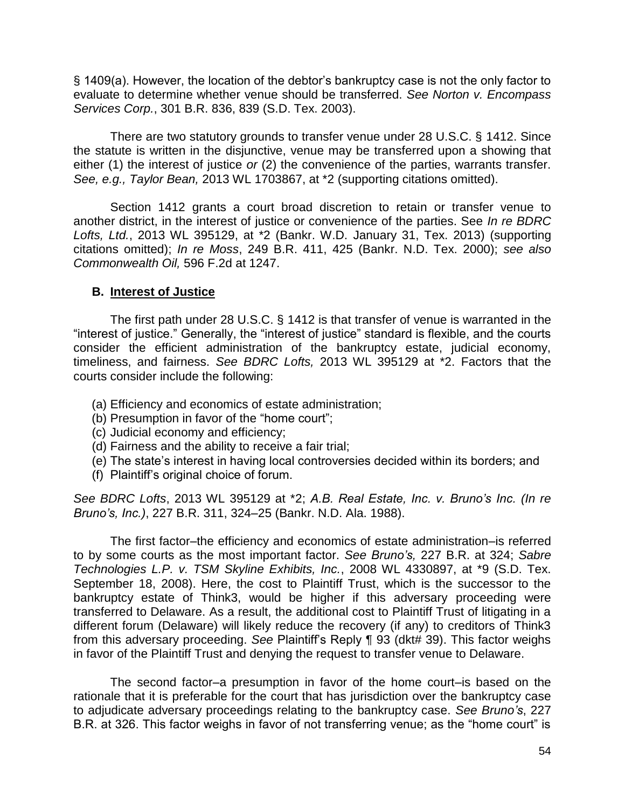§ 1409(a). However, the location of the debtor's bankruptcy case is not the only factor to evaluate to determine whether venue should be transferred. *See Norton v. Encompass Services Corp.*, 301 B.R. 836, 839 (S.D. Tex. 2003).

There are two statutory grounds to transfer venue under 28 U.S.C. § 1412. Since the statute is written in the disjunctive, venue may be transferred upon a showing that either (1) the interest of justice *or* (2) the convenience of the parties, warrants transfer. *See, e.g., Taylor Bean,* 2013 WL 1703867, at \*2 (supporting citations omitted).

Section 1412 grants a court broad discretion to retain or transfer venue to another district, in the interest of justice or convenience of the parties. See *In re BDRC Lofts, Ltd.*, 2013 WL 395129, at \*2 (Bankr. W.D. January 31, Tex. 2013) (supporting citations omitted); *In re Moss*, 249 B.R. 411, 425 (Bankr. N.D. Tex. 2000); *see also Commonwealth Oil,* 596 F.2d at 1247.

# **B. Interest of Justice**

The first path under 28 U.S.C. § 1412 is that transfer of venue is warranted in the "interest of justice." Generally, the "interest of justice" standard is flexible, and the courts consider the efficient administration of the bankruptcy estate, judicial economy, timeliness, and fairness. *See BDRC Lofts,* 2013 WL 395129 at \*2. Factors that the courts consider include the following:

- (a) Efficiency and economics of estate administration;
- (b) Presumption in favor of the "home court";
- (c) Judicial economy and efficiency;
- (d) Fairness and the ability to receive a fair trial;
- (e) The state's interest in having local controversies decided within its borders; and
- (f) Plaintiff's original choice of forum.

*See BDRC Lofts*, 2013 WL 395129 at \*2; *A.B. Real Estate, Inc. v. Bruno's Inc. (In re Bruno's, Inc.)*, 227 B.R. 311, 324–25 (Bankr. N.D. Ala. 1988).

The first factor–the efficiency and economics of estate administration–is referred to by some courts as the most important factor. *See Bruno's,* 227 B.R. at 324; *Sabre Technologies L.P. v. TSM Skyline Exhibits, Inc.*, 2008 WL 4330897, at \*9 (S.D. Tex. September 18, 2008). Here, the cost to Plaintiff Trust, which is the successor to the bankruptcy estate of Think3, would be higher if this adversary proceeding were transferred to Delaware. As a result, the additional cost to Plaintiff Trust of litigating in a different forum (Delaware) will likely reduce the recovery (if any) to creditors of Think3 from this adversary proceeding. *See* Plaintiff's Reply ¶ 93 (dkt# 39). This factor weighs in favor of the Plaintiff Trust and denying the request to transfer venue to Delaware.

 The second factor–a presumption in favor of the home court–is based on the rationale that it is preferable for the court that has jurisdiction over the bankruptcy case to adjudicate adversary proceedings relating to the bankruptcy case. *See Bruno's*, 227 B.R. at 326. This factor weighs in favor of not transferring venue; as the "home court" is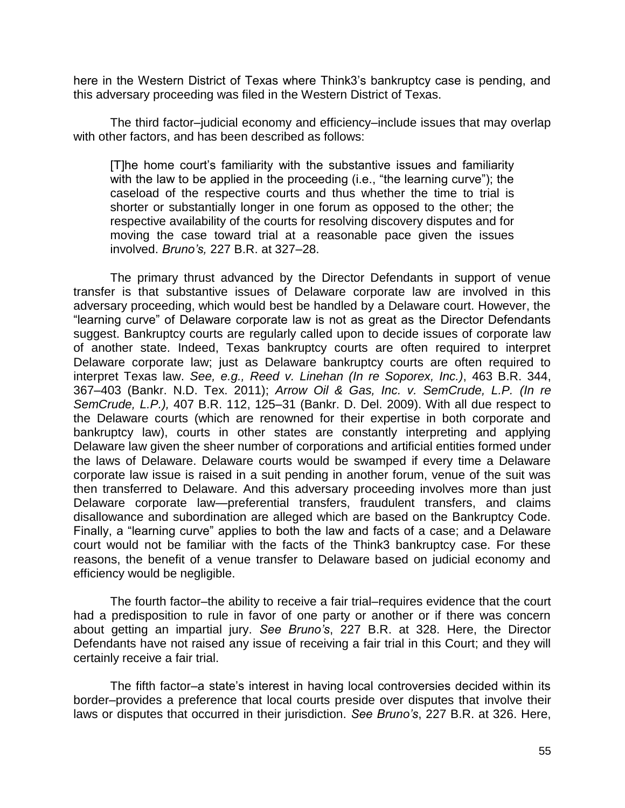here in the Western District of Texas where Think3's bankruptcy case is pending, and this adversary proceeding was filed in the Western District of Texas.

 The third factor–judicial economy and efficiency–include issues that may overlap with other factors, and has been described as follows:

[T]he home court's familiarity with the substantive issues and familiarity with the law to be applied in the proceeding (i.e., "the learning curve"); the caseload of the respective courts and thus whether the time to trial is shorter or substantially longer in one forum as opposed to the other; the respective availability of the courts for resolving discovery disputes and for moving the case toward trial at a reasonable pace given the issues involved. *Bruno's,* 227 B.R. at 327–28.

 The primary thrust advanced by the Director Defendants in support of venue transfer is that substantive issues of Delaware corporate law are involved in this adversary proceeding, which would best be handled by a Delaware court. However, the "learning curve" of Delaware corporate law is not as great as the Director Defendants suggest. Bankruptcy courts are regularly called upon to decide issues of corporate law of another state. Indeed, Texas bankruptcy courts are often required to interpret Delaware corporate law; just as Delaware bankruptcy courts are often required to interpret Texas law. *See, e.g., Reed v. Linehan (In re Soporex, Inc.)*, 463 B.R. 344, 367–403 (Bankr. N.D. Tex. 2011); *Arrow Oil & Gas, Inc. v. SemCrude, L.P. (In re SemCrude, L.P.),* 407 B.R. 112, 125–31 (Bankr. D. Del. 2009). With all due respect to the Delaware courts (which are renowned for their expertise in both corporate and bankruptcy law), courts in other states are constantly interpreting and applying Delaware law given the sheer number of corporations and artificial entities formed under the laws of Delaware. Delaware courts would be swamped if every time a Delaware corporate law issue is raised in a suit pending in another forum, venue of the suit was then transferred to Delaware. And this adversary proceeding involves more than just Delaware corporate law—preferential transfers, fraudulent transfers, and claims disallowance and subordination are alleged which are based on the Bankruptcy Code. Finally, a "learning curve" applies to both the law and facts of a case; and a Delaware court would not be familiar with the facts of the Think3 bankruptcy case. For these reasons, the benefit of a venue transfer to Delaware based on judicial economy and efficiency would be negligible.

The fourth factor–the ability to receive a fair trial–requires evidence that the court had a predisposition to rule in favor of one party or another or if there was concern about getting an impartial jury. *See Bruno's*, 227 B.R. at 328. Here, the Director Defendants have not raised any issue of receiving a fair trial in this Court; and they will certainly receive a fair trial.

The fifth factor–a state's interest in having local controversies decided within its border–provides a preference that local courts preside over disputes that involve their laws or disputes that occurred in their jurisdiction. *See Bruno's*, 227 B.R. at 326. Here,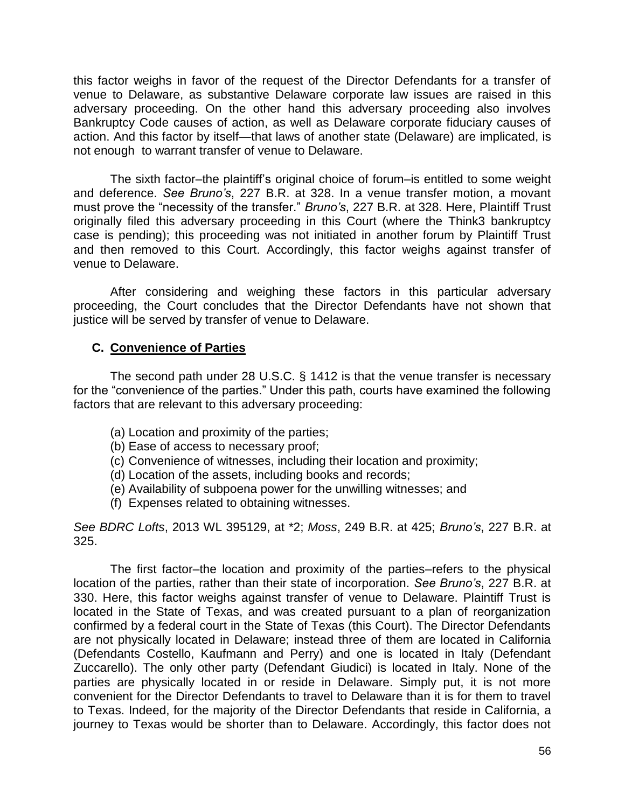this factor weighs in favor of the request of the Director Defendants for a transfer of venue to Delaware, as substantive Delaware corporate law issues are raised in this adversary proceeding. On the other hand this adversary proceeding also involves Bankruptcy Code causes of action, as well as Delaware corporate fiduciary causes of action. And this factor by itself—that laws of another state (Delaware) are implicated, is not enough to warrant transfer of venue to Delaware.

The sixth factor–the plaintiff's original choice of forum–is entitled to some weight and deference. *See Bruno's*, 227 B.R. at 328. In a venue transfer motion, a movant must prove the "necessity of the transfer." *Bruno's*, 227 B.R. at 328. Here, Plaintiff Trust originally filed this adversary proceeding in this Court (where the Think3 bankruptcy case is pending); this proceeding was not initiated in another forum by Plaintiff Trust and then removed to this Court. Accordingly, this factor weighs against transfer of venue to Delaware.

After considering and weighing these factors in this particular adversary proceeding, the Court concludes that the Director Defendants have not shown that justice will be served by transfer of venue to Delaware.

# **C. Convenience of Parties**

The second path under 28 U.S.C. § 1412 is that the venue transfer is necessary for the "convenience of the parties." Under this path, courts have examined the following factors that are relevant to this adversary proceeding:

- (a) Location and proximity of the parties;
- (b) Ease of access to necessary proof;
- (c) Convenience of witnesses, including their location and proximity;
- (d) Location of the assets, including books and records;
- (e) Availability of subpoena power for the unwilling witnesses; and
- (f) Expenses related to obtaining witnesses.

*See BDRC Lofts*, 2013 WL 395129, at \*2; *Moss*, 249 B.R. at 425; *Bruno's*, 227 B.R. at 325.

 The first factor–the location and proximity of the parties–refers to the physical location of the parties, rather than their state of incorporation. *See Bruno's*, 227 B.R. at 330. Here, this factor weighs against transfer of venue to Delaware. Plaintiff Trust is located in the State of Texas, and was created pursuant to a plan of reorganization confirmed by a federal court in the State of Texas (this Court). The Director Defendants are not physically located in Delaware; instead three of them are located in California (Defendants Costello, Kaufmann and Perry) and one is located in Italy (Defendant Zuccarello). The only other party (Defendant Giudici) is located in Italy. None of the parties are physically located in or reside in Delaware. Simply put, it is not more convenient for the Director Defendants to travel to Delaware than it is for them to travel to Texas. Indeed, for the majority of the Director Defendants that reside in California, a journey to Texas would be shorter than to Delaware. Accordingly, this factor does not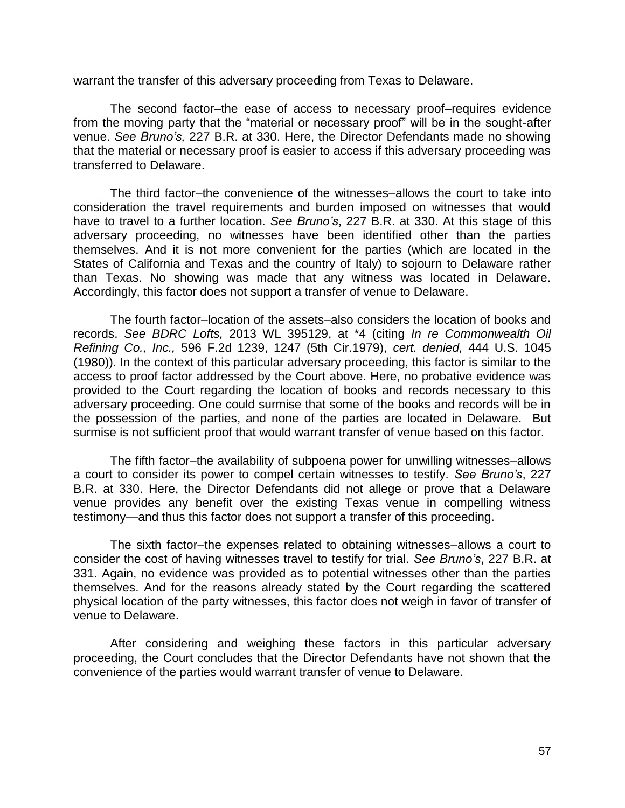warrant the transfer of this adversary proceeding from Texas to Delaware.

 The second factor–the ease of access to necessary proof–requires evidence from the moving party that the "material or necessary proof" will be in the sought-after venue. *See Bruno's,* 227 B.R. at 330. Here, the Director Defendants made no showing that the material or necessary proof is easier to access if this adversary proceeding was transferred to Delaware.

 The third factor–the convenience of the witnesses–allows the court to take into consideration the travel requirements and burden imposed on witnesses that would have to travel to a further location. *See Bruno's*, 227 B.R. at 330. At this stage of this adversary proceeding, no witnesses have been identified other than the parties themselves. And it is not more convenient for the parties (which are located in the States of California and Texas and the country of Italy) to sojourn to Delaware rather than Texas. No showing was made that any witness was located in Delaware. Accordingly, this factor does not support a transfer of venue to Delaware.

The fourth factor–location of the assets–also considers the location of books and records. *See BDRC Lofts,* 2013 WL 395129, at \*4 (citing *In re Commonwealth Oil Refining Co., Inc.,* 596 F.2d 1239, 1247 (5th Cir.1979), *cert. denied,* 444 U.S. 1045 (1980)). In the context of this particular adversary proceeding, this factor is similar to the access to proof factor addressed by the Court above. Here, no probative evidence was provided to the Court regarding the location of books and records necessary to this adversary proceeding. One could surmise that some of the books and records will be in the possession of the parties, and none of the parties are located in Delaware. But surmise is not sufficient proof that would warrant transfer of venue based on this factor.

 The fifth factor–the availability of subpoena power for unwilling witnesses–allows a court to consider its power to compel certain witnesses to testify. *See Bruno's*, 227 B.R. at 330. Here, the Director Defendants did not allege or prove that a Delaware venue provides any benefit over the existing Texas venue in compelling witness testimony—and thus this factor does not support a transfer of this proceeding.

 The sixth factor–the expenses related to obtaining witnesses–allows a court to consider the cost of having witnesses travel to testify for trial. *See Bruno's*, 227 B.R. at 331. Again, no evidence was provided as to potential witnesses other than the parties themselves. And for the reasons already stated by the Court regarding the scattered physical location of the party witnesses, this factor does not weigh in favor of transfer of venue to Delaware.

After considering and weighing these factors in this particular adversary proceeding, the Court concludes that the Director Defendants have not shown that the convenience of the parties would warrant transfer of venue to Delaware.